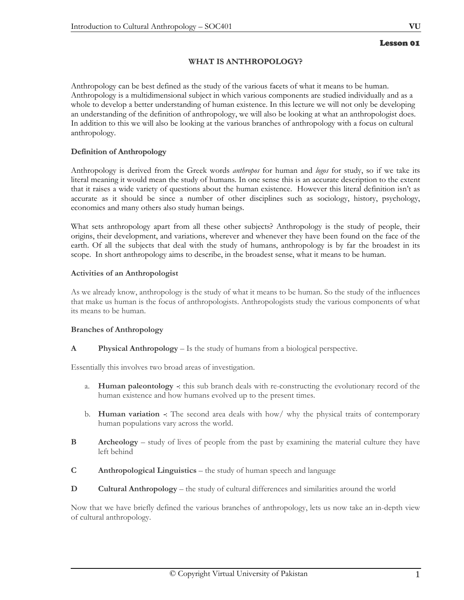# **WHAT IS ANTHROPOLOGY?**

Anthropology can be best defined as the study of the various facets of what it means to be human. Anthropology is a multidimensional subject in which various components are studied individually and as a whole to develop a better understanding of human existence. In this lecture we will not only be developing an understanding of the definition of anthropology, we will also be looking at what an anthropologist does. In addition to this we will also be looking at the various branches of anthropology with a focus on cultural anthropology.

# **Definition of Anthropology**

Anthropology is derived from the Greek words *anthropos* for human and *logos* for study, so if we take its literal meaning it would mean the study of humans. In one sense this is an accurate description to the extent that it raises a wide variety of questions about the human existence. However this literal definition isn't as accurate as it should be since a number of other disciplines such as sociology, history, psychology, economics and many others also study human beings.

What sets anthropology apart from all these other subjects? Anthropology is the study of people, their origins, their development, and variations, wherever and whenever they have been found on the face of the earth. Of all the subjects that deal with the study of humans, anthropology is by far the broadest in its scope. In short anthropology aims to describe, in the broadest sense, what it means to be human.

# **Activities of an Anthropologist**

As we already know, anthropology is the study of what it means to be human. So the study of the influences that make us human is the focus of anthropologists. Anthropologists study the various components of what its means to be human.

# **Branches of Anthropology**

**A Physical Anthropology** – Is the study of humans from a biological perspective.

Essentially this involves two broad areas of investigation.

- a. **Human paleontology -**: this sub branch deals with re-constructing the evolutionary record of the human existence and how humans evolved up to the present times.
- b. **Human variation -**: The second area deals with how/ why the physical traits of contemporary human populations vary across the world.
- **B** Archeology study of lives of people from the past by examining the material culture they have left behind
- **C Anthropological Linguistics** the study of human speech and language
- **D Cultural Anthropology** the study of cultural differences and similarities around the world

Now that we have briefly defined the various branches of anthropology, lets us now take an in-depth view of cultural anthropology.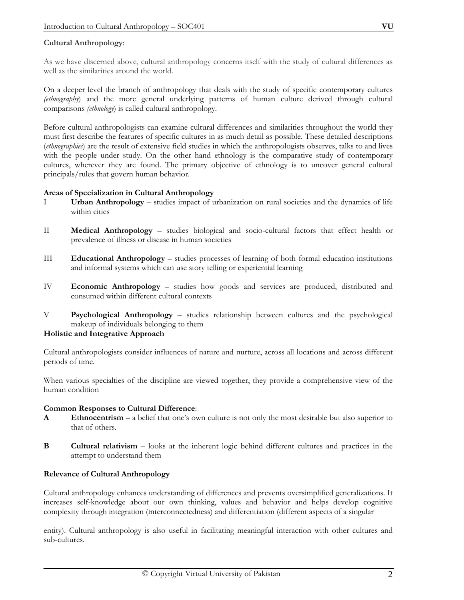# **Cultural Anthropology**:

As we have discerned above, cultural anthropology concerns itself with the study of cultural differences as well as the similarities around the world.

On a deeper level the branch of anthropology that deals with the study of specific contemporary cultures *(ethnography*) and the more general underlying patterns of human culture derived through cultural comparisons *(ethnology*) is called cultural anthropology.

Before cultural anthropologists can examine cultural differences and similarities throughout the world they must first describe the features of specific cultures in as much detail as possible. These detailed descriptions (*ethnographies*) are the result of extensive field studies in which the anthropologists observes, talks to and lives with the people under study. On the other hand ethnology is the comparative study of contemporary cultures, wherever they are found. The primary objective of ethnology is to uncover general cultural principals/rules that govern human behavior.

#### **Areas of Specialization in Cultural Anthropology**

- I **Urban Anthropology**  studies impact of urbanization on rural societies and the dynamics of life within cities
- II **Medical Anthropology** studies biological and socio-cultural factors that effect health or prevalence of illness or disease in human societies
- III **Educational Anthropology** studies processes of learning of both formal education institutions and informal systems which can use story telling or experiential learning
- IV **Economic Anthropology** studies how goods and services are produced, distributed and consumed within different cultural contexts
- V **Psychological Anthropology** studies relationship between cultures and the psychological makeup of individuals belonging to them

# **Holistic and Integrative Approach**

Cultural anthropologists consider influences of nature and nurture, across all locations and across different periods of time.

When various specialties of the discipline are viewed together, they provide a comprehensive view of the human condition

# **Common Responses to Cultural Difference**:

- **A** Ethnocentrism a belief that one's own culture is not only the most desirable but also superior to that of others.
- **B Cultural relativism** looks at the inherent logic behind different cultures and practices in the attempt to understand them

# **Relevance of Cultural Anthropology**

Cultural anthropology enhances understanding of differences and prevents oversimplified generalizations. It increases self-knowledge about our own thinking, values and behavior and helps develop cognitive complexity through integration (interconnectedness) and differentiation (different aspects of a singular

entity). Cultural anthropology is also useful in facilitating meaningful interaction with other cultures and sub-cultures.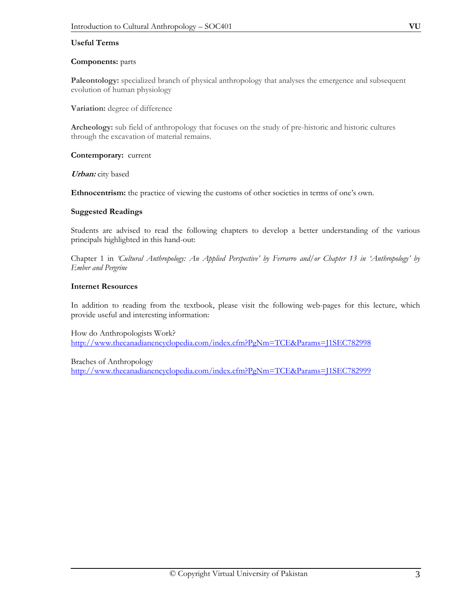#### **Useful Terms**

#### **Components:** parts

**Paleontology:** specialized branch of physical anthropology that analyses the emergence and subsequent evolution of human physiology

**Variation:** degree of difference

**Archeology:** sub field of anthropology that focuses on the study of pre-historic and historic cultures through the excavation of material remains.

**Contemporary:** current

**Urban:** city based

**Ethnocentrism:** the practice of viewing the customs of other societies in terms of one's own.

#### **Suggested Readings**

Students are advised to read the following chapters to develop a better understanding of the various principals highlighted in this hand-out:

Chapter 1 in *'Cultural Anthropology: An Applied Perspective' by Ferrarro and/or Chapter 13 in 'Anthropology' by Ember and Pergrine* 

#### **Internet Resources**

In addition to reading from the textbook, please visit the following web-pages for this lecture, which provide useful and interesting information:

How do Anthropologists Work? http://www.thecanadianencyclopedia.com/index.cfm?PgNm=TCE&Params=J1SEC782998

Braches of Anthropology http://www.thecanadianencyclopedia.com/index.cfm?PgNm=TCE&Params=J1SEC782999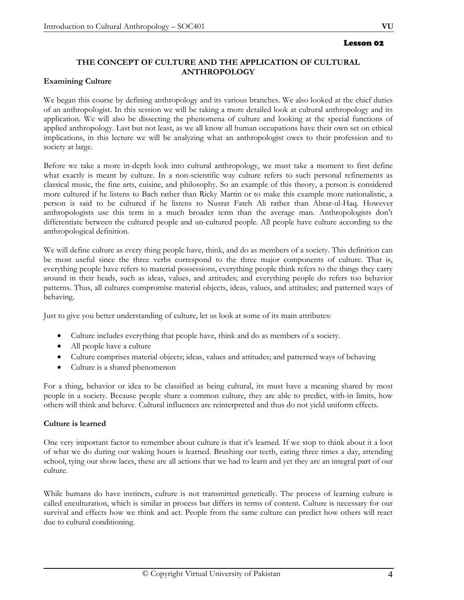#### Lesson 02

# **THE CONCEPT OF CULTURE AND THE APPLICATION OF CULTURAL ANTHROPOLOGY**

#### **Examining Culture**

We began this course by defining anthropology and its various branches. We also looked at the chief duties of an anthropologist. In this session we will be taking a more detailed look at cultural anthropology and its application. We will also be dissecting the phenomena of culture and looking at the special functions of applied anthropology. Last but not least, as we all know all human occupations have their own set on ethical implications, in this lecture we will be analyzing what an anthropologist owes to their profession and to society at large.

Before we take a more in-depth look into cultural anthropology, we must take a moment to first define what exactly is meant by culture. In a non-scientific way culture refers to such personal refinements as classical music, the fine arts, cuisine, and philosophy. So an example of this theory, a person is considered more cultured if he listens to Bach rather than Ricky Martin or to make this example more nationalistic, a person is said to be cultured if he listens to Nusrat Fateh Ali rather than Abrar-ul-Haq. However anthropologists use this term in a much broader term than the average man. Anthropologists don't differentiate between the cultured people and un-cultured people. All people have culture according to the anthropological definition.

We will define culture as every thing people have, think, and do as members of a society. This definition can be most useful since the three verbs correspond to the three major components of culture. That is, everything people have refers to material possessions, everything people think refers to the things they carry around in their heads, such as ideas, values, and attitudes; and everything people do refers too behavior patterns. Thus, all cultures compromise material objects, ideas, values, and attitudes; and patterned ways of behaving.

Just to give you better understanding of culture, let us look at some of its main attributes:

- Culture includes everything that people have, think and do as members of a society.
- All people have a culture
- Culture comprises material objects; ideas, values and attitudes; and patterned ways of behaving
- Culture is a shared phenomenon

For a thing, behavior or idea to be classified as being cultural, its must have a meaning shared by most people in a society. Because people share a common culture, they are able to predict, with-in limits, how others will think and behave. Cultural influences are reinterpreted and thus do not yield uniform effects.

# **Culture is learned**

One very important factor to remember about culture is that it's learned. If we stop to think about it a loot of what we do during our waking hours is learned. Brushing our teeth, eating three times a day, attending school, tying our show laces, these are all actions that we had to learn and yet they are an integral part of our culture.

While humans do have instincts, culture is not transmitted genetically. The process of learning culture is called enculturation, which is similar in process but differs in terms of content. Culture is necessary for our survival and effects how we think and act. People from the same culture can predict how others will react due to cultural conditioning.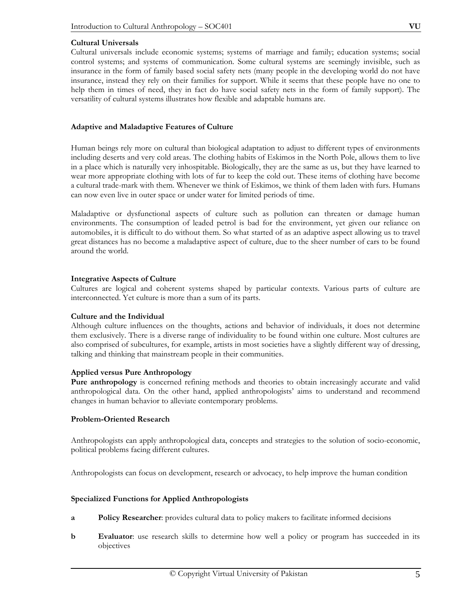#### **Cultural Universals**

Cultural universals include economic systems; systems of marriage and family; education systems; social control systems; and systems of communication. Some cultural systems are seemingly invisible, such as insurance in the form of family based social safety nets (many people in the developing world do not have insurance, instead they rely on their families for support. While it seems that these people have no one to help them in times of need, they in fact do have social safety nets in the form of family support). The versatility of cultural systems illustrates how flexible and adaptable humans are.

#### **Adaptive and Maladaptive Features of Culture**

Human beings rely more on cultural than biological adaptation to adjust to different types of environments including deserts and very cold areas. The clothing habits of Eskimos in the North Pole, allows them to live in a place which is naturally very inhospitable. Biologically, they are the same as us, but they have learned to wear more appropriate clothing with lots of fur to keep the cold out. These items of clothing have become a cultural trade-mark with them. Whenever we think of Eskimos, we think of them laden with furs. Humans can now even live in outer space or under water for limited periods of time.

Maladaptive or dysfunctional aspects of culture such as pollution can threaten or damage human environments. The consumption of leaded petrol is bad for the environment, yet given our reliance on automobiles, it is difficult to do without them. So what started of as an adaptive aspect allowing us to travel great distances has no become a maladaptive aspect of culture, due to the sheer number of cars to be found around the world.

#### **Integrative Aspects of Culture**

Cultures are logical and coherent systems shaped by particular contexts. Various parts of culture are interconnected. Yet culture is more than a sum of its parts.

# **Culture and the Individual**

Although culture influences on the thoughts, actions and behavior of individuals, it does not determine them exclusively. There is a diverse range of individuality to be found within one culture. Most cultures are also comprised of subcultures, for example, artists in most societies have a slightly different way of dressing, talking and thinking that mainstream people in their communities.

#### **Applied versus Pure Anthropology**

**Pure anthropology** is concerned refining methods and theories to obtain increasingly accurate and valid anthropological data. On the other hand, applied anthropologists' aims to understand and recommend changes in human behavior to alleviate contemporary problems.

# **Problem-Oriented Research**

Anthropologists can apply anthropological data, concepts and strategies to the solution of socio-economic, political problems facing different cultures.

Anthropologists can focus on development, research or advocacy, to help improve the human condition

#### **Specialized Functions for Applied Anthropologists**

- **a Policy Researcher**: provides cultural data to policy makers to facilitate informed decisions
- **b** Evaluator: use research skills to determine how well a policy or program has succeeded in its objectives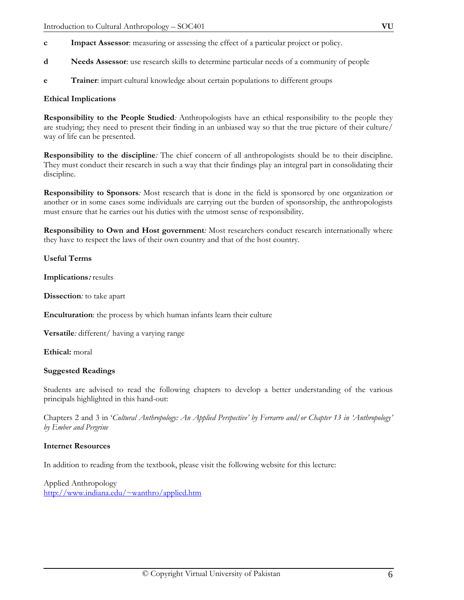- **d Needs Assessor**: use research skills to determine particular needs of a community of people
- **e Trainer**: impart cultural knowledge about certain populations to different groups

# **Ethical Implications**

**Responsibility to the People Studied***:* Anthropologists have an ethical responsibility to the people they are studying; they need to present their finding in an unbiased way so that the true picture of their culture/ way of life can be presented.

**Responsibility to the discipline***:* The chief concern of all anthropologists should be to their discipline. They must conduct their research in such a way that their findings play an integral part in consolidating their discipline.

**Responsibility to Sponsors***:* Most research that is done in the field is sponsored by one organization or another or in some cases some individuals are carrying out the burden of sponsorship, the anthropologists must ensure that he carries out his duties with the utmost sense of responsibility.

**Responsibility to Own and Host government***:* Most researchers conduct research internationally where they have to respect the laws of their own country and that of the host country.

# **Useful Terms**

**Implications:** results

**Dissection***:* to take apart

**Enculturation**: the process by which human infants learn their culture

**Versatile***:* different/ having a varying range

**Ethical:** moral

# **Suggested Readings**

Students are advised to read the following chapters to develop a better understanding of the various principals highlighted in this hand-out:

Chapters 2 and 3 in '*Cultural Anthropology: An Applied Perspective' by Ferrarro and/or Chapter 13 in 'Anthropology' by Ember and Pergrine* 

# **Internet Resources**

In addition to reading from the textbook, please visit the following website for this lecture:

Applied Anthropology http://www.indiana.edu/~wanthro/applied.htm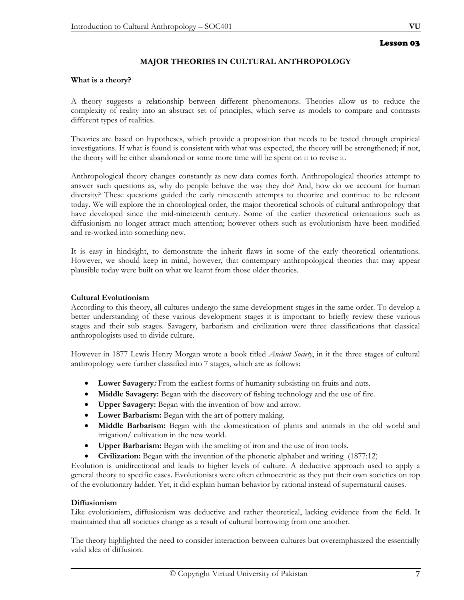# **MAJOR THEORIES IN CULTURAL ANTHROPOLOGY**

#### **What is a theory?**

A theory suggests a relationship between different phenomenons. Theories allow us to reduce the complexity of reality into an abstract set of principles, which serve as models to compare and contrasts different types of realities.

Theories are based on hypotheses, which provide a proposition that needs to be tested through empirical investigations. If what is found is consistent with what was expected, the theory will be strengthened; if not, the theory will be either abandoned or some more time will be spent on it to revise it.

Anthropological theory changes constantly as new data comes forth. Anthropological theories attempt to answer such questions as, why do people behave the way they do? And, how do we account for human diversity? These questions guided the early nineteenth attempts to theorize and continue to be relevant today. We will explore the in chorological order, the major theoretical schools of cultural anthropology that have developed since the mid-nineteenth century. Some of the earlier theoretical orientations such as diffusionism no longer attract much attention; however others such as evolutionism have been modified and re-worked into something new.

It is easy in hindsight, to demonstrate the inherit flaws in some of the early theoretical orientations. However, we should keep in mind, however, that contempary anthropological theories that may appear plausible today were built on what we learnt from those older theories.

#### **Cultural Evolutionism**

According to this theory, all cultures undergo the same development stages in the same order. To develop a better understanding of these various development stages it is important to briefly review these various stages and their sub stages. Savagery, barbarism and civilization were three classifications that classical anthropologists used to divide culture.

However in 1877 Lewis Henry Morgan wrote a book titled *Ancient Society*, in it the three stages of cultural anthropology were further classified into 7 stages, which are as follows:

- **Lower Savagery:** From the earliest forms of humanity subsisting on fruits and nuts.
- **Middle Savagery:** Began with the discovery of fishing technology and the use of fire.
- **Upper Savagery:** Began with the invention of bow and arrow.
- **Lower Barbarism:** Began with the art of pottery making.
- **Middle Barbarism:** Began with the domestication of plants and animals in the old world and irrigation/ cultivation in the new world.
- **Upper Barbarism:** Began with the smelting of iron and the use of iron tools.
- **Civilization:** Began with the invention of the phonetic alphabet and writing (1877:12)

Evolution is unidirectional and leads to higher levels of culture. A deductive approach used to apply a general theory to specific cases. Evolutionists were often ethnocentric as they put their own societies on top of the evolutionary ladder. Yet, it did explain human behavior by rational instead of supernatural causes.

#### **Diffusionism**

Like evolutionism, diffusionism was deductive and rather theoretical, lacking evidence from the field. It maintained that all societies change as a result of cultural borrowing from one another.

The theory highlighted the need to consider interaction between cultures but overemphasized the essentially valid idea of diffusion.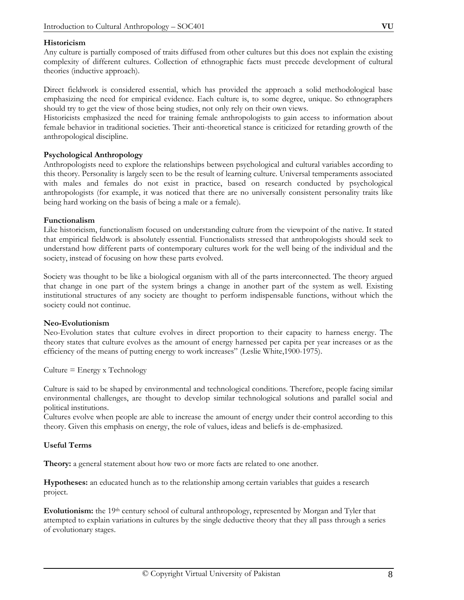#### **Historicism**

Any culture is partially composed of traits diffused from other cultures but this does not explain the existing complexity of different cultures. Collection of ethnographic facts must precede development of cultural theories (inductive approach).

Direct fieldwork is considered essential, which has provided the approach a solid methodological base emphasizing the need for empirical evidence. Each culture is, to some degree, unique. So ethnographers should try to get the view of those being studies, not only rely on their own views.

Historicists emphasized the need for training female anthropologists to gain access to information about female behavior in traditional societies. Their anti-theoretical stance is criticized for retarding growth of the anthropological discipline.

#### **Psychological Anthropology**

Anthropologists need to explore the relationships between psychological and cultural variables according to this theory. Personality is largely seen to be the result of learning culture. Universal temperaments associated with males and females do not exist in practice, based on research conducted by psychological anthropologists (for example, it was noticed that there are no universally consistent personality traits like being hard working on the basis of being a male or a female).

#### **Functionalism**

Like historicism, functionalism focused on understanding culture from the viewpoint of the native. It stated that empirical fieldwork is absolutely essential. Functionalists stressed that anthropologists should seek to understand how different parts of contemporary cultures work for the well being of the individual and the society, instead of focusing on how these parts evolved.

Society was thought to be like a biological organism with all of the parts interconnected. The theory argued that change in one part of the system brings a change in another part of the system as well. Existing institutional structures of any society are thought to perform indispensable functions, without which the society could not continue.

#### **Neo-Evolutionism**

Neo-Evolution states that culture evolves in direct proportion to their capacity to harness energy. The theory states that culture evolves as the amount of energy harnessed per capita per year increases or as the efficiency of the means of putting energy to work increases" (Leslie White,1900-1975).

 $Culture = Energy x Technology$ 

Culture is said to be shaped by environmental and technological conditions. Therefore, people facing similar environmental challenges, are thought to develop similar technological solutions and parallel social and political institutions.

Cultures evolve when people are able to increase the amount of energy under their control according to this theory. Given this emphasis on energy, the role of values, ideas and beliefs is de-emphasized.

# **Useful Terms**

**Theory:** a general statement about how two or more facts are related to one another.

**Hypotheses:** an educated hunch as to the relationship among certain variables that guides a research project.

**Evolutionism:** the 19th century school of cultural anthropology, represented by Morgan and Tyler that attempted to explain variations in cultures by the single deductive theory that they all pass through a series of evolutionary stages.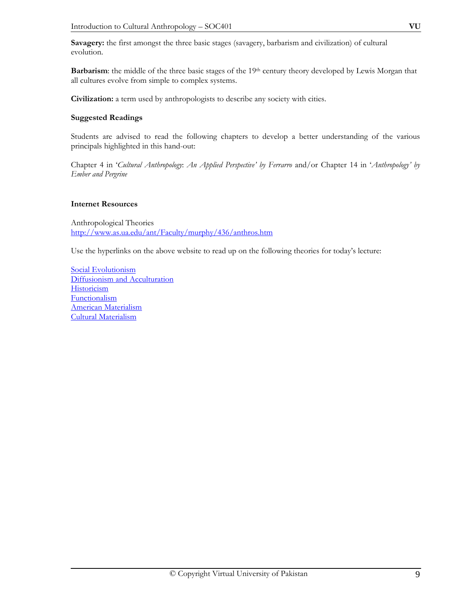**Savagery:** the first amongst the three basic stages (savagery, barbarism and civilization) of cultural evolution.

Barbarism: the middle of the three basic stages of the 19<sup>th</sup> century theory developed by Lewis Morgan that all cultures evolve from simple to complex systems.

**Civilization:** a term used by anthropologists to describe any society with cities.

#### **Suggested Readings**

Students are advised to read the following chapters to develop a better understanding of the various principals highlighted in this hand-out:

Chapter 4 in '*Cultural Anthropology*: *An Applied Perspective' by Ferrarro* and/or Chapter 14 in '*Anthropology' by Ember and Pergrine* 

#### **Internet Resources**

Anthropological Theories http://www.as.ua.edu/ant/Faculty/murphy/436/anthros.htm

Use the hyperlinks on the above website to read up on the following theories for today's lecture:

Social Evolutionism Diffusionism and Acculturation **Historicism** Functionalism American Materialism Cultural Materialism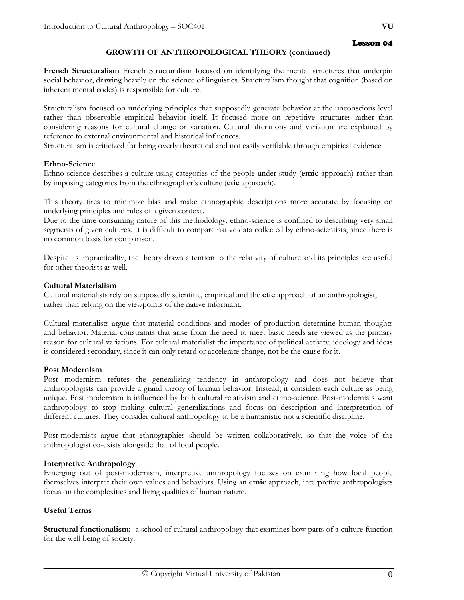# **GROWTH OF ANTHROPOLOGICAL THEORY (continued)**

**French Structuralism** French Structuralism focused on identifying the mental structures that underpin social behavior, drawing heavily on the science of linguistics. Structuralism thought that cognition (based on inherent mental codes) is responsible for culture.

Structuralism focused on underlying principles that supposedly generate behavior at the unconscious level rather than observable empirical behavior itself. It focused more on repetitive structures rather than considering reasons for cultural change or variation. Cultural alterations and variation are explained by reference to external environmental and historical influences.

Structuralism is criticized for being overly theoretical and not easily verifiable through empirical evidence

#### **Ethno-Science**

Ethno-science describes a culture using categories of the people under study (**emic** approach) rather than by imposing categories from the ethnographer's culture (**etic** approach).

This theory tires to minimize bias and make ethnographic descriptions more accurate by focusing on underlying principles and rules of a given context.

Due to the time consuming nature of this methodology, ethno-science is confined to describing very small segments of given cultures. It is difficult to compare native data collected by ethno-scientists, since there is no common basis for comparison.

Despite its impracticality, the theory draws attention to the relativity of culture and its principles are useful for other theorists as well.

#### **Cultural Materialism**

Cultural materialists rely on supposedly scientific, empirical and the **etic** approach of an anthropologist, rather than relying on the viewpoints of the native informant.

Cultural materialists argue that material conditions and modes of production determine human thoughts and behavior. Material constraints that arise from the need to meet basic needs are viewed as the primary reason for cultural variations. For cultural materialist the importance of political activity, ideology and ideas is considered secondary, since it can only retard or accelerate change, not be the cause for it.

#### **Post Modernism**

Post modernism refutes the generalizing tendency in anthropology and does not believe that anthropologists can provide a grand theory of human behavior. Instead, it considers each culture as being unique. Post modernism is influenced by both cultural relativism and ethno-science. Post-modernists want anthropology to stop making cultural generalizations and focus on description and interpretation of different cultures. They consider cultural anthropology to be a humanistic not a scientific discipline.

Post-modernists argue that ethnographies should be written collaboratively, so that the voice of the anthropologist co-exists alongside that of local people.

#### **Interpretive Anthropology**

Emerging out of post-modernism, interpretive anthropology focuses on examining how local people themselves interpret their own values and behaviors. Using an **emic** approach, interpretive anthropologists focus on the complexities and living qualities of human nature.

# **Useful Terms**

**Structural functionalism:** a school of cultural anthropology that examines how parts of a culture function for the well being of society.

Lesson 04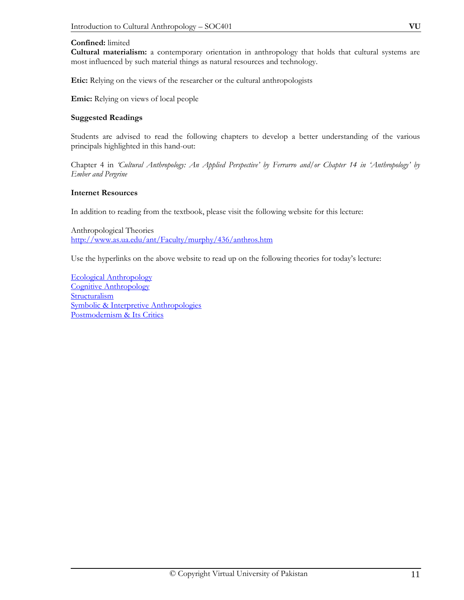#### **Confined:** limited

**Cultural materialism:** a contemporary orientation in anthropology that holds that cultural systems are most influenced by such material things as natural resources and technology.

**Etic:** Relying on the views of the researcher or the cultural anthropologists

**Emic:** Relying on views of local people

#### **Suggested Readings**

Students are advised to read the following chapters to develop a better understanding of the various principals highlighted in this hand-out:

Chapter 4 in *'Cultural Anthropology: An Applied Perspective' by Ferrarro and/or Chapter 14 in 'Anthropology' by Ember and Pergrine* 

#### **Internet Resources**

In addition to reading from the textbook, please visit the following website for this lecture:

Anthropological Theories http://www.as.ua.edu/ant/Faculty/murphy/436/anthros.htm

Use the hyperlinks on the above website to read up on the following theories for today's lecture:

Ecological Anthropology Cognitive Anthropology **Structuralism** Symbolic & Interpretive Anthropologies Postmodernism & Its Critics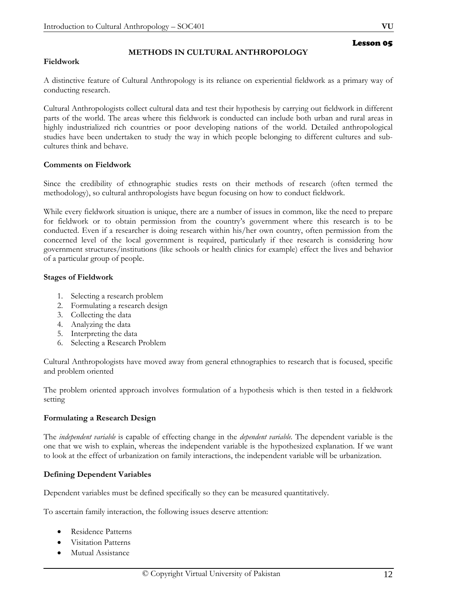# **METHODS IN CULTURAL ANTHROPOLOGY**

#### **Fieldwork**

A distinctive feature of Cultural Anthropology is its reliance on experiential fieldwork as a primary way of conducting research.

Cultural Anthropologists collect cultural data and test their hypothesis by carrying out fieldwork in different parts of the world. The areas where this fieldwork is conducted can include both urban and rural areas in highly industrialized rich countries or poor developing nations of the world. Detailed anthropological studies have been undertaken to study the way in which people belonging to different cultures and subcultures think and behave.

#### **Comments on Fieldwork**

Since the credibility of ethnographic studies rests on their methods of research (often termed the methodology), so cultural anthropologists have begun focusing on how to conduct fieldwork.

While every fieldwork situation is unique, there are a number of issues in common, like the need to prepare for fieldwork or to obtain permission from the country's government where this research is to be conducted. Even if a researcher is doing research within his/her own country, often permission from the concerned level of the local government is required, particularly if thee research is considering how government structures/institutions (like schools or health clinics for example) effect the lives and behavior of a particular group of people.

#### **Stages of Fieldwork**

- 1. Selecting a research problem
- 2. Formulating a research design
- 3. Collecting the data
- 4. Analyzing the data
- 5. Interpreting the data
- 6. Selecting a Research Problem

Cultural Anthropologists have moved away from general ethnographies to research that is focused, specific and problem oriented

The problem oriented approach involves formulation of a hypothesis which is then tested in a fieldwork setting

# **Formulating a Research Design**

The *independent variable* is capable of effecting change in the *dependent variable.* The dependent variable is the one that we wish to explain, whereas the independent variable is the hypothesized explanation. If we want to look at the effect of urbanization on family interactions, the independent variable will be urbanization.

# **Defining Dependent Variables**

Dependent variables must be defined specifically so they can be measured quantitatively.

To ascertain family interaction, the following issues deserve attention:

- Residence Patterns
- Visitation Patterns
- Mutual Assistance

Lesson 05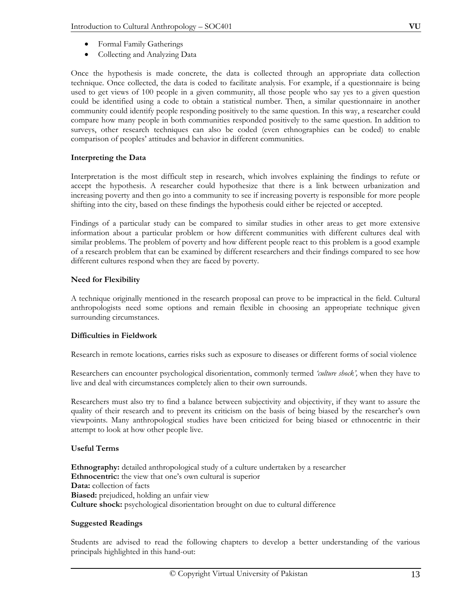- Formal Family Gatherings
- Collecting and Analyzing Data

Once the hypothesis is made concrete, the data is collected through an appropriate data collection technique. Once collected, the data is coded to facilitate analysis. For example, if a questionnaire is being used to get views of 100 people in a given community, all those people who say yes to a given question could be identified using a code to obtain a statistical number. Then, a similar questionnaire in another community could identify people responding positively to the same question. In this way, a researcher could compare how many people in both communities responded positively to the same question. In addition to surveys, other research techniques can also be coded (even ethnographies can be coded) to enable comparison of peoples' attitudes and behavior in different communities.

# **Interpreting the Data**

Interpretation is the most difficult step in research, which involves explaining the findings to refute or accept the hypothesis. A researcher could hypothesize that there is a link between urbanization and increasing poverty and then go into a community to see if increasing poverty is responsible for more people shifting into the city, based on these findings the hypothesis could either be rejected or accepted.

Findings of a particular study can be compared to similar studies in other areas to get more extensive information about a particular problem or how different communities with different cultures deal with similar problems. The problem of poverty and how different people react to this problem is a good example of a research problem that can be examined by different researchers and their findings compared to see how different cultures respond when they are faced by poverty.

# **Need for Flexibility**

A technique originally mentioned in the research proposal can prove to be impractical in the field. Cultural anthropologists need some options and remain flexible in choosing an appropriate technique given surrounding circumstances.

# **Difficulties in Fieldwork**

Research in remote locations, carries risks such as exposure to diseases or different forms of social violence

Researchers can encounter psychological disorientation, commonly termed *'culture shock',* when they have to live and deal with circumstances completely alien to their own surrounds.

Researchers must also try to find a balance between subjectivity and objectivity, if they want to assure the quality of their research and to prevent its criticism on the basis of being biased by the researcher's own viewpoints. Many anthropological studies have been criticized for being biased or ethnocentric in their attempt to look at how other people live.

# **Useful Terms**

**Ethnography:** detailed anthropological study of a culture undertaken by a researcher **Ethnocentric:** the view that one's own cultural is superior **Data:** collection of facts **Biased:** prejudiced, holding an unfair view **Culture shock:** psychological disorientation brought on due to cultural difference

# **Suggested Readings**

Students are advised to read the following chapters to develop a better understanding of the various principals highlighted in this hand-out: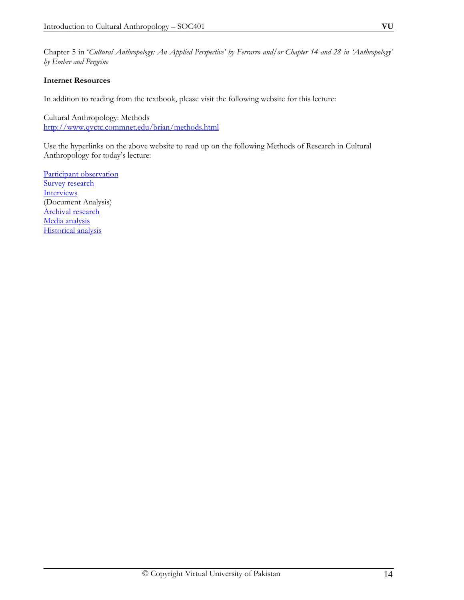Chapter 5 in '*Cultural Anthropology: An Applied Perspective' by Ferrarro and/or Chapter 14 and 28 in 'Anthropology' by Ember and Pergrine*

# **Internet Resources**

In addition to reading from the textbook, please visit the following website for this lecture:

Cultural Anthropology: Methods http://www.qvctc.commnet.edu/brian/methods.html

Use the hyperlinks on the above website to read up on the following Methods of Research in Cultural Anthropology for today's lecture:

Participant observation Survey research **Interviews** (Document Analysis) Archival research Media analysis Historical analysis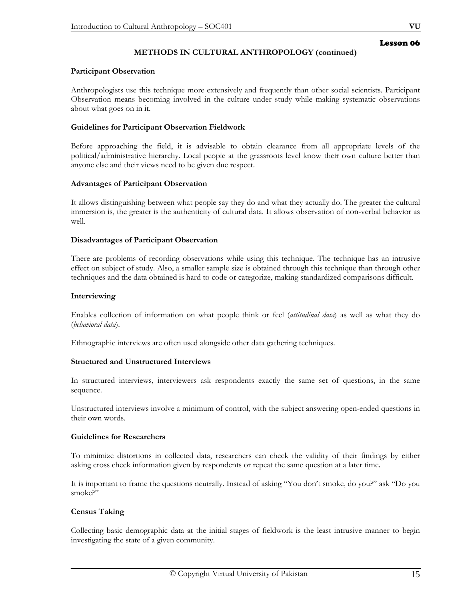# **METHODS IN CULTURAL ANTHROPOLOGY (continued)**

# **Participant Observation**

Anthropologists use this technique more extensively and frequently than other social scientists. Participant Observation means becoming involved in the culture under study while making systematic observations about what goes on in it.

# **Guidelines for Participant Observation Fieldwork**

Before approaching the field, it is advisable to obtain clearance from all appropriate levels of the political/administrative hierarchy. Local people at the grassroots level know their own culture better than anyone else and their views need to be given due respect.

# **Advantages of Participant Observation**

It allows distinguishing between what people say they do and what they actually do. The greater the cultural immersion is, the greater is the authenticity of cultural data. It allows observation of non-verbal behavior as well.

# **Disadvantages of Participant Observation**

There are problems of recording observations while using this technique. The technique has an intrusive effect on subject of study. Also, a smaller sample size is obtained through this technique than through other techniques and the data obtained is hard to code or categorize, making standardized comparisons difficult.

# **Interviewing**

Enables collection of information on what people think or feel (*attitudinal data*) as well as what they do (*behavioral data*).

Ethnographic interviews are often used alongside other data gathering techniques.

# **Structured and Unstructured Interviews**

In structured interviews, interviewers ask respondents exactly the same set of questions, in the same sequence.

Unstructured interviews involve a minimum of control, with the subject answering open-ended questions in their own words.

# **Guidelines for Researchers**

To minimize distortions in collected data, researchers can check the validity of their findings by either asking cross check information given by respondents or repeat the same question at a later time.

It is important to frame the questions neutrally. Instead of asking "You don't smoke, do you?" ask "Do you smoke?"

# **Census Taking**

Collecting basic demographic data at the initial stages of fieldwork is the least intrusive manner to begin investigating the state of a given community.

Lesson 06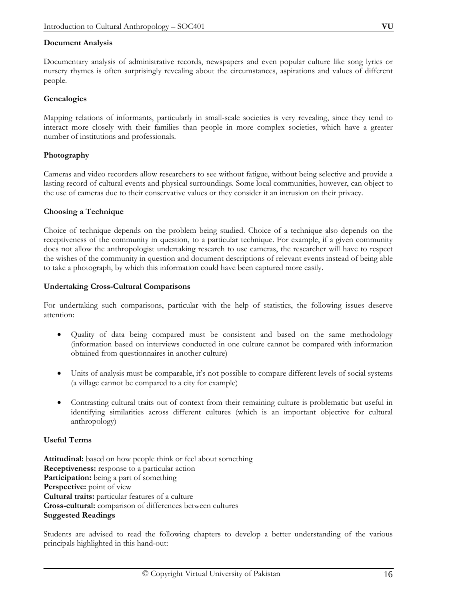#### **Document Analysis**

Documentary analysis of administrative records, newspapers and even popular culture like song lyrics or nursery rhymes is often surprisingly revealing about the circumstances, aspirations and values of different people.

#### **Genealogies**

Mapping relations of informants, particularly in small-scale societies is very revealing, since they tend to interact more closely with their families than people in more complex societies, which have a greater number of institutions and professionals.

# **Photography**

Cameras and video recorders allow researchers to see without fatigue, without being selective and provide a lasting record of cultural events and physical surroundings. Some local communities, however, can object to the use of cameras due to their conservative values or they consider it an intrusion on their privacy.

#### **Choosing a Technique**

Choice of technique depends on the problem being studied. Choice of a technique also depends on the receptiveness of the community in question, to a particular technique. For example, if a given community does not allow the anthropologist undertaking research to use cameras, the researcher will have to respect the wishes of the community in question and document descriptions of relevant events instead of being able to take a photograph, by which this information could have been captured more easily.

#### **Undertaking Cross-Cultural Comparisons**

For undertaking such comparisons, particular with the help of statistics, the following issues deserve attention:

- Quality of data being compared must be consistent and based on the same methodology (information based on interviews conducted in one culture cannot be compared with information obtained from questionnaires in another culture)
- Units of analysis must be comparable, it's not possible to compare different levels of social systems (a village cannot be compared to a city for example)
- Contrasting cultural traits out of context from their remaining culture is problematic but useful in identifying similarities across different cultures (which is an important objective for cultural anthropology)

# **Useful Terms**

**Attitudinal:** based on how people think or feel about something **Receptiveness:** response to a particular action **Participation:** being a part of something **Perspective:** point of view **Cultural traits:** particular features of a culture **Cross-cultural:** comparison of differences between cultures **Suggested Readings** 

Students are advised to read the following chapters to develop a better understanding of the various principals highlighted in this hand-out: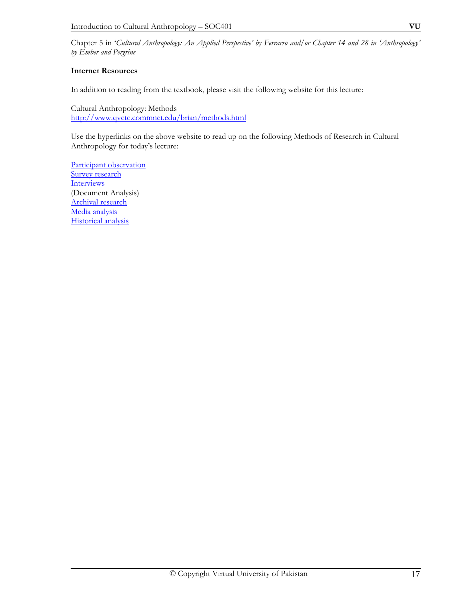# **Internet Resources**

In addition to reading from the textbook, please visit the following website for this lecture:

Cultural Anthropology: Methods http://www.qvctc.commnet.edu/brian/methods.html

Use the hyperlinks on the above website to read up on the following Methods of Research in Cultural Anthropology for today's lecture:

Participant observation Survey research **Interviews** (Document Analysis) Archival research Media analysis Historical analysis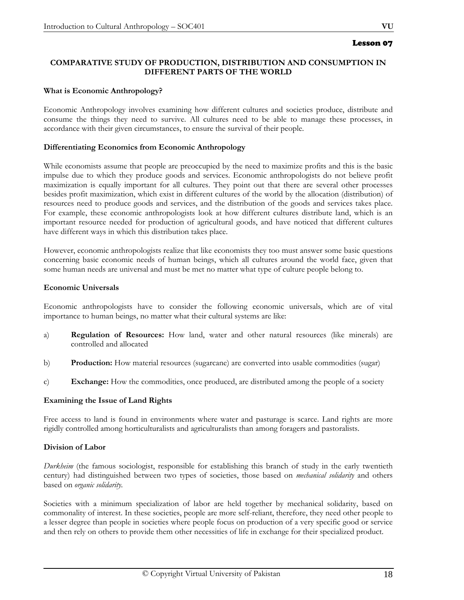# Lesson 07

# **COMPARATIVE STUDY OF PRODUCTION, DISTRIBUTION AND CONSUMPTION IN DIFFERENT PARTS OF THE WORLD**

#### **What is Economic Anthropology?**

Economic Anthropology involves examining how different cultures and societies produce, distribute and consume the things they need to survive. All cultures need to be able to manage these processes, in accordance with their given circumstances, to ensure the survival of their people.

#### **Differentiating Economics from Economic Anthropology**

While economists assume that people are preoccupied by the need to maximize profits and this is the basic impulse due to which they produce goods and services. Economic anthropologists do not believe profit maximization is equally important for all cultures. They point out that there are several other processes besides profit maximization, which exist in different cultures of the world by the allocation (distribution) of resources need to produce goods and services, and the distribution of the goods and services takes place. For example, these economic anthropologists look at how different cultures distribute land, which is an important resource needed for production of agricultural goods, and have noticed that different cultures have different ways in which this distribution takes place.

However, economic anthropologists realize that like economists they too must answer some basic questions concerning basic economic needs of human beings, which all cultures around the world face, given that some human needs are universal and must be met no matter what type of culture people belong to.

#### **Economic Universals**

Economic anthropologists have to consider the following economic universals, which are of vital importance to human beings, no matter what their cultural systems are like:

- a) **Regulation of Resources:** How land, water and other natural resources (like minerals) are controlled and allocated
- b) **Production:** How material resources (sugarcane) are converted into usable commodities (sugar)
- c) **Exchange:** How the commodities, once produced, are distributed among the people of a society

# **Examining the Issue of Land Rights**

Free access to land is found in environments where water and pasturage is scarce. Land rights are more rigidly controlled among horticulturalists and agriculturalists than among foragers and pastoralists.

#### **Division of Labor**

*Durkheim* (the famous sociologist, responsible for establishing this branch of study in the early twentieth century) had distinguished between two types of societies, those based on *mechanical solidarity* and others based on *organic solidarity.*

Societies with a minimum specialization of labor are held together by mechanical solidarity, based on commonality of interest. In these societies, people are more self-reliant, therefore, they need other people to a lesser degree than people in societies where people focus on production of a very specific good or service and then rely on others to provide them other necessities of life in exchange for their specialized product.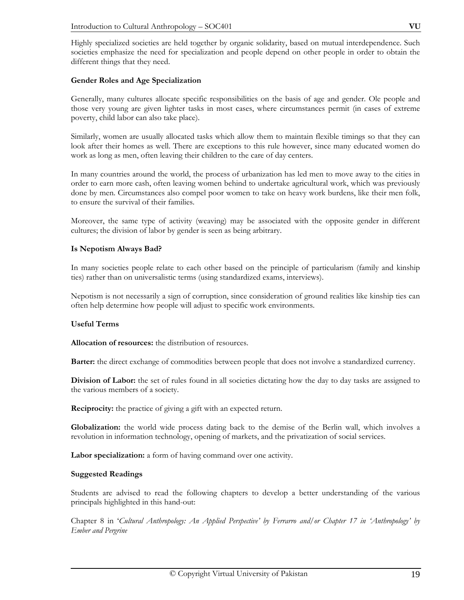Highly specialized societies are held together by organic solidarity, based on mutual interdependence. Such societies emphasize the need for specialization and people depend on other people in order to obtain the different things that they need.

#### **Gender Roles and Age Specialization**

Generally, many cultures allocate specific responsibilities on the basis of age and gender. Ole people and those very young are given lighter tasks in most cases, where circumstances permit (in cases of extreme poverty, child labor can also take place).

Similarly, women are usually allocated tasks which allow them to maintain flexible timings so that they can look after their homes as well. There are exceptions to this rule however, since many educated women do work as long as men, often leaving their children to the care of day centers.

In many countries around the world, the process of urbanization has led men to move away to the cities in order to earn more cash, often leaving women behind to undertake agricultural work, which was previously done by men. Circumstances also compel poor women to take on heavy work burdens, like their men folk, to ensure the survival of their families.

Moreover, the same type of activity (weaving) may be associated with the opposite gender in different cultures; the division of labor by gender is seen as being arbitrary.

#### **Is Nepotism Always Bad?**

In many societies people relate to each other based on the principle of particularism (family and kinship ties) rather than on universalistic terms (using standardized exams, interviews).

Nepotism is not necessarily a sign of corruption, since consideration of ground realities like kinship ties can often help determine how people will adjust to specific work environments.

#### **Useful Terms**

**Allocation of resources:** the distribution of resources.

**Barter:** the direct exchange of commodities between people that does not involve a standardized currency.

**Division of Labor:** the set of rules found in all societies dictating how the day to day tasks are assigned to the various members of a society.

**Reciprocity:** the practice of giving a gift with an expected return.

**Globalization:** the world wide process dating back to the demise of the Berlin wall, which involves a revolution in information technology, opening of markets, and the privatization of social services.

**Labor specialization:** a form of having command over one activity.

#### **Suggested Readings**

Students are advised to read the following chapters to develop a better understanding of the various principals highlighted in this hand-out:

Chapter 8 in '*Cultural Anthropology: An Applied Perspective' by Ferrarro and/or Chapter 17 in 'Anthropology' by Ember and Pergrine*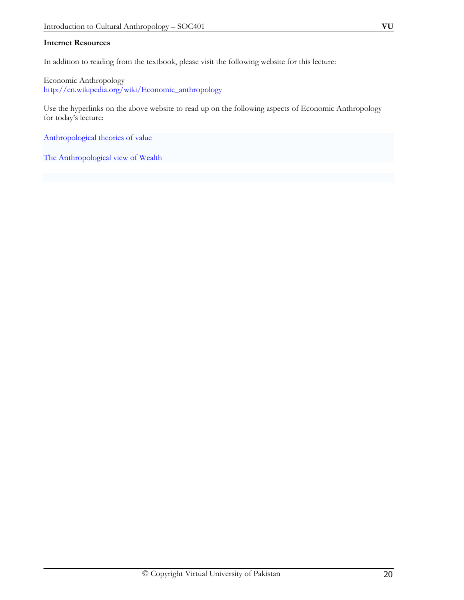#### **Internet Resources**

In addition to reading from the textbook, please visit the following website for this lecture:

Economic Anthropology http://en.wikipedia.org/wiki/Economic\_anthropology

Use the hyperlinks on the above website to read up on the following aspects of Economic Anthropology for today's lecture:

Anthropological theories of value

The Anthropological view of Wealth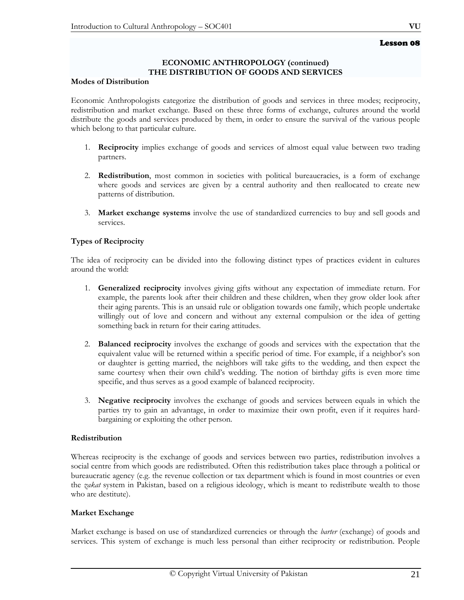# Lesson 08

# **ECONOMIC ANTHROPOLOGY (continued) THE DISTRIBUTION OF GOODS AND SERVICES**

# **Modes of Distribution**

Economic Anthropologists categorize the distribution of goods and services in three modes; reciprocity, redistribution and market exchange. Based on these three forms of exchange, cultures around the world distribute the goods and services produced by them, in order to ensure the survival of the various people which belong to that particular culture.

- 1. **Reciprocity** implies exchange of goods and services of almost equal value between two trading partners.
- 2. **Redistribution**, most common in societies with political bureaucracies, is a form of exchange where goods and services are given by a central authority and then reallocated to create new patterns of distribution.
- 3. **Market exchange systems** involve the use of standardized currencies to buy and sell goods and services.

# **Types of Reciprocity**

The idea of reciprocity can be divided into the following distinct types of practices evident in cultures around the world:

- 1. **Generalized reciprocity** involves giving gifts without any expectation of immediate return. For example, the parents look after their children and these children, when they grow older look after their aging parents. This is an unsaid rule or obligation towards one family, which people undertake willingly out of love and concern and without any external compulsion or the idea of getting something back in return for their caring attitudes.
- 2. **Balanced reciprocity** involves the exchange of goods and services with the expectation that the equivalent value will be returned within a specific period of time. For example, if a neighbor's son or daughter is getting married, the neighbors will take gifts to the wedding, and then expect the same courtesy when their own child's wedding. The notion of birthday gifts is even more time specific, and thus serves as a good example of balanced reciprocity.
- 3. **Negative reciprocity** involves the exchange of goods and services between equals in which the parties try to gain an advantage, in order to maximize their own profit, even if it requires hardbargaining or exploiting the other person.

# **Redistribution**

Whereas reciprocity is the exchange of goods and services between two parties, redistribution involves a social centre from which goods are redistributed. Often this redistribution takes place through a political or bureaucratic agency (e.g. the revenue collection or tax department which is found in most countries or even the *zakat* system in Pakistan, based on a religious ideology, which is meant to redistribute wealth to those who are destitute).

# **Market Exchange**

Market exchange is based on use of standardized currencies or through the *barter* (exchange) of goods and services. This system of exchange is much less personal than either reciprocity or redistribution. People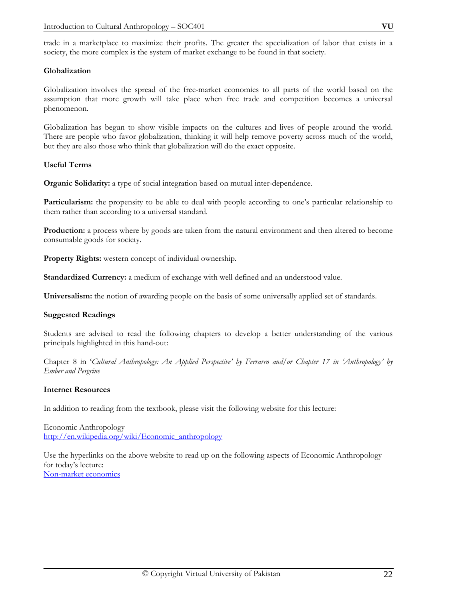# **Globalization**

Globalization involves the spread of the free-market economies to all parts of the world based on the assumption that more growth will take place when free trade and competition becomes a universal phenomenon.

Globalization has begun to show visible impacts on the cultures and lives of people around the world. There are people who favor globalization, thinking it will help remove poverty across much of the world, but they are also those who think that globalization will do the exact opposite.

# **Useful Terms**

**Organic Solidarity:** a type of social integration based on mutual inter-dependence.

**Particularism:** the propensity to be able to deal with people according to one's particular relationship to them rather than according to a universal standard.

**Production:** a process where by goods are taken from the natural environment and then altered to become consumable goods for society.

**Property Rights:** western concept of individual ownership.

**Standardized Currency:** a medium of exchange with well defined and an understood value.

**Universalism:** the notion of awarding people on the basis of some universally applied set of standards.

# **Suggested Readings**

Students are advised to read the following chapters to develop a better understanding of the various principals highlighted in this hand-out:

Chapter 8 in '*Cultural Anthropology: An Applied Perspective' by Ferrarro and/or Chapter 17 in 'Anthropology' by Ember and Pergrine* 

# **Internet Resources**

In addition to reading from the textbook, please visit the following website for this lecture:

Economic Anthropology http://en.wikipedia.org/wiki/Economic\_anthropology

Use the hyperlinks on the above website to read up on the following aspects of Economic Anthropology for today's lecture: Non-market economics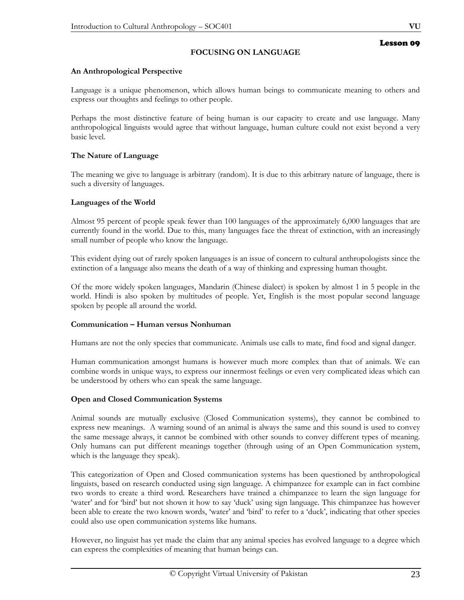# **FOCUSING ON LANGUAGE**

# **An Anthropological Perspective**

Language is a unique phenomenon, which allows human beings to communicate meaning to others and express our thoughts and feelings to other people.

Perhaps the most distinctive feature of being human is our capacity to create and use language. Many anthropological linguists would agree that without language, human culture could not exist beyond a very basic level.

# **The Nature of Language**

The meaning we give to language is arbitrary (random). It is due to this arbitrary nature of language, there is such a diversity of languages.

# **Languages of the World**

Almost 95 percent of people speak fewer than 100 languages of the approximately 6,000 languages that are currently found in the world. Due to this, many languages face the threat of extinction, with an increasingly small number of people who know the language.

This evident dying out of rarely spoken languages is an issue of concern to cultural anthropologists since the extinction of a language also means the death of a way of thinking and expressing human thought.

Of the more widely spoken languages, Mandarin (Chinese dialect) is spoken by almost 1 in 5 people in the world. Hindi is also spoken by multitudes of people. Yet, English is the most popular second language spoken by people all around the world.

# **Communication – Human versus Nonhuman**

Humans are not the only species that communicate. Animals use calls to mate, find food and signal danger.

Human communication amongst humans is however much more complex than that of animals. We can combine words in unique ways, to express our innermost feelings or even very complicated ideas which can be understood by others who can speak the same language.

# **Open and Closed Communication Systems**

Animal sounds are mutually exclusive (Closed Communication systems), they cannot be combined to express new meanings. A warning sound of an animal is always the same and this sound is used to convey the same message always, it cannot be combined with other sounds to convey different types of meaning. Only humans can put different meanings together (through using of an Open Communication system, which is the language they speak).

This categorization of Open and Closed communication systems has been questioned by anthropological linguists, based on research conducted using sign language. A chimpanzee for example can in fact combine two words to create a third word. Researchers have trained a chimpanzee to learn the sign language for 'water' and for 'bird' but not shown it how to say 'duck' using sign language. This chimpanzee has however been able to create the two known words, 'water' and 'bird' to refer to a 'duck', indicating that other species could also use open communication systems like humans.

However, no linguist has yet made the claim that any animal species has evolved language to a degree which can express the complexities of meaning that human beings can.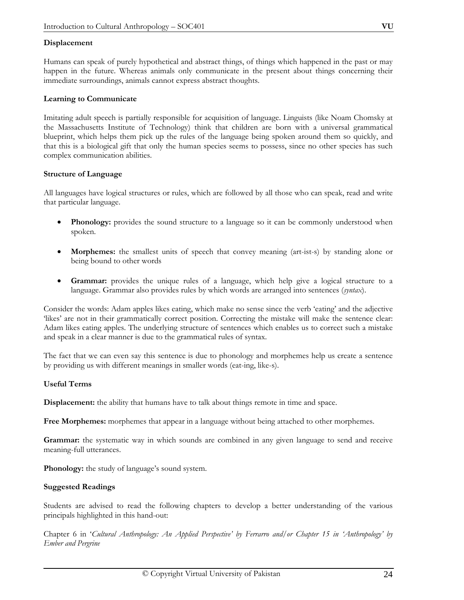Humans can speak of purely hypothetical and abstract things, of things which happened in the past or may happen in the future. Whereas animals only communicate in the present about things concerning their immediate surroundings, animals cannot express abstract thoughts.

#### **Learning to Communicate**

Imitating adult speech is partially responsible for acquisition of language. Linguists (like Noam Chomsky at the Massachusetts Institute of Technology) think that children are born with a universal grammatical blueprint, which helps them pick up the rules of the language being spoken around them so quickly, and that this is a biological gift that only the human species seems to possess, since no other species has such complex communication abilities.

#### **Structure of Language**

All languages have logical structures or rules, which are followed by all those who can speak, read and write that particular language.

- **Phonology:** provides the sound structure to a language so it can be commonly understood when spoken.
- **Morphemes:** the smallest units of speech that convey meaning (art-ist-s) by standing alone or being bound to other words
- **Grammar:** provides the unique rules of a language, which help give a logical structure to a language. Grammar also provides rules by which words are arranged into sentences (*syntax*).

Consider the words: Adam apples likes eating, which make no sense since the verb 'eating' and the adjective 'likes' are not in their grammatically correct position. Correcting the mistake will make the sentence clear: Adam likes eating apples. The underlying structure of sentences which enables us to correct such a mistake and speak in a clear manner is due to the grammatical rules of syntax.

The fact that we can even say this sentence is due to phonology and morphemes help us create a sentence by providing us with different meanings in smaller words (eat-ing, like-s).

# **Useful Terms**

**Displacement:** the ability that humans have to talk about things remote in time and space.

**Free Morphemes:** morphemes that appear in a language without being attached to other morphemes.

**Grammar:** the systematic way in which sounds are combined in any given language to send and receive meaning-full utterances.

**Phonology:** the study of language's sound system.

# **Suggested Readings**

Students are advised to read the following chapters to develop a better understanding of the various principals highlighted in this hand-out:

Chapter 6 in '*Cultural Anthropology: An Applied Perspective' by Ferrarro and/or Chapter 15 in 'Anthropology' by Ember and Pergrine*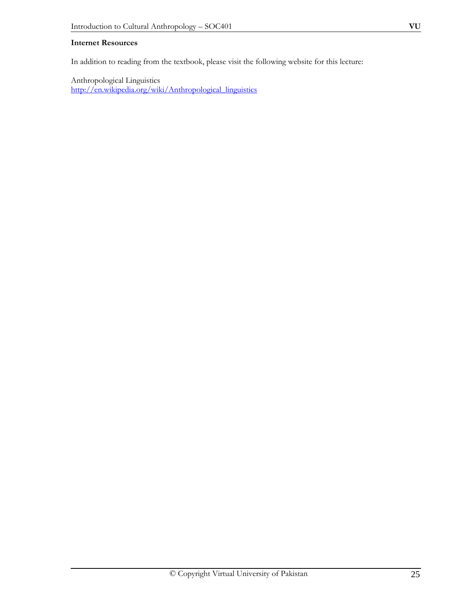# **Internet Resources**

In addition to reading from the textbook, please visit the following website for this lecture:

Anthropological Linguistics http://en.wikipedia.org/wiki/Anthropological\_linguistics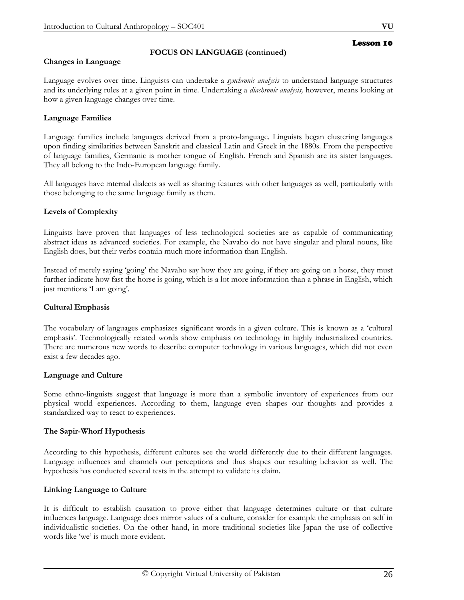# Lesson 10

# **Changes in Language**

Language evolves over time. Linguists can undertake a *synchronic analysis* to understand language structures and its underlying rules at a given point in time. Undertaking a *diachronic analysis,* however, means looking at how a given language changes over time.

**FOCUS ON LANGUAGE (continued)**

# **Language Families**

Language families include languages derived from a proto-language. Linguists began clustering languages upon finding similarities between Sanskrit and classical Latin and Greek in the 1880s. From the perspective of language families, Germanic is mother tongue of English. French and Spanish are its sister languages. They all belong to the Indo-European language family.

All languages have internal dialects as well as sharing features with other languages as well, particularly with those belonging to the same language family as them.

# **Levels of Complexity**

Linguists have proven that languages of less technological societies are as capable of communicating abstract ideas as advanced societies. For example, the Navaho do not have singular and plural nouns, like English does, but their verbs contain much more information than English.

Instead of merely saying 'going' the Navaho say how they are going, if they are going on a horse, they must further indicate how fast the horse is going, which is a lot more information than a phrase in English, which just mentions 'I am going'.

# **Cultural Emphasis**

The vocabulary of languages emphasizes significant words in a given culture. This is known as a 'cultural emphasis'. Technologically related words show emphasis on technology in highly industrialized countries. There are numerous new words to describe computer technology in various languages, which did not even exist a few decades ago.

# **Language and Culture**

Some ethno-linguists suggest that language is more than a symbolic inventory of experiences from our physical world experiences. According to them, language even shapes our thoughts and provides a standardized way to react to experiences.

# **The Sapir-Whorf Hypothesis**

According to this hypothesis, different cultures see the world differently due to their different languages. Language influences and channels our perceptions and thus shapes our resulting behavior as well. The hypothesis has conducted several tests in the attempt to validate its claim.

# **Linking Language to Culture**

It is difficult to establish causation to prove either that language determines culture or that culture influences language. Language does mirror values of a culture, consider for example the emphasis on self in individualistic societies. On the other hand, in more traditional societies like Japan the use of collective words like 'we' is much more evident.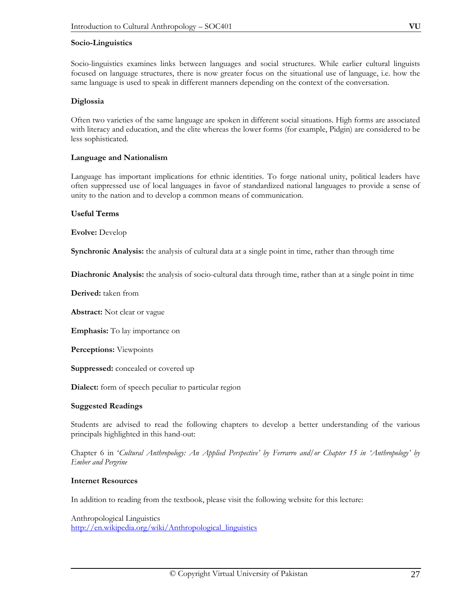#### **Socio-Linguistics**

Socio-linguistics examines links between languages and social structures. While earlier cultural linguists focused on language structures, there is now greater focus on the situational use of language, i.e. how the same language is used to speak in different manners depending on the context of the conversation.

#### **Diglossia**

Often two varieties of the same language are spoken in different social situations. High forms are associated with literacy and education, and the elite whereas the lower forms (for example, Pidgin) are considered to be less sophisticated.

# **Language and Nationalism**

Language has important implications for ethnic identities. To forge national unity, political leaders have often suppressed use of local languages in favor of standardized national languages to provide a sense of unity to the nation and to develop a common means of communication.

#### **Useful Terms**

**Evolve:** Develop

**Synchronic Analysis:** the analysis of cultural data at a single point in time, rather than through time

**Diachronic Analysis:** the analysis of socio-cultural data through time, rather than at a single point in time

**Derived:** taken from

**Abstract:** Not clear or vague

**Emphasis:** To lay importance on

**Perceptions:** Viewpoints

**Suppressed:** concealed or covered up

**Dialect:** form of speech peculiar to particular region

# **Suggested Readings**

Students are advised to read the following chapters to develop a better understanding of the various principals highlighted in this hand-out:

Chapter 6 in '*Cultural Anthropology: An Applied Perspective' by Ferrarro and/or Chapter 15 in 'Anthropology' by Ember and Pergrine* 

# **Internet Resources**

In addition to reading from the textbook, please visit the following website for this lecture:

Anthropological Linguistics http://en.wikipedia.org/wiki/Anthropological\_linguistics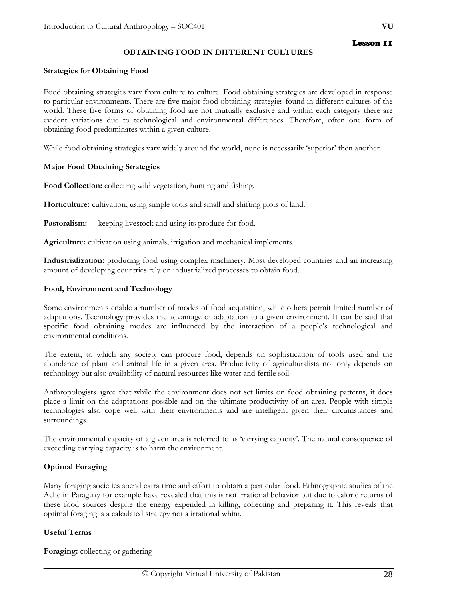# **OBTAINING FOOD IN DIFFERENT CULTURES**

# **Strategies for Obtaining Food**

Food obtaining strategies vary from culture to culture. Food obtaining strategies are developed in response to particular environments. There are five major food obtaining strategies found in different cultures of the world. These five forms of obtaining food are not mutually exclusive and within each category there are evident variations due to technological and environmental differences. Therefore, often one form of obtaining food predominates within a given culture.

While food obtaining strategies vary widely around the world, none is necessarily 'superior' then another.

# **Major Food Obtaining Strategies**

**Food Collection:** collecting wild vegetation, hunting and fishing.

**Horticulture:** cultivation, using simple tools and small and shifting plots of land.

Pastoralism: keeping livestock and using its produce for food.

**Agriculture:** cultivation using animals, irrigation and mechanical implements.

**Industrialization:** producing food using complex machinery. Most developed countries and an increasing amount of developing countries rely on industrialized processes to obtain food.

# **Food, Environment and Technology**

Some environments enable a number of modes of food acquisition, while others permit limited number of adaptations. Technology provides the advantage of adaptation to a given environment. It can be said that specific food obtaining modes are influenced by the interaction of a people's technological and environmental conditions.

The extent, to which any society can procure food, depends on sophistication of tools used and the abundance of plant and animal life in a given area. Productivity of agriculturalists not only depends on technology but also availability of natural resources like water and fertile soil.

Anthropologists agree that while the environment does not set limits on food obtaining patterns, it does place a limit on the adaptations possible and on the ultimate productivity of an area. People with simple technologies also cope well with their environments and are intelligent given their circumstances and surroundings.

The environmental capacity of a given area is referred to as 'carrying capacity'. The natural consequence of exceeding carrying capacity is to harm the environment.

# **Optimal Foraging**

Many foraging societies spend extra time and effort to obtain a particular food. Ethnographic studies of the Ache in Paraguay for example have revealed that this is not irrational behavior but due to caloric returns of these food sources despite the energy expended in killing, collecting and preparing it. This reveals that optimal foraging is a calculated strategy not a irrational whim.

# **Useful Terms**

**Foraging:** collecting or gathering

Lesson 11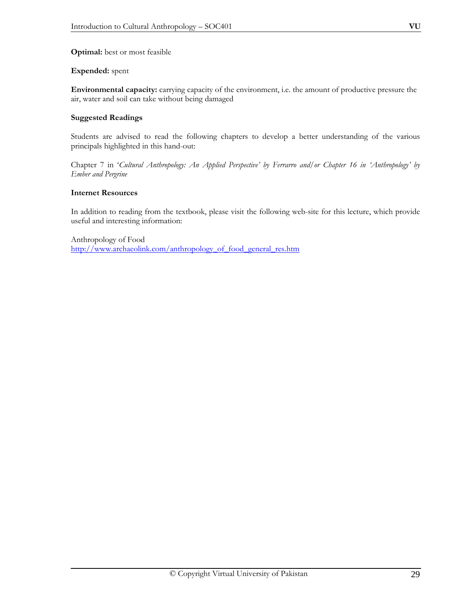**Optimal:** best or most feasible

# **Expended:** spent

**Environmental capacity:** carrying capacity of the environment, i.e. the amount of productive pressure the air, water and soil can take without being damaged

# **Suggested Readings**

Students are advised to read the following chapters to develop a better understanding of the various principals highlighted in this hand-out:

Chapter 7 in '*Cultural Anthropology: An Applied Perspective' by Ferrarro and/or Chapter 16 in 'Anthropology' by Ember and Pergrine* 

# **Internet Resources**

In addition to reading from the textbook, please visit the following web-site for this lecture, which provide useful and interesting information:

Anthropology of Food http://www.archaeolink.com/anthropology\_of\_food\_general\_res.htm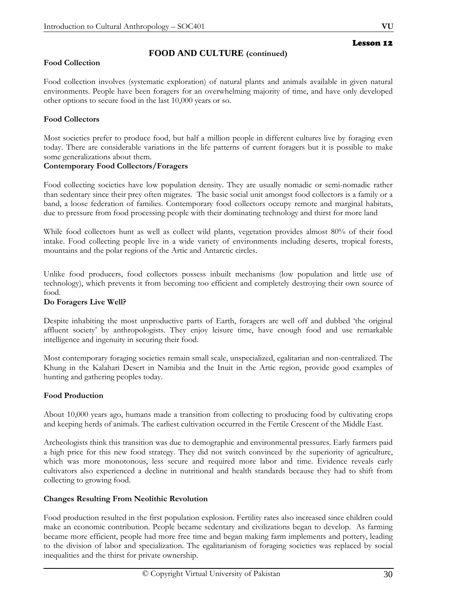# Lesson 12

# **FOOD AND CULTURE (continued)**

# **Food Collection**

Food collection involves (systematic exploration) of natural plants and animals available in given natural environments. People have been foragers for an overwhelming majority of time, and have only developed other options to secure food in the last 10,000 years or so.

# **Food Collectors**

Most societies prefer to produce food, but half a million people in different cultures live by foraging even today. There are considerable variations in the life patterns of current foragers but it is possible to make some generalizations about them.

# **Contemporary Food Collectors/Foragers**

Food collecting societies have low population density. They are usually nomadic or semi-nomadic rather than sedentary since their prey often migrates. The basic social unit amongst food collectors is a family or a band, a loose federation of families. Contemporary food collectors occupy remote and marginal habitats, due to pressure from food processing people with their dominating technology and thirst for more land

While food collectors hunt as well as collect wild plants, vegetation provides almost 80% of their food intake. Food collecting people live in a wide variety of environments including deserts, tropical forests, mountains and the polar regions of the Artic and Antarctic circles.

Unlike food producers, food collectors possess inbuilt mechanisms (low population and little use of technology), which prevents it from becoming too efficient and completely destroying their own source of food.

# **Do Foragers Live Well?**

Despite inhabiting the most unproductive parts of Earth, foragers are well off and dubbed 'the original affluent society' by anthropologists. They enjoy leisure time, have enough food and use remarkable intelligence and ingenuity in securing their food.

Most contemporary foraging societies remain small scale, unspecialized, egalitarian and non-centralized. The Khung in the Kalahari Desert in Namibia and the Inuit in the Artic region, provide good examples of hunting and gathering peoples today.

# **Food Production**

About 10,000 years ago, humans made a transition from collecting to producing food by cultivating crops and keeping herds of animals. The earliest cultivation occurred in the Fertile Crescent of the Middle East.

Archeologists think this transition was due to demographic and environmental pressures. Early farmers paid a high price for this new food strategy. They did not switch convinced by the superiority of agriculture, which was more monotonous, less secure and required more labor and time. Evidence reveals early cultivators also experienced a decline in nutritional and health standards because they had to shift from collecting to growing food.

# **Changes Resulting From Neolithic Revolution**

Food production resulted in the first population explosion. Fertility rates also increased since children could make an economic contribution. People became sedentary and civilizations began to develop. As farming became more efficient, people had more free time and began making farm implements and pottery, leading to the division of labor and specialization. The egalitarianism of foraging societies was replaced by social inequalities and the thirst for private ownership.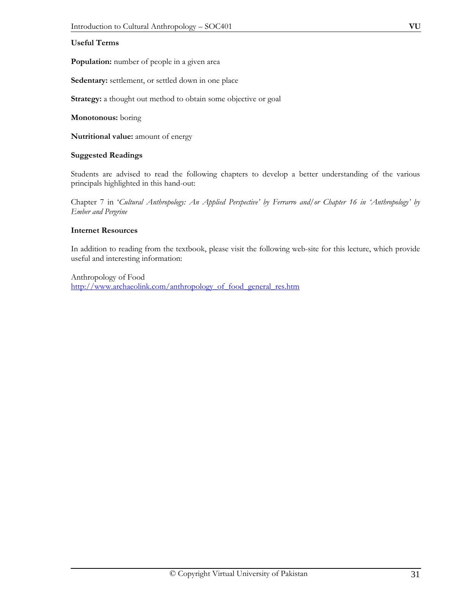# **Useful Terms**

**Population:** number of people in a given area

**Sedentary:** settlement, or settled down in one place

**Strategy:** a thought out method to obtain some objective or goal

**Monotonous:** boring

**Nutritional value:** amount of energy

#### **Suggested Readings**

Students are advised to read the following chapters to develop a better understanding of the various principals highlighted in this hand-out:

Chapter 7 in '*Cultural Anthropology: An Applied Perspective' by Ferrarro and/or Chapter 16 in 'Anthropology' by Ember and Pergrine* 

#### **Internet Resources**

In addition to reading from the textbook, please visit the following web-site for this lecture, which provide useful and interesting information:

Anthropology of Food http://www.archaeolink.com/anthropology\_of\_food\_general\_res.htm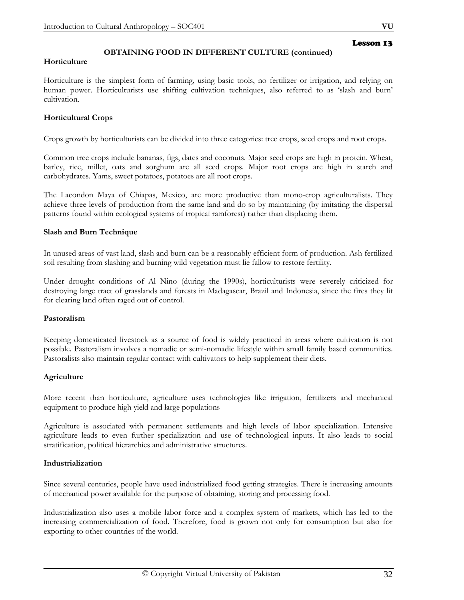# **OBTAINING FOOD IN DIFFERENT CULTURE (continued)**

#### **Horticulture**

Horticulture is the simplest form of farming, using basic tools, no fertilizer or irrigation, and relying on human power. Horticulturists use shifting cultivation techniques, also referred to as 'slash and burn' cultivation.

#### **Horticultural Crops**

Crops growth by horticulturists can be divided into three categories: tree crops, seed crops and root crops.

Common tree crops include bananas, figs, dates and coconuts. Major seed crops are high in protein. Wheat, barley, rice, millet, oats and sorghum are all seed crops. Major root crops are high in starch and carbohydrates. Yams, sweet potatoes, potatoes are all root crops.

The Lacondon Maya of Chiapas, Mexico, are more productive than mono-crop agriculturalists. They achieve three levels of production from the same land and do so by maintaining (by imitating the dispersal patterns found within ecological systems of tropical rainforest) rather than displacing them.

#### **Slash and Burn Technique**

In unused areas of vast land, slash and burn can be a reasonably efficient form of production. Ash fertilized soil resulting from slashing and burning wild vegetation must lie fallow to restore fertility.

Under drought conditions of Al Nino (during the 1990s), horticulturists were severely criticized for destroying large tract of grasslands and forests in Madagascar, Brazil and Indonesia, since the fires they lit for clearing land often raged out of control.

#### **Pastoralism**

Keeping domesticated livestock as a source of food is widely practiced in areas where cultivation is not possible. Pastoralism involves a nomadic or semi-nomadic lifestyle within small family based communities. Pastoralists also maintain regular contact with cultivators to help supplement their diets.

#### **Agriculture**

More recent than horticulture, agriculture uses technologies like irrigation, fertilizers and mechanical equipment to produce high yield and large populations

Agriculture is associated with permanent settlements and high levels of labor specialization. Intensive agriculture leads to even further specialization and use of technological inputs. It also leads to social stratification, political hierarchies and administrative structures.

#### **Industrialization**

Since several centuries, people have used industrialized food getting strategies. There is increasing amounts of mechanical power available for the purpose of obtaining, storing and processing food.

Industrialization also uses a mobile labor force and a complex system of markets, which has led to the increasing commercialization of food. Therefore, food is grown not only for consumption but also for exporting to other countries of the world.

Lesson 13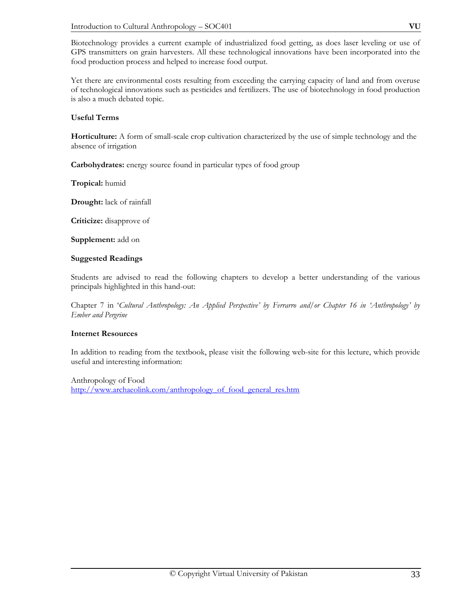Biotechnology provides a current example of industrialized food getting, as does laser leveling or use of GPS transmitters on grain harvesters. All these technological innovations have been incorporated into the food production process and helped to increase food output.

Yet there are environmental costs resulting from exceeding the carrying capacity of land and from overuse of technological innovations such as pesticides and fertilizers. The use of biotechnology in food production is also a much debated topic.

# **Useful Terms**

**Horticulture:** A form of small-scale crop cultivation characterized by the use of simple technology and the absence of irrigation

**Carbohydrates:** energy source found in particular types of food group

**Tropical:** humid

**Drought:** lack of rainfall

**Criticize:** disapprove of

**Supplement:** add on

#### **Suggested Readings**

Students are advised to read the following chapters to develop a better understanding of the various principals highlighted in this hand-out:

Chapter 7 in '*Cultural Anthropology: An Applied Perspective' by Ferrarro and/or Chapter 16 in 'Anthropology' by Ember and Pergrine* 

# **Internet Resources**

In addition to reading from the textbook, please visit the following web-site for this lecture, which provide useful and interesting information:

Anthropology of Food http://www.archaeolink.com/anthropology\_of\_food\_general\_res.htm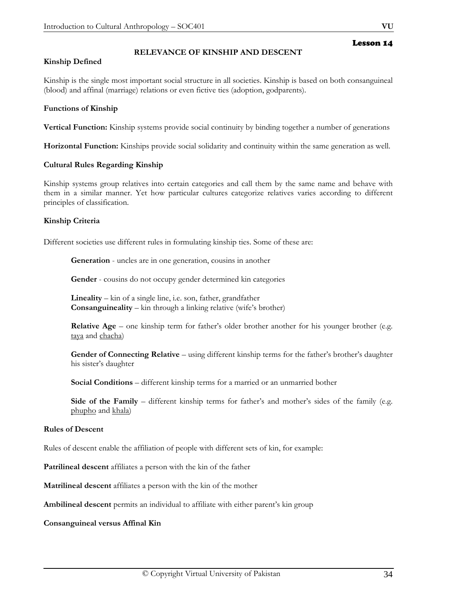# Lesson 14

# **RELEVANCE OF KINSHIP AND DESCENT**

#### **Kinship Defined**

Kinship is the single most important social structure in all societies. Kinship is based on both consanguineal (blood) and affinal (marriage) relations or even fictive ties (adoption, godparents).

#### **Functions of Kinship**

**Vertical Function:** Kinship systems provide social continuity by binding together a number of generations

**Horizontal Function:** Kinships provide social solidarity and continuity within the same generation as well.

#### **Cultural Rules Regarding Kinship**

Kinship systems group relatives into certain categories and call them by the same name and behave with them in a similar manner. Yet how particular cultures categorize relatives varies according to different principles of classification.

# **Kinship Criteria**

Different societies use different rules in formulating kinship ties. Some of these are:

**Generation** - uncles are in one generation, cousins in another

**Gender** - cousins do not occupy gender determined kin categories

**Lineality** – kin of a single line, i.e. son, father, grandfather **Consanguineality** – kin through a linking relative (wife's brother)

**Relative Age** – one kinship term for father's older brother another for his younger brother (e.g. taya and chacha)

**Gender of Connecting Relative** – using different kinship terms for the father's brother's daughter his sister's daughter

**Social Conditions** *–* different kinship terms for a married or an unmarried bother

**Side of the Family** – different kinship terms for father's and mother's sides of the family (e.g. phupho and khala)

#### **Rules of Descent**

Rules of descent enable the affiliation of people with different sets of kin, for example:

**Patrilineal descent** affiliates a person with the kin of the father

**Matrilineal descent** affiliates a person with the kin of the mother

**Ambilineal descent** permits an individual to affiliate with either parent's kin group

#### **Consanguineal versus Affinal Kin**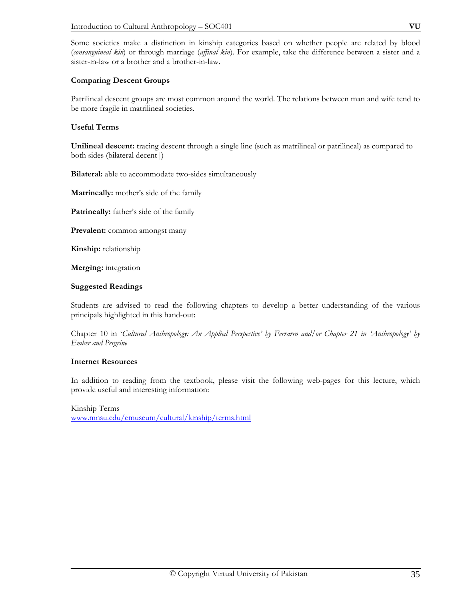Some societies make a distinction in kinship categories based on whether people are related by blood (*consanguineal kin*) or through marriage (*affinal kin*). For example, take the difference between a sister and a sister-in-law or a brother and a brother-in-law.

#### **Comparing Descent Groups**

Patrilineal descent groups are most common around the world. The relations between man and wife tend to be more fragile in matrilineal societies.

#### **Useful Terms**

**Unilineal descent:** tracing descent through a single line (such as matrilineal or patrilineal) as compared to both sides (bilateral decent|)

**Bilateral:** able to accommodate two-sides simultaneously

**Matrineally:** mother's side of the family

**Patrineally:** father's side of the family

**Prevalent:** common amongst many

**Kinship:** relationship

**Merging:** integration

#### **Suggested Readings**

Students are advised to read the following chapters to develop a better understanding of the various principals highlighted in this hand-out:

Chapter 10 in '*Cultural Anthropology: An Applied Perspective' by Ferrarro and/or Chapter 21 in 'Anthropology' by Ember and Pergrine* 

#### **Internet Resources**

In addition to reading from the textbook, please visit the following web-pages for this lecture, which provide useful and interesting information:

Kinship Terms www.mnsu.edu/emuseum/cultural/kinship/terms.html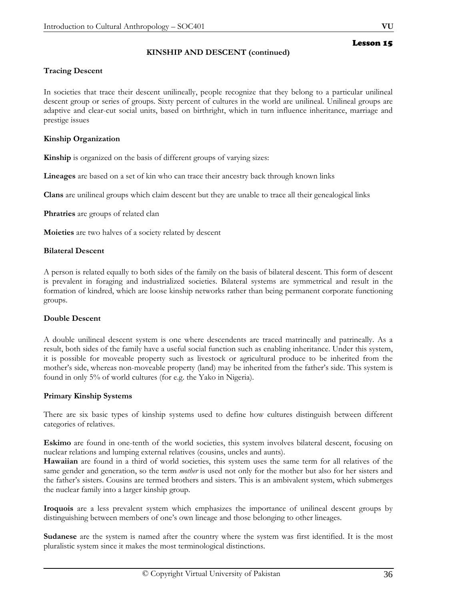# **KINSHIP AND DESCENT (continued)**

# **Tracing Descent**

In societies that trace their descent unilineally, people recognize that they belong to a particular unilineal descent group or series of groups. Sixty percent of cultures in the world are unilineal. Unilineal groups are adaptive and clear-cut social units, based on birthright, which in turn influence inheritance, marriage and prestige issues

#### **Kinship Organization**

**Kinship** is organized on the basis of different groups of varying sizes:

**Lineages** are based on a set of kin who can trace their ancestry back through known links

**Clans** are unilineal groups which claim descent but they are unable to trace all their genealogical links

**Phratries** are groups of related clan

**Moieties** are two halves of a society related by descent

#### **Bilateral Descent**

A person is related equally to both sides of the family on the basis of bilateral descent. This form of descent is prevalent in foraging and industrialized societies. Bilateral systems are symmetrical and result in the formation of kindred, which are loose kinship networks rather than being permanent corporate functioning groups.

# **Double Descent**

A double unilineal descent system is one where descendents are traced matrineally and patrineally. As a result, both sides of the family have a useful social function such as enabling inheritance. Under this system, it is possible for moveable property such as livestock or agricultural produce to be inherited from the mother's side, whereas non-moveable property (land) may be inherited from the father's side. This system is found in only 5% of world cultures (for e.g. the Yako in Nigeria).

#### **Primary Kinship Systems**

There are six basic types of kinship systems used to define how cultures distinguish between different categories of relatives.

**Eskimo** are found in one-tenth of the world societies, this system involves bilateral descent, focusing on nuclear relations and lumping external relatives (cousins, uncles and aunts).

**Hawaiian** are found in a third of world societies, this system uses the same term for all relatives of the same gender and generation, so the term *mother* is used not only for the mother but also for her sisters and the father's sisters. Cousins are termed brothers and sisters. This is an ambivalent system, which submerges the nuclear family into a larger kinship group.

**Iroquois** are a less prevalent system which emphasizes the importance of unilineal descent groups by distinguishing between members of one's own lineage and those belonging to other lineages.

**Sudanese** are the system is named after the country where the system was first identified. It is the most pluralistic system since it makes the most terminological distinctions.

Lesson 15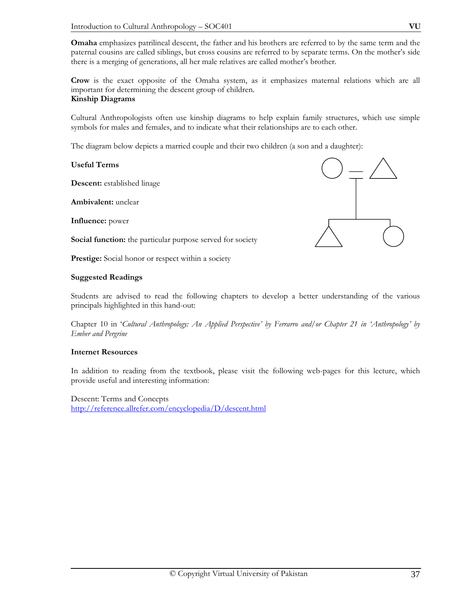**Omaha** emphasizes patrilineal descent, the father and his brothers are referred to by the same term and the paternal cousins are called siblings, but cross cousins are referred to by separate terms. On the mother's side there is a merging of generations, all her male relatives are called mother's brother.

**Crow** is the exact opposite of the Omaha system, as it emphasizes maternal relations which are all important for determining the descent group of children. **Kinship Diagrams** 

Cultural Anthropologists often use kinship diagrams to help explain family structures, which use simple symbols for males and females, and to indicate what their relationships are to each other.

The diagram below depicts a married couple and their two children (a son and a daughter):

# **Useful Terms**

**Descent:** established linage

**Ambivalent:** unclear

**Influence:** power

**Social function:** the particular purpose served for society

**Prestige:** Social honor or respect within a society

## **Suggested Readings**

Students are advised to read the following chapters to develop a better understanding of the various principals highlighted in this hand-out:

Chapter 10 in '*Cultural Anthropology: An Applied Perspective' by Ferrarro and/or Chapter 21 in 'Anthropology' by Ember and Pergrine* 

# **Internet Resources**

In addition to reading from the textbook, please visit the following web-pages for this lecture, which provide useful and interesting information:

Descent: Terms and Concepts http://reference.allrefer.com/encyclopedia/D/descent.html

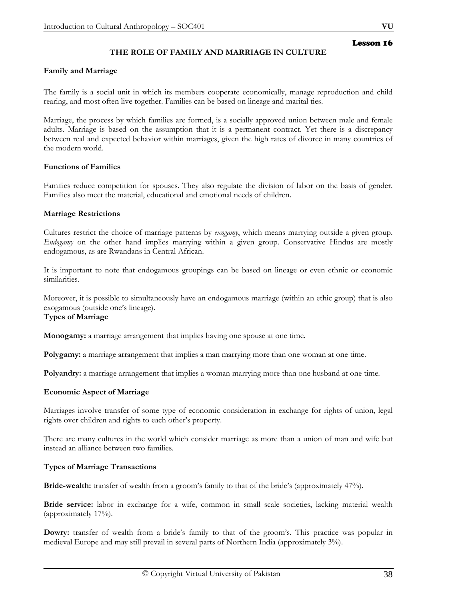# **THE ROLE OF FAMILY AND MARRIAGE IN CULTURE**

## **Family and Marriage**

The family is a social unit in which its members cooperate economically, manage reproduction and child rearing, and most often live together. Families can be based on lineage and marital ties.

Marriage, the process by which families are formed, is a socially approved union between male and female adults. Marriage is based on the assumption that it is a permanent contract. Yet there is a discrepancy between real and expected behavior within marriages, given the high rates of divorce in many countries of the modern world.

## **Functions of Families**

Families reduce competition for spouses. They also regulate the division of labor on the basis of gender. Families also meet the material, educational and emotional needs of children.

## **Marriage Restrictions**

Cultures restrict the choice of marriage patterns by *exogamy*, which means marrying outside a given group. *Endogamy* on the other hand implies marrying within a given group. Conservative Hindus are mostly endogamous, as are Rwandans in Central African.

It is important to note that endogamous groupings can be based on lineage or even ethnic or economic similarities.

Moreover, it is possible to simultaneously have an endogamous marriage (within an ethic group) that is also exogamous (outside one's lineage).

# **Types of Marriage**

**Monogamy:** a marriage arrangement that implies having one spouse at one time.

**Polygamy:** a marriage arrangement that implies a man marrying more than one woman at one time.

**Polyandry:** a marriage arrangement that implies a woman marrying more than one husband at one time.

# **Economic Aspect of Marriage**

Marriages involve transfer of some type of economic consideration in exchange for rights of union, legal rights over children and rights to each other's property.

There are many cultures in the world which consider marriage as more than a union of man and wife but instead an alliance between two families.

# **Types of Marriage Transactions**

**Bride-wealth:** transfer of wealth from a groom's family to that of the bride's (approximately 47%).

**Bride service:** labor in exchange for a wife, common in small scale societies, lacking material wealth (approximately 17%).

**Dowry:** transfer of wealth from a bride's family to that of the groom's. This practice was popular in medieval Europe and may still prevail in several parts of Northern India (approximately 3%).

Lesson 16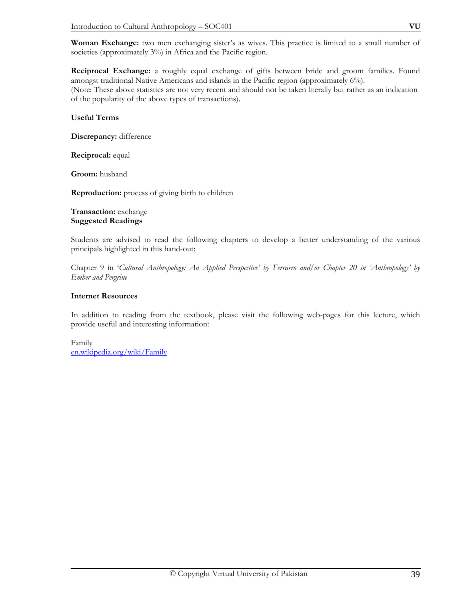**Woman Exchange:** two men exchanging sister's as wives. This practice is limited to a small number of societies (approximately 3%) in Africa and the Pacific region.

**Reciprocal Exchange:** a roughly equal exchange of gifts between bride and groom families. Found amongst traditional Native Americans and islands in the Pacific region (approximately 6%). (Note: These above statistics are not very recent and should not be taken literally but rather as an indication of the popularity of the above types of transactions).

# **Useful Terms**

**Discrepancy:** difference

**Reciprocal:** equal

**Groom:** husband

**Reproduction:** process of giving birth to children

# **Transaction:** exchange **Suggested Readings**

Students are advised to read the following chapters to develop a better understanding of the various principals highlighted in this hand-out:

Chapter 9 in '*Cultural Anthropology: An Applied Perspective' by Ferrarro and/or Chapter 20 in 'Anthropology' by Ember and Pergrine* 

# **Internet Resources**

In addition to reading from the textbook, please visit the following web-pages for this lecture, which provide useful and interesting information:

Family en.wikipedia.org/wiki/Family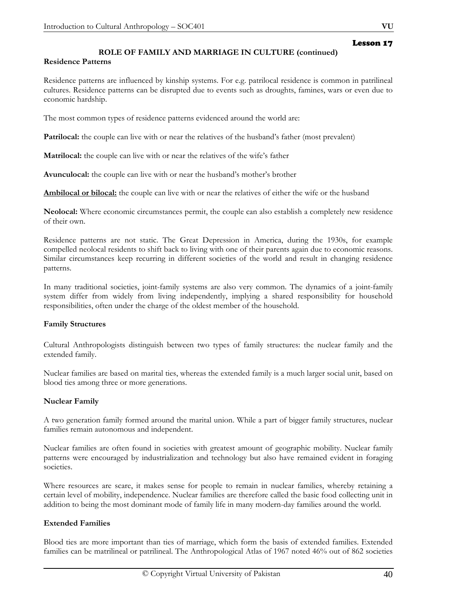# **ROLE OF FAMILY AND MARRIAGE IN CULTURE (continued)**

# **Residence Patterns**

Residence patterns are influenced by kinship systems. For e.g. patrilocal residence is common in patrilineal cultures. Residence patterns can be disrupted due to events such as droughts, famines, wars or even due to economic hardship.

The most common types of residence patterns evidenced around the world are:

**Patrilocal:** the couple can live with or near the relatives of the husband's father (most prevalent)

**Matrilocal:** the couple can live with or near the relatives of the wife's father

**Avunculocal:** the couple can live with or near the husband's mother's brother

**Ambilocal or bilocal:** the couple can live with or near the relatives of either the wife or the husband

**Neolocal:** Where economic circumstances permit, the couple can also establish a completely new residence of their own.

Residence patterns are not static. The Great Depression in America, during the 1930s, for example compelled neolocal residents to shift back to living with one of their parents again due to economic reasons. Similar circumstances keep recurring in different societies of the world and result in changing residence patterns.

In many traditional societies, joint-family systems are also very common. The dynamics of a joint-family system differ from widely from living independently, implying a shared responsibility for household responsibilities, often under the charge of the oldest member of the household.

# **Family Structures**

Cultural Anthropologists distinguish between two types of family structures: the nuclear family and the extended family.

Nuclear families are based on marital ties, whereas the extended family is a much larger social unit, based on blood ties among three or more generations.

# **Nuclear Family**

A two generation family formed around the marital union. While a part of bigger family structures, nuclear families remain autonomous and independent.

Nuclear families are often found in societies with greatest amount of geographic mobility. Nuclear family patterns were encouraged by industrialization and technology but also have remained evident in foraging societies.

Where resources are scare, it makes sense for people to remain in nuclear families, whereby retaining a certain level of mobility, independence. Nuclear families are therefore called the basic food collecting unit in addition to being the most dominant mode of family life in many modern-day families around the world.

# **Extended Families**

Blood ties are more important than ties of marriage, which form the basis of extended families. Extended families can be matrilineal or patrilineal. The Anthropological Atlas of 1967 noted 46% out of 862 societies

Lesson 17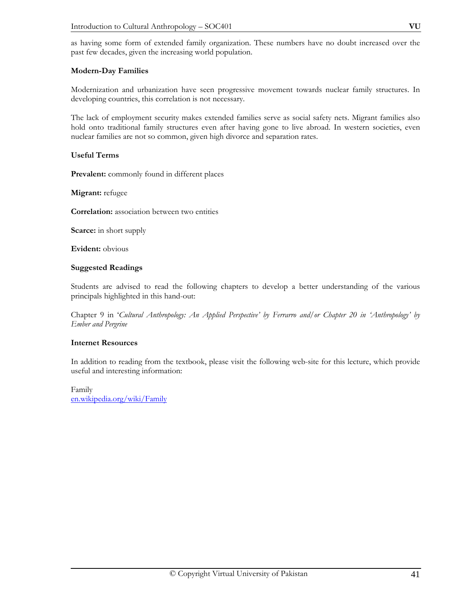as having some form of extended family organization. These numbers have no doubt increased over the past few decades, given the increasing world population.

# **Modern-Day Families**

Modernization and urbanization have seen progressive movement towards nuclear family structures. In developing countries, this correlation is not necessary.

The lack of employment security makes extended families serve as social safety nets. Migrant families also hold onto traditional family structures even after having gone to live abroad. In western societies, even nuclear families are not so common, given high divorce and separation rates.

# **Useful Terms**

**Prevalent:** commonly found in different places

**Migrant:** refugee

**Correlation:** association between two entities

**Scarce:** in short supply

**Evident:** obvious

# **Suggested Readings**

Students are advised to read the following chapters to develop a better understanding of the various principals highlighted in this hand-out:

Chapter 9 in '*Cultural Anthropology: An Applied Perspective' by Ferrarro and/or Chapter 20 in 'Anthropology' by Ember and Pergrine*

# **Internet Resources**

In addition to reading from the textbook, please visit the following web-site for this lecture, which provide useful and interesting information:

Family en.wikipedia.org/wiki/Family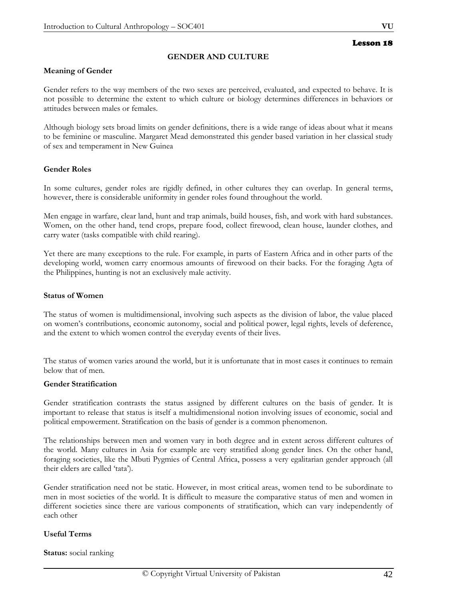## **GENDER AND CULTURE**

### **Meaning of Gender**

Gender refers to the way members of the two sexes are perceived, evaluated, and expected to behave. It is not possible to determine the extent to which culture or biology determines differences in behaviors or attitudes between males or females.

Although biology sets broad limits on gender definitions, there is a wide range of ideas about what it means to be feminine or masculine. Margaret Mead demonstrated this gender based variation in her classical study of sex and temperament in New Guinea

## **Gender Roles**

In some cultures, gender roles are rigidly defined, in other cultures they can overlap. In general terms, however, there is considerable uniformity in gender roles found throughout the world.

Men engage in warfare, clear land, hunt and trap animals, build houses, fish, and work with hard substances. Women, on the other hand, tend crops, prepare food, collect firewood, clean house, launder clothes, and carry water (tasks compatible with child rearing).

Yet there are many exceptions to the rule. For example, in parts of Eastern Africa and in other parts of the developing world, women carry enormous amounts of firewood on their backs. For the foraging Agta of the Philippines, hunting is not an exclusively male activity.

### **Status of Women**

The status of women is multidimensional, involving such aspects as the division of labor, the value placed on women's contributions, economic autonomy, social and political power, legal rights, levels of deference, and the extent to which women control the everyday events of their lives.

The status of women varies around the world, but it is unfortunate that in most cases it continues to remain below that of men.

#### **Gender Stratification**

Gender stratification contrasts the status assigned by different cultures on the basis of gender. It is important to release that status is itself a multidimensional notion involving issues of economic, social and political empowerment. Stratification on the basis of gender is a common phenomenon.

The relationships between men and women vary in both degree and in extent across different cultures of the world. Many cultures in Asia for example are very stratified along gender lines. On the other hand, foraging societies, like the Mbuti Pygmies of Central Africa, possess a very egalitarian gender approach (all their elders are called 'tata').

Gender stratification need not be static. However, in most critical areas, women tend to be subordinate to men in most societies of the world. It is difficult to measure the comparative status of men and women in different societies since there are various components of stratification, which can vary independently of each other

#### **Useful Terms**

**Status:** social ranking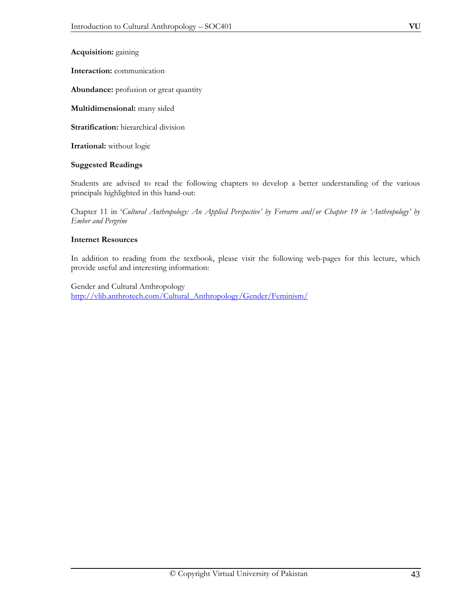**Interaction:** communication

**Abundance:** profusion or great quantity

**Multidimensional:** many sided

**Stratification:** hierarchical division

**Irrational:** without logic

# **Suggested Readings**

Students are advised to read the following chapters to develop a better understanding of the various principals highlighted in this hand-out:

Chapter 11 in '*Cultural Anthropology: An Applied Perspective' by Ferrarro and/or Chapter 19 in 'Anthropology' by Ember and Pergrine* 

# **Internet Resources**

In addition to reading from the textbook, please visit the following web-pages for this lecture, which provide useful and interesting information:

Gender and Cultural Anthropology http://vlib.anthrotech.com/Cultural\_Anthropology/Gender/Feminism/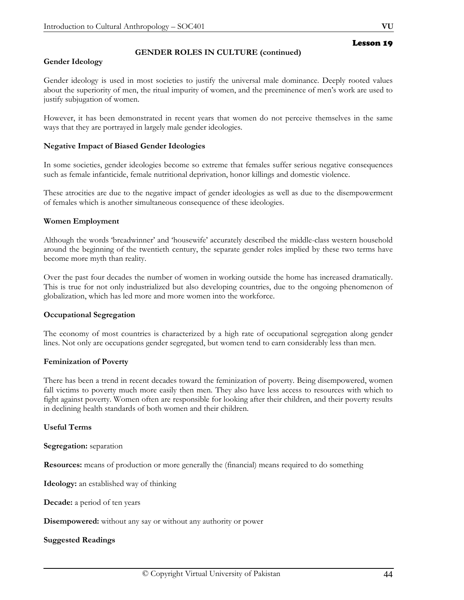# **GENDER ROLES IN CULTURE (continued)**

## **Gender Ideology**

Gender ideology is used in most societies to justify the universal male dominance. Deeply rooted values about the superiority of men, the ritual impurity of women, and the preeminence of men's work are used to justify subjugation of women.

However, it has been demonstrated in recent years that women do not perceive themselves in the same ways that they are portrayed in largely male gender ideologies.

## **Negative Impact of Biased Gender Ideologies**

In some societies, gender ideologies become so extreme that females suffer serious negative consequences such as female infanticide, female nutritional deprivation, honor killings and domestic violence.

These atrocities are due to the negative impact of gender ideologies as well as due to the disempowerment of females which is another simultaneous consequence of these ideologies.

## **Women Employment**

Although the words 'breadwinner' and 'housewife' accurately described the middle-class western household around the beginning of the twentieth century, the separate gender roles implied by these two terms have become more myth than reality.

Over the past four decades the number of women in working outside the home has increased dramatically. This is true for not only industrialized but also developing countries, due to the ongoing phenomenon of globalization, which has led more and more women into the workforce.

#### **Occupational Segregation**

The economy of most countries is characterized by a high rate of occupational segregation along gender lines. Not only are occupations gender segregated, but women tend to earn considerably less than men.

#### **Feminization of Poverty**

There has been a trend in recent decades toward the feminization of poverty. Being disempowered, women fall victims to poverty much more easily then men. They also have less access to resources with which to fight against poverty. Women often are responsible for looking after their children, and their poverty results in declining health standards of both women and their children.

# **Useful Terms**

**Segregation:** separation

**Resources:** means of production or more generally the (financial) means required to do something

**Ideology:** an established way of thinking

**Decade:** a period of ten years

**Disempowered:** without any say or without any authority or power

# **Suggested Readings**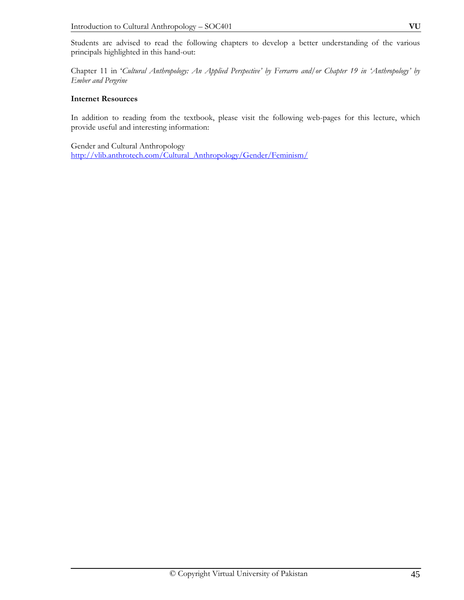Chapter 11 in '*Cultural Anthropology: An Applied Perspective' by Ferrarro and/or Chapter 19 in 'Anthropology' by Ember and Pergrine* 

# **Internet Resources**

In addition to reading from the textbook, please visit the following web-pages for this lecture, which provide useful and interesting information:

Gender and Cultural Anthropology http://vlib.anthrotech.com/Cultural\_Anthropology/Gender/Feminism/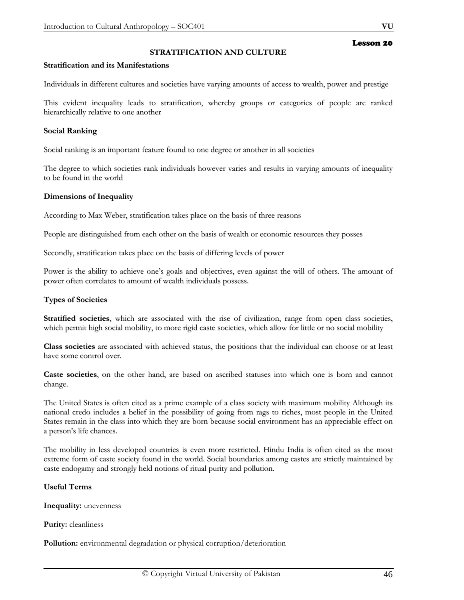## **STRATIFICATION AND CULTURE**

#### **Stratification and its Manifestations**

Individuals in different cultures and societies have varying amounts of access to wealth, power and prestige

This evident inequality leads to stratification, whereby groups or categories of people are ranked hierarchically relative to one another

#### **Social Ranking**

Social ranking is an important feature found to one degree or another in all societies

The degree to which societies rank individuals however varies and results in varying amounts of inequality to be found in the world

#### **Dimensions of Inequality**

According to Max Weber, stratification takes place on the basis of three reasons

People are distinguished from each other on the basis of wealth or economic resources they posses

Secondly, stratification takes place on the basis of differing levels of power

Power is the ability to achieve one's goals and objectives, even against the will of others. The amount of power often correlates to amount of wealth individuals possess.

#### **Types of Societies**

**Stratified societies**, which are associated with the rise of civilization, range from open class societies, which permit high social mobility, to more rigid caste societies, which allow for little or no social mobility

**Class societies** are associated with achieved status, the positions that the individual can choose or at least have some control over.

**Caste societies**, on the other hand, are based on ascribed statuses into which one is born and cannot change.

The United States is often cited as a prime example of a class society with maximum mobility Although its national credo includes a belief in the possibility of going from rags to riches, most people in the United States remain in the class into which they are born because social environment has an appreciable effect on a person's life chances.

The mobility in less developed countries is even more restricted. Hindu India is often cited as the most extreme form of caste society found in the world. Social boundaries among castes are strictly maintained by caste endogamy and strongly held notions of ritual purity and pollution.

### **Useful Terms**

**Inequality:** unevenness

**Purity:** cleanliness

**Pollution:** environmental degradation or physical corruption/deterioration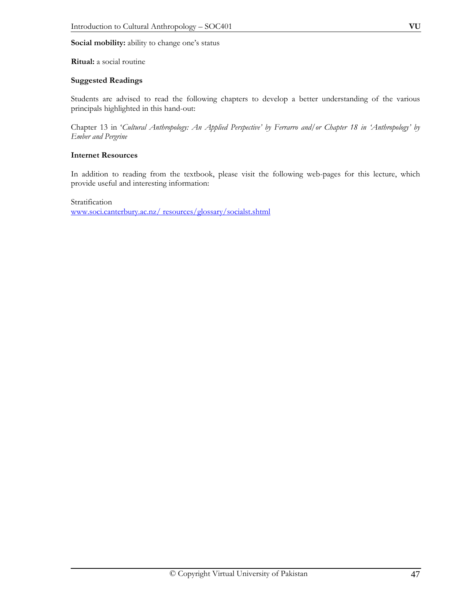## **Social mobility:** ability to change one's status

## **Ritual:** a social routine

## **Suggested Readings**

Students are advised to read the following chapters to develop a better understanding of the various principals highlighted in this hand-out:

Chapter 13 in '*Cultural Anthropology: An Applied Perspective' by Ferrarro and/or Chapter 18 in 'Anthropology' by Ember and Pergrine*

## **Internet Resources**

In addition to reading from the textbook, please visit the following web-pages for this lecture, which provide useful and interesting information:

Stratification www.soci.canterbury.ac.nz/ resources/glossary/socialst.shtml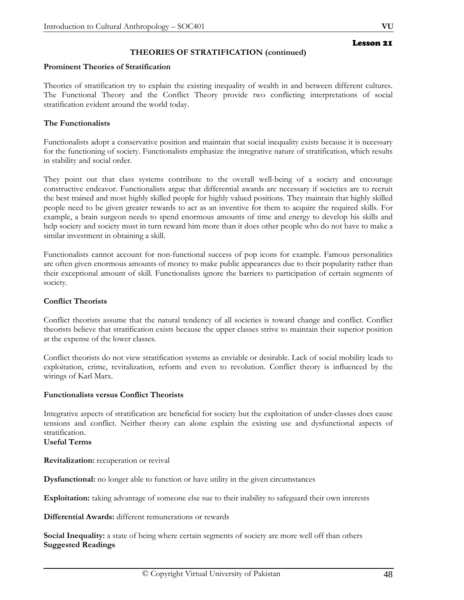# **THEORIES OF STRATIFICATION (continued)**

## **Prominent Theories of Stratification**

Theories of stratification try to explain the existing inequality of wealth in and between different cultures. The Functional Theory and the Conflict Theory provide two conflicting interpretations of social stratification evident around the world today.

# **The Functionalists**

Functionalists adopt a conservative position and maintain that social inequality exists because it is necessary for the functioning of society. Functionalists emphasize the integrative nature of stratification, which results in stability and social order.

They point out that class systems contribute to the overall well-being of a society and encourage constructive endeavor. Functionalists argue that differential awards are necessary if societies are to recruit the best trained and most highly skilled people for highly valued positions. They maintain that highly skilled people need to be given greater rewards to act as an inventive for them to acquire the required skills. For example, a brain surgeon needs to spend enormous amounts of time and energy to develop his skills and help society and society must in turn reward him more than it does other people who do not have to make a similar investment in obtaining a skill.

Functionalists cannot account for non-functional success of pop icons for example. Famous personalities are often given enormous amounts of money to make public appearances due to their popularity rather than their exceptional amount of skill. Functionalists ignore the barriers to participation of certain segments of society.

#### **Conflict Theorists**

Conflict theorists assume that the natural tendency of all societies is toward change and conflict. Conflict theorists believe that stratification exists because the upper classes strive to maintain their superior position at the expense of the lower classes.

Conflict theorists do not view stratification systems as enviable or desirable. Lack of social mobility leads to exploitation, crime, revitalization, reform and even to revolution. Conflict theory is influenced by the wirings of Karl Marx.

#### **Functionalists versus Conflict Theorists**

Integrative aspects of stratification are beneficial for society but the exploitation of under-classes does cause tensions and conflict. Neither theory can alone explain the existing use and dysfunctional aspects of stratification.

# **Useful Terms**

**Revitalization:** recuperation or revival

**Dysfunctional:** no longer able to function or have utility in the given circumstances

**Exploitation:** taking advantage of someone else sue to their inability to safeguard their own interests

**Differential Awards:** different remunerations or rewards

**Social Inequality:** a state of being where certain segments of society are more well off than others **Suggested Readings**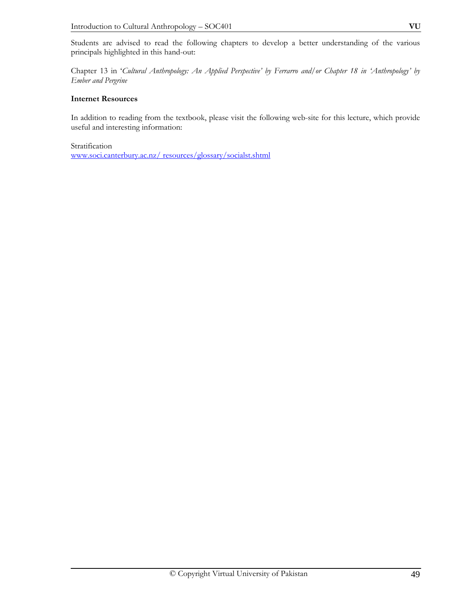Students are advised to read the following chapters to develop a better understanding of the various principals highlighted in this hand-out:

Chapter 13 in '*Cultural Anthropology: An Applied Perspective' by Ferrarro and/or Chapter 18 in 'Anthropology' by Ember and Pergrine* 

# **Internet Resources**

In addition to reading from the textbook, please visit the following web-site for this lecture, which provide useful and interesting information:

Stratification

www.soci.canterbury.ac.nz/ resources/glossary/socialst.shtml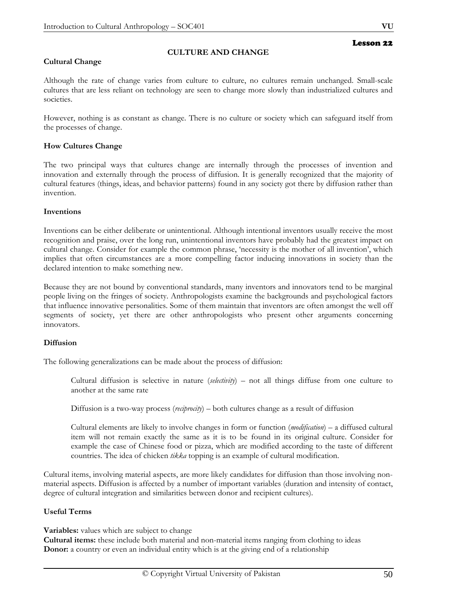# **Cultural Change**

# **CULTURE AND CHANGE**

Although the rate of change varies from culture to culture, no cultures remain unchanged. Small-scale cultures that are less reliant on technology are seen to change more slowly than industrialized cultures and societies.

However, nothing is as constant as change. There is no culture or society which can safeguard itself from the processes of change.

## **How Cultures Change**

The two principal ways that cultures change are internally through the processes of invention and innovation and externally through the process of diffusion. It is generally recognized that the majority of cultural features (things, ideas, and behavior patterns) found in any society got there by diffusion rather than invention.

#### **Inventions**

Inventions can be either deliberate or unintentional. Although intentional inventors usually receive the most recognition and praise, over the long run, unintentional inventors have probably had the greatest impact on cultural change. Consider for example the common phrase, 'necessity is the mother of all invention', which implies that often circumstances are a more compelling factor inducing innovations in society than the declared intention to make something new.

Because they are not bound by conventional standards, many inventors and innovators tend to be marginal people living on the fringes of society. Anthropologists examine the backgrounds and psychological factors that influence innovative personalities. Some of them maintain that inventors are often amongst the well off segments of society, yet there are other anthropologists who present other arguments concerning innovators.

#### **Diffusion**

The following generalizations can be made about the process of diffusion:

Cultural diffusion is selective in nature (*selectivity*) – not all things diffuse from one culture to another at the same rate

Diffusion is a two-way process (*reciprocity*) – both cultures change as a result of diffusion

Cultural elements are likely to involve changes in form or function (*modification*) – a diffused cultural item will not remain exactly the same as it is to be found in its original culture. Consider for example the case of Chinese food or pizza, which are modified according to the taste of different countries. The idea of chicken *tikka* topping is an example of cultural modification.

Cultural items, involving material aspects, are more likely candidates for diffusion than those involving nonmaterial aspects. Diffusion is affected by a number of important variables (duration and intensity of contact, degree of cultural integration and similarities between donor and recipient cultures).

#### **Useful Terms**

**Variables:** values which are subject to change

**Cultural items:** these include both material and non-material items ranging from clothing to ideas **Donor:** a country or even an individual entity which is at the giving end of a relationship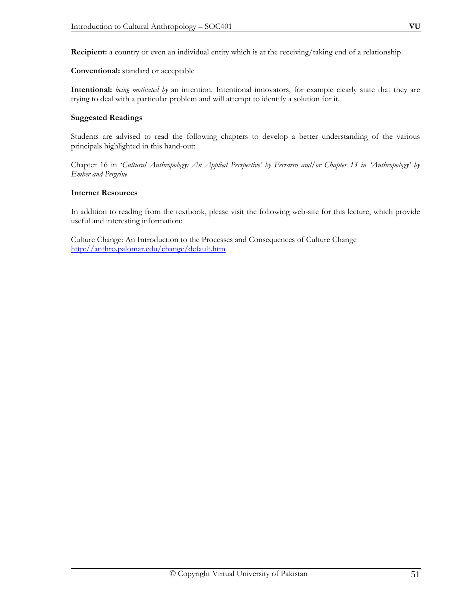**Recipient:** a country or even an individual entity which is at the receiving/taking end of a relationship

**Conventional:** standard or acceptable

**Intentional:** *being motivated by* an intention. Intentional innovators, for example clearly state that they are trying to deal with a particular problem and will attempt to identify a solution for it.

## **Suggested Readings**

Students are advised to read the following chapters to develop a better understanding of the various principals highlighted in this hand-out:

Chapter 16 in '*Cultural Anthropology: An Applied Perspective' by Ferrarro and/or Chapter 13 in 'Anthropology' by Ember and Pergrine* 

## **Internet Resources**

In addition to reading from the textbook, please visit the following web-site for this lecture, which provide useful and interesting information:

Culture Change: An Introduction to the Processes and Consequences of Culture Change http://anthro.palomar.edu/change/default.htm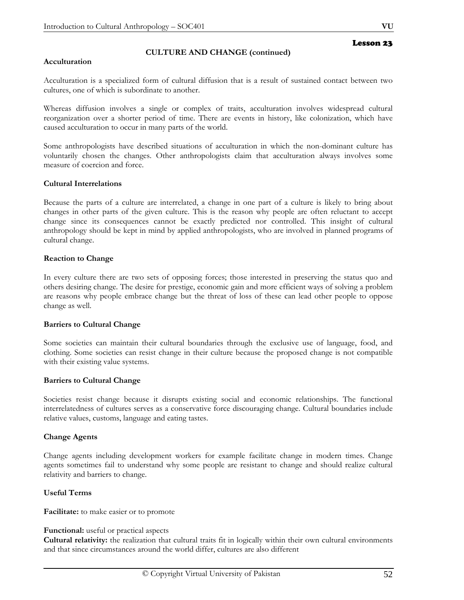# **CULTURE AND CHANGE (continued)**

### **Acculturation**

Acculturation is a specialized form of cultural diffusion that is a result of sustained contact between two cultures, one of which is subordinate to another.

Whereas diffusion involves a single or complex of traits, acculturation involves widespread cultural reorganization over a shorter period of time. There are events in history, like colonization, which have caused acculturation to occur in many parts of the world.

Some anthropologists have described situations of acculturation in which the non-dominant culture has voluntarily chosen the changes. Other anthropologists claim that acculturation always involves some measure of coercion and force.

## **Cultural Interrelations**

Because the parts of a culture are interrelated, a change in one part of a culture is likely to bring about changes in other parts of the given culture. This is the reason why people are often reluctant to accept change since its consequences cannot be exactly predicted nor controlled. This insight of cultural anthropology should be kept in mind by applied anthropologists, who are involved in planned programs of cultural change.

## **Reaction to Change**

In every culture there are two sets of opposing forces; those interested in preserving the status quo and others desiring change. The desire for prestige, economic gain and more efficient ways of solving a problem are reasons why people embrace change but the threat of loss of these can lead other people to oppose change as well.

#### **Barriers to Cultural Change**

Some societies can maintain their cultural boundaries through the exclusive use of language, food, and clothing. Some societies can resist change in their culture because the proposed change is not compatible with their existing value systems.

# **Barriers to Cultural Change**

Societies resist change because it disrupts existing social and economic relationships. The functional interrelatedness of cultures serves as a conservative force discouraging change. Cultural boundaries include relative values, customs, language and eating tastes.

# **Change Agents**

Change agents including development workers for example facilitate change in modern times. Change agents sometimes fail to understand why some people are resistant to change and should realize cultural relativity and barriers to change.

# **Useful Terms**

**Facilitate:** to make easier or to promote

# **Functional:** useful or practical aspects

**Cultural relativity:** the realization that cultural traits fit in logically within their own cultural environments and that since circumstances around the world differ, cultures are also different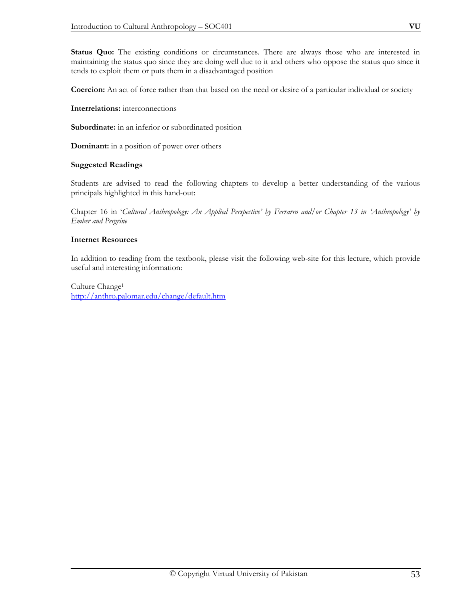**Status Quo:** The existing conditions or circumstances. There are always those who are interested in maintaining the status quo since they are doing well due to it and others who oppose the status quo since it tends to exploit them or puts them in a disadvantaged position

**Coercion:** An act of force rather than that based on the need or desire of a particular individual or society

**Interrelations:** interconnections

Subordinate: in an inferior or subordinated position

**Dominant:** in a position of power over others

## **Suggested Readings**

Students are advised to read the following chapters to develop a better understanding of the various principals highlighted in this hand-out:

Chapter 16 in '*Cultural Anthropology: An Applied Perspective' by Ferrarro and/or Chapter 13 in 'Anthropology' by Ember and Pergrine* 

## **Internet Resources**

 $\overline{a}$ 

In addition to reading from the textbook, please visit the following web-site for this lecture, which provide useful and interesting information:

Culture Change1 http://anthro.palomar.edu/change/default.htm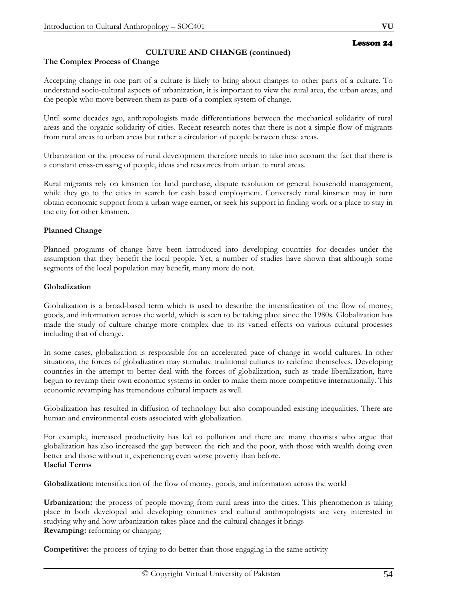# **CULTURE AND CHANGE (continued)**

# **The Complex Process of Change**

Accepting change in one part of a culture is likely to bring about changes to other parts of a culture. To understand socio-cultural aspects of urbanization, it is important to view the rural area, the urban areas, and the people who move between them as parts of a complex system of change.

Until some decades ago, anthropologists made differentiations between the mechanical solidarity of rural areas and the organic solidarity of cities. Recent research notes that there is not a simple flow of migrants from rural areas to urban areas but rather a circulation of people between these areas.

Urbanization or the process of rural development therefore needs to take into account the fact that there is a constant criss-crossing of people, ideas and resources from urban to rural areas.

Rural migrants rely on kinsmen for land purchase, dispute resolution or general household management, while they go to the cities in search for cash based employment. Conversely rural kinsmen may in turn obtain economic support from a urban wage earner, or seek his support in finding work or a place to stay in the city for other kinsmen.

# **Planned Change**

Planned programs of change have been introduced into developing countries for decades under the assumption that they benefit the local people. Yet, a number of studies have shown that although some segments of the local population may benefit, many more do not.

# **Globalization**

Globalization is a broad-based term which is used to describe the intensification of the flow of money, goods, and information across the world, which is seen to be taking place since the 1980s. Globalization has made the study of culture change more complex due to its varied effects on various cultural processes including that of change.

In some cases, globalization is responsible for an accelerated pace of change in world cultures. In other situations, the forces of globalization may stimulate traditional cultures to redefine themselves. Developing countries in the attempt to better deal with the forces of globalization, such as trade liberalization, have begun to revamp their own economic systems in order to make them more competitive internationally. This economic revamping has tremendous cultural impacts as well.

Globalization has resulted in diffusion of technology but also compounded existing inequalities. There are human and environmental costs associated with globalization.

For example, increased productivity has led to pollution and there are many theorists who argue that globalization has also increased the gap between the rich and the poor, with those with wealth doing even better and those without it, experiencing even worse poverty than before. **Useful Terms** 

**Globalization:** intensification of the flow of money, goods, and information across the world

**Urbanization:** the process of people moving from rural areas into the cities. This phenomenon is taking place in both developed and developing countries and cultural anthropologists are very interested in studying why and how urbanization takes place and the cultural changes it brings **Revamping:** reforming or changing

**Competitive:** the process of trying to do better than those engaging in the same activity

Lesson 24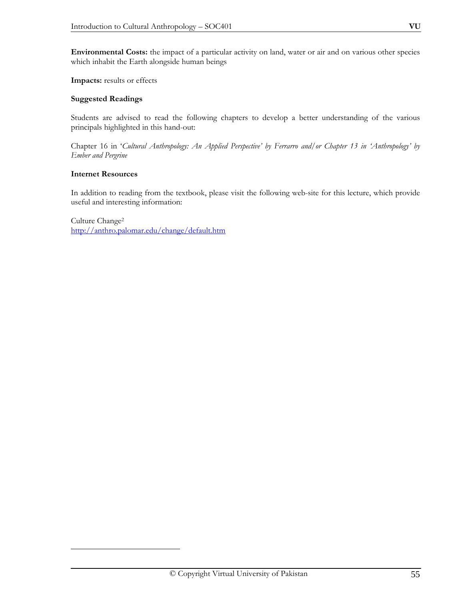**Environmental Costs:** the impact of a particular activity on land, water or air and on various other species which inhabit the Earth alongside human beings

**Impacts:** results or effects

# **Suggested Readings**

Students are advised to read the following chapters to develop a better understanding of the various principals highlighted in this hand-out:

Chapter 16 in '*Cultural Anthropology: An Applied Perspective' by Ferrarro and/or Chapter 13 in 'Anthropology' by Ember and Pergrine*

## **Internet Resources**

 $\overline{a}$ 

In addition to reading from the textbook, please visit the following web-site for this lecture, which provide useful and interesting information:

Culture Change2 http://anthro.palomar.edu/change/default.htm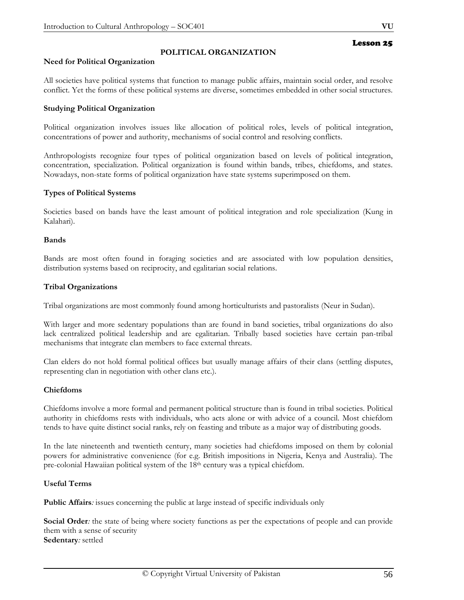# **POLITICAL ORGANIZATION**

# **Need for Political Organization**

All societies have political systems that function to manage public affairs, maintain social order, and resolve conflict. Yet the forms of these political systems are diverse, sometimes embedded in other social structures.

# **Studying Political Organization**

Political organization involves issues like allocation of political roles, levels of political integration, concentrations of power and authority, mechanisms of social control and resolving conflicts.

Anthropologists recognize four types of political organization based on levels of political integration, concentration, specialization. Political organization is found within bands, tribes, chiefdoms, and states. Nowadays, non-state forms of political organization have state systems superimposed on them.

# **Types of Political Systems**

Societies based on bands have the least amount of political integration and role specialization (Kung in Kalahari).

# **Bands**

Bands are most often found in foraging societies and are associated with low population densities, distribution systems based on reciprocity, and egalitarian social relations.

# **Tribal Organizations**

Tribal organizations are most commonly found among horticulturists and pastoralists (Neur in Sudan).

With larger and more sedentary populations than are found in band societies, tribal organizations do also lack centralized political leadership and are egalitarian. Tribally based societies have certain pan-tribal mechanisms that integrate clan members to face external threats.

Clan elders do not hold formal political offices but usually manage affairs of their clans (settling disputes, representing clan in negotiation with other clans etc.).

# **Chiefdoms**

Chiefdoms involve a more formal and permanent political structure than is found in tribal societies. Political authority in chiefdoms rests with individuals, who acts alone or with advice of a council. Most chiefdom tends to have quite distinct social ranks, rely on feasting and tribute as a major way of distributing goods.

In the late nineteenth and twentieth century, many societies had chiefdoms imposed on them by colonial powers for administrative convenience (for e.g. British impositions in Nigeria, Kenya and Australia). The pre-colonial Hawaiian political system of the 18th century was a typical chiefdom.

# **Useful Terms**

**Public Affairs***:* issues concerning the public at large instead of specific individuals only

**Social Order***:* the state of being where society functions as per the expectations of people and can provide them with a sense of security **Sedentary***:* settled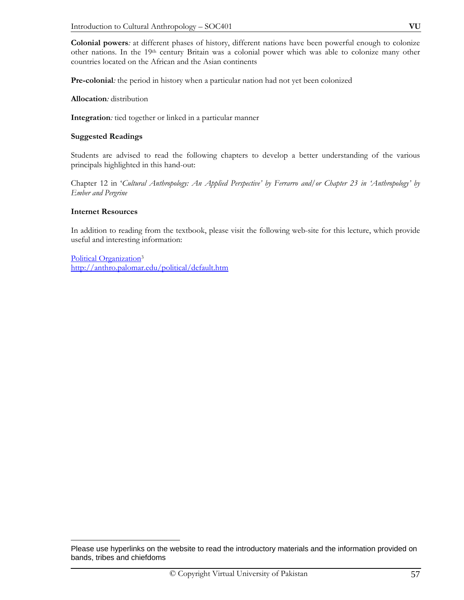**Colonial powers***:* at different phases of history, different nations have been powerful enough to colonize other nations. In the 19th century Britain was a colonial power which was able to colonize many other countries located on the African and the Asian continents

**Pre-colonial***:* the period in history when a particular nation had not yet been colonized

**Allocation***:* distribution

**Integration***:* tied together or linked in a particular manner

## **Suggested Readings**

Students are advised to read the following chapters to develop a better understanding of the various principals highlighted in this hand-out:

Chapter 12 in '*Cultural Anthropology: An Applied Perspective' by Ferrarro and/or Chapter 23 in 'Anthropology' by Ember and Pergrine* 

## **Internet Resources**

In addition to reading from the textbook, please visit the following web-site for this lecture, which provide useful and interesting information:

Political Organization3 http://anthro.palomar.edu/political/default.htm

 $\overline{a}$ Please use hyperlinks on the website to read the introductory materials and the information provided on bands, tribes and chiefdoms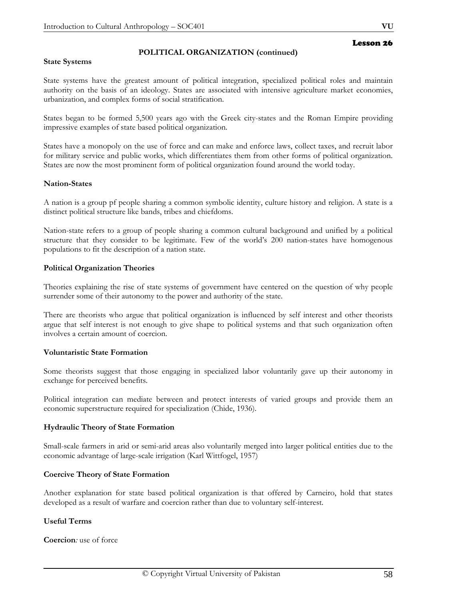# **POLITICAL ORGANIZATION (continued)**

### **State Systems**

State systems have the greatest amount of political integration, specialized political roles and maintain authority on the basis of an ideology. States are associated with intensive agriculture market economies, urbanization, and complex forms of social stratification.

States began to be formed 5,500 years ago with the Greek city-states and the Roman Empire providing impressive examples of state based political organization.

States have a monopoly on the use of force and can make and enforce laws, collect taxes, and recruit labor for military service and public works, which differentiates them from other forms of political organization. States are now the most prominent form of political organization found around the world today.

## **Nation-States**

A nation is a group pf people sharing a common symbolic identity, culture history and religion. A state is a distinct political structure like bands, tribes and chiefdoms.

Nation-state refers to a group of people sharing a common cultural background and unified by a political structure that they consider to be legitimate. Few of the world's 200 nation-states have homogenous populations to fit the description of a nation state.

## **Political Organization Theories**

Theories explaining the rise of state systems of government have centered on the question of why people surrender some of their autonomy to the power and authority of the state.

There are theorists who argue that political organization is influenced by self interest and other theorists argue that self interest is not enough to give shape to political systems and that such organization often involves a certain amount of coercion.

# **Voluntaristic State Formation**

Some theorists suggest that those engaging in specialized labor voluntarily gave up their autonomy in exchange for perceived benefits.

Political integration can mediate between and protect interests of varied groups and provide them an economic superstructure required for specialization (Chide, 1936).

# **Hydraulic Theory of State Formation**

Small-scale farmers in arid or semi-arid areas also voluntarily merged into larger political entities due to the economic advantage of large-scale irrigation (Karl Wittfogel, 1957)

#### **Coercive Theory of State Formation**

Another explanation for state based political organization is that offered by Carneiro, hold that states developed as a result of warfare and coercion rather than due to voluntary self-interest.

# **Useful Terms**

**Coercion***:* use of force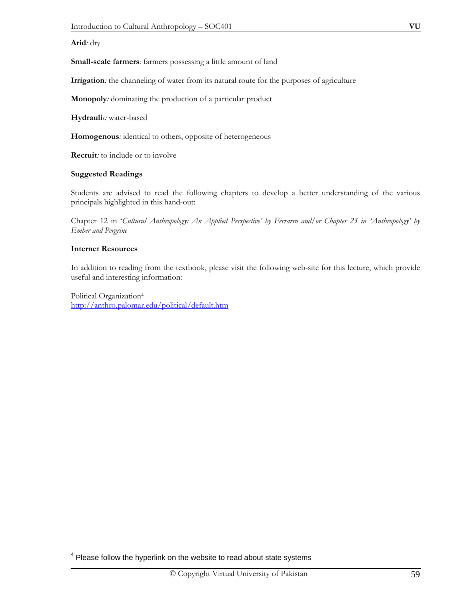# **Arid***:* dry

**Small-scale farmers***:* farmers possessing a little amount of land

**Irrigation***:* the channeling of water from its natural route for the purposes of agriculture

**Monopoly***:* dominating the production of a particular product

**Hydrauli***c:* water-based

**Homogenous***:* identical to others, opposite of heterogeneous

**Recruit***:* to include or to involve

#### **Suggested Readings**

Students are advised to read the following chapters to develop a better understanding of the various principals highlighted in this hand-out:

Chapter 12 in '*Cultural Anthropology: An Applied Perspective' by Ferrarro and/or Chapter 23 in 'Anthropology' by Ember and Pergrine* 

## **Internet Resources**

 $\overline{a}$ 

In addition to reading from the textbook, please visit the following web-site for this lecture, which provide useful and interesting information:

Political Organization4 http://anthro.palomar.edu/political/default.htm

 $4$  Please follow the hyperlink on the website to read about state systems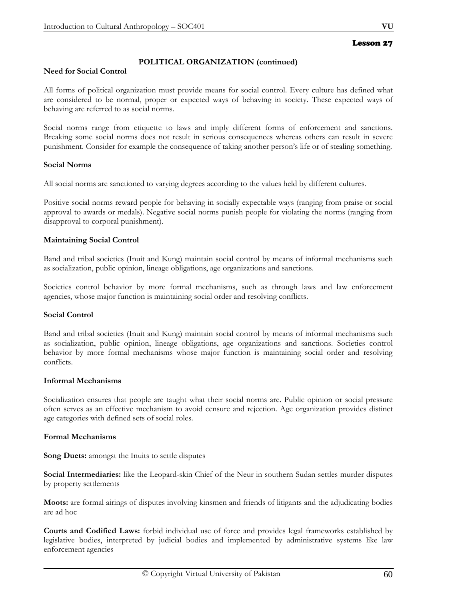# **POLITICAL ORGANIZATION (continued)**

## **Need for Social Control**

All forms of political organization must provide means for social control. Every culture has defined what are considered to be normal, proper or expected ways of behaving in society. These expected ways of behaving are referred to as social norms.

Social norms range from etiquette to laws and imply different forms of enforcement and sanctions. Breaking some social norms does not result in serious consequences whereas others can result in severe punishment. Consider for example the consequence of taking another person's life or of stealing something.

# **Social Norms**

All social norms are sanctioned to varying degrees according to the values held by different cultures.

Positive social norms reward people for behaving in socially expectable ways (ranging from praise or social approval to awards or medals). Negative social norms punish people for violating the norms (ranging from disapproval to corporal punishment).

# **Maintaining Social Control**

Band and tribal societies (Inuit and Kung) maintain social control by means of informal mechanisms such as socialization, public opinion, lineage obligations, age organizations and sanctions.

Societies control behavior by more formal mechanisms, such as through laws and law enforcement agencies, whose major function is maintaining social order and resolving conflicts.

# **Social Control**

Band and tribal societies (Inuit and Kung) maintain social control by means of informal mechanisms such as socialization, public opinion, lineage obligations, age organizations and sanctions. Societies control behavior by more formal mechanisms whose major function is maintaining social order and resolving conflicts.

#### **Informal Mechanisms**

Socialization ensures that people are taught what their social norms are. Public opinion or social pressure often serves as an effective mechanism to avoid censure and rejection. Age organization provides distinct age categories with defined sets of social roles.

# **Formal Mechanisms**

**Song Duets:** amongst the Inuits to settle disputes

**Social Intermediaries:** like the Leopard-skin Chief of the Neur in southern Sudan settles murder disputes by property settlements

**Moots:** are formal airings of disputes involving kinsmen and friends of litigants and the adjudicating bodies are ad hoc

**Courts and Codified Laws:** forbid individual use of force and provides legal frameworks established by legislative bodies, interpreted by judicial bodies and implemented by administrative systems like law enforcement agencies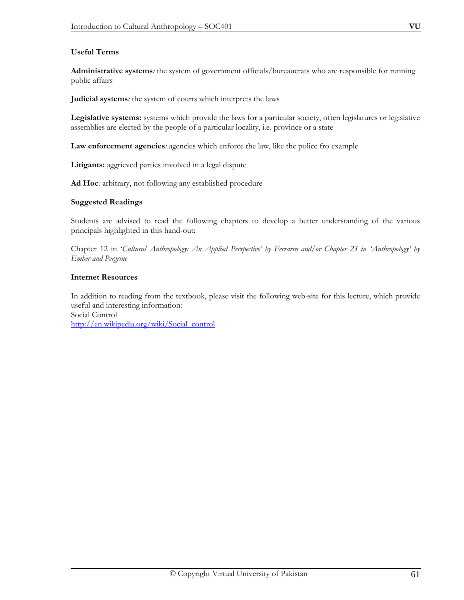# **Useful Terms**

**Administrative systems***:* the system of government officials/bureaucrats who are responsible for running public affairs

**Judicial systems***:* the system of courts which interprets the laws

**Legislative systems:** systems which provide the laws for a particular society, often legislatures or legislative assemblies are elected by the people of a particular locality, i.e. province or a state

**Law enforcement agencies***:* agencies which enforce the law, like the police fro example

**Litigants:** aggrieved parties involved in a legal dispute

**Ad Hoc***:* arbitrary, not following any established procedure

# **Suggested Readings**

Students are advised to read the following chapters to develop a better understanding of the various principals highlighted in this hand-out:

Chapter 12 in '*Cultural Anthropology: An Applied Perspective' by Ferrarro and/or Chapter 23 in 'Anthropology' by Ember and Pergrine*

# **Internet Resources**

In addition to reading from the textbook, please visit the following web-site for this lecture, which provide useful and interesting information: Social Control http://en.wikipedia.org/wiki/Social\_control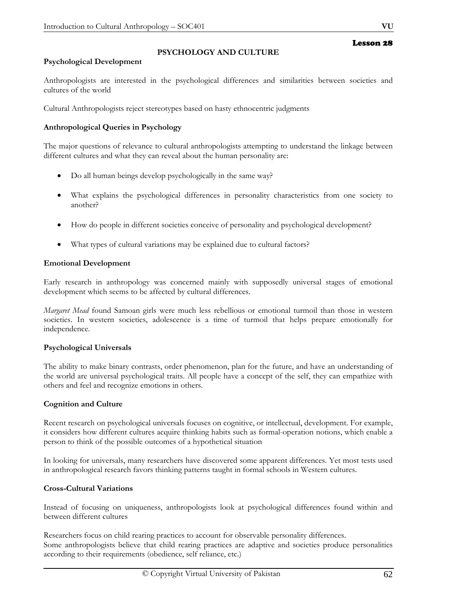# **Psychological Development**

Anthropologists are interested in the psychological differences and similarities between societies and cultures of the world

**PSYCHOLOGY AND CULTURE** 

Cultural Anthropologists reject stereotypes based on hasty ethnocentric judgments

# **Anthropological Queries in Psychology**

The major questions of relevance to cultural anthropologists attempting to understand the linkage between different cultures and what they can reveal about the human personality are:

- Do all human beings develop psychologically in the same way?
- What explains the psychological differences in personality characteristics from one society to another?
- How do people in different societies conceive of personality and psychological development?
- What types of cultural variations may be explained due to cultural factors?

# **Emotional Development**

Early research in anthropology was concerned mainly with supposedly universal stages of emotional development which seems to be affected by cultural differences.

*Margaret Mead* found Samoan girls were much less rebellious or emotional turmoil than those in western societies. In western societies, adolescence is a time of turmoil that helps prepare emotionally for independence.

# **Psychological Universals**

The ability to make binary contrasts, order phenomenon, plan for the future, and have an understanding of the world are universal psychological traits. All people have a concept of the self, they can empathize with others and feel and recognize emotions in others.

# **Cognition and Culture**

Recent research on psychological universals focuses on cognitive, or intellectual, development. For example, it considers how different cultures acquire thinking habits such as formal-operation notions, which enable a person to think of the possible outcomes of a hypothetical situation

In looking for universals, many researchers have discovered some apparent differences. Yet most tests used in anthropological research favors thinking patterns taught in formal schools in Western cultures.

# **Cross-Cultural Variations**

Instead of focusing on uniqueness, anthropologists look at psychological differences found within and between different cultures

Researchers focus on child rearing practices to account for observable personality differences. Some anthropologists believe that child rearing practices are adaptive and societies produce personalities according to their requirements (obedience, self reliance, etc.)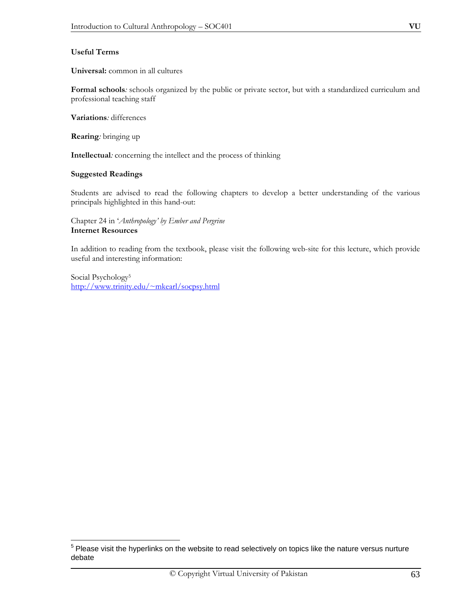**Universal:** common in all cultures

**Formal schools***:* schools organized by the public or private sector, but with a standardized curriculum and professional teaching staff

**Variations***:* differences

**Rearing***:* bringing up

**Intellectual***:* concerning the intellect and the process of thinking

## **Suggested Readings**

Students are advised to read the following chapters to develop a better understanding of the various principals highlighted in this hand-out:

Chapter 24 in '*Anthropology' by Ember and Pergrine* **Internet Resources** 

In addition to reading from the textbook, please visit the following web-site for this lecture, which provide useful and interesting information:

Social Psychology<sup>5</sup> http://www.trinity.edu/~mkearl/socpsy.html

 $\overline{a}$  $5$  Please visit the hyperlinks on the website to read selectively on topics like the nature versus nurture debate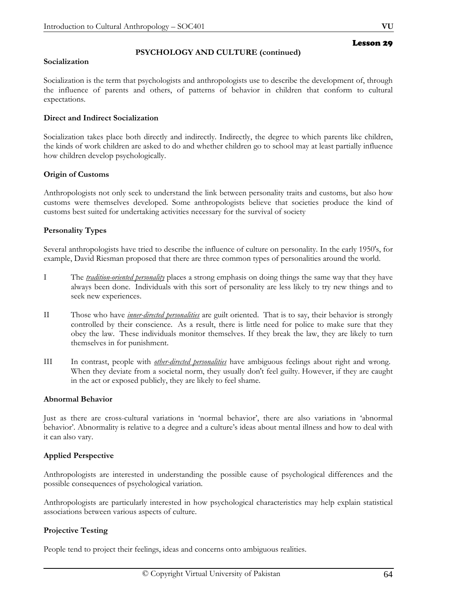# **PSYCHOLOGY AND CULTURE (continued)**

### **Socialization**

Socialization is the term that psychologists and anthropologists use to describe the development of, through the influence of parents and others, of patterns of behavior in children that conform to cultural expectations.

# **Direct and Indirect Socialization**

Socialization takes place both directly and indirectly. Indirectly, the degree to which parents like children, the kinds of work children are asked to do and whether children go to school may at least partially influence how children develop psychologically.

# **Origin of Customs**

Anthropologists not only seek to understand the link between personality traits and customs, but also how customs were themselves developed. Some anthropologists believe that societies produce the kind of customs best suited for undertaking activities necessary for the survival of society

## **Personality Types**

Several anthropologists have tried to describe the influence of culture on personality. In the early 1950's, for example, David Riesman proposed that there are three common types of personalities around the world.

- I The *tradition-oriented personality* places a strong emphasis on doing things the same way that they have always been done. Individuals with this sort of personality are less likely to try new things and to seek new experiences.
- II Those who have *inner-directed personalities* are guilt oriented. That is to say, their behavior is strongly controlled by their conscience. As a result, there is little need for police to make sure that they obey the law. These individuals monitor themselves. If they break the law, they are likely to turn themselves in for punishment.
- III In contrast, people with *other-directed personalities* have ambiguous feelings about right and wrong. When they deviate from a societal norm, they usually don't feel guilty. However, if they are caught in the act or exposed publicly, they are likely to feel shame.

#### **Abnormal Behavior**

Just as there are cross-cultural variations in 'normal behavior', there are also variations in 'abnormal behavior'. Abnormality is relative to a degree and a culture's ideas about mental illness and how to deal with it can also vary.

# **Applied Perspective**

Anthropologists are interested in understanding the possible cause of psychological differences and the possible consequences of psychological variation.

Anthropologists are particularly interested in how psychological characteristics may help explain statistical associations between various aspects of culture.

# **Projective Testing**

People tend to project their feelings, ideas and concerns onto ambiguous realities.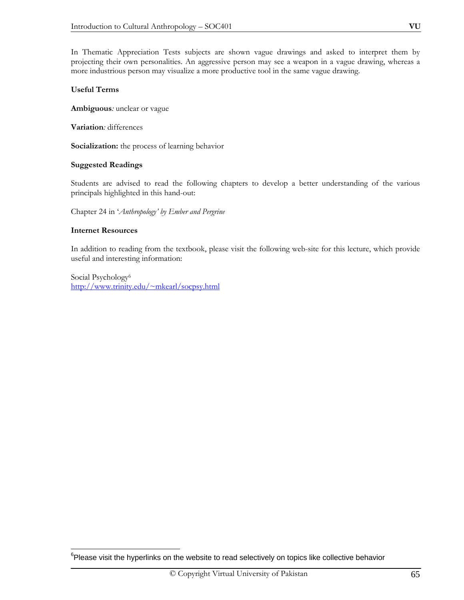In Thematic Appreciation Tests subjects are shown vague drawings and asked to interpret them by projecting their own personalities. An aggressive person may see a weapon in a vague drawing, whereas a more industrious person may visualize a more productive tool in the same vague drawing.

## **Useful Terms**

**Ambiguous***:* unclear or vague

**Variation***:* differences

**Socialization:** the process of learning behavior

## **Suggested Readings**

Students are advised to read the following chapters to develop a better understanding of the various principals highlighted in this hand-out:

Chapter 24 in '*Anthropology' by Ember and Pergrine*

#### **Internet Resources**

 $\overline{a}$ 

In addition to reading from the textbook, please visit the following web-site for this lecture, which provide useful and interesting information:

Social Psychology6 http://www.trinity.edu/~mkearl/socpsy.html

 ${}^{6}$ Please visit the hyperlinks on the website to read selectively on topics like collective behavior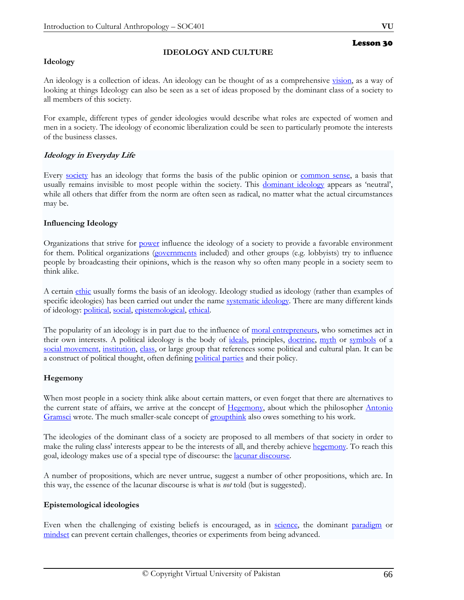# **Ideology**

# **IDEOLOGY AND CULTURE**

An ideology is a collection of ideas. An ideology can be thought of as a comprehensive vision, as a way of looking at things Ideology can also be seen as a set of ideas proposed by the dominant class of a society to all members of this society.

For example, different types of gender ideologies would describe what roles are expected of women and men in a society. The ideology of economic liberalization could be seen to particularly promote the interests of the business classes.

# **Ideology in Everyday Life**

Every society has an ideology that forms the basis of the public opinion or common sense, a basis that usually remains invisible to most people within the society. This dominant ideology appears as 'neutral', while all others that differ from the norm are often seen as radical, no matter what the actual circumstances may be.

# **Influencing Ideology**

Organizations that strive for power influence the ideology of a society to provide a favorable environment for them. Political organizations (governments included) and other groups (e.g. lobbyists) try to influence people by broadcasting their opinions, which is the reason why so often many people in a society seem to think alike.

A certain ethic usually forms the basis of an ideology. Ideology studied as ideology (rather than examples of specific ideologies) has been carried out under the name systematic ideology. There are many different kinds of ideology: political, social, epistemological, ethical.

The popularity of an ideology is in part due to the influence of moral entrepreneurs, who sometimes act in their own interests. A political ideology is the body of ideals, principles, doctrine, myth or symbols of a social movement, institution, class, or large group that references some political and cultural plan. It can be a construct of political thought, often defining political parties and their policy.

# **Hegemony**

When most people in a society think alike about certain matters, or even forget that there are alternatives to the current state of affairs, we arrive at the concept of Hegemony, about which the philosopher Antonio Gramsci wrote. The much smaller-scale concept of groupthink also owes something to his work.

The ideologies of the dominant class of a society are proposed to all members of that society in order to make the ruling class' interests appear to be the interests of all, and thereby achieve hegemony. To reach this goal, ideology makes use of a special type of discourse: the lacunar discourse.

A number of propositions, which are never untrue, suggest a number of other propositions, which are. In this way, the essence of the lacunar discourse is what is *not* told (but is suggested).

# **Epistemological ideologies**

Even when the challenging of existing beliefs is encouraged, as in science, the dominant paradigm or mindset can prevent certain challenges, theories or experiments from being advanced.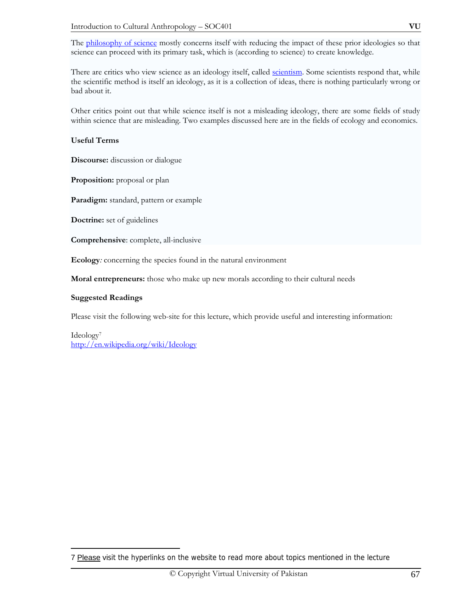The philosophy of science mostly concerns itself with reducing the impact of these prior ideologies so that science can proceed with its primary task, which is (according to science) to create knowledge.

There are critics who view science as an ideology itself, called scientism. Some scientists respond that, while the scientific method is itself an ideology, as it is a collection of ideas, there is nothing particularly wrong or bad about it.

Other critics point out that while science itself is not a misleading ideology, there are some fields of study within science that are misleading. Two examples discussed here are in the fields of ecology and economics.

# **Useful Terms**

**Discourse:** discussion or dialogue

**Proposition:** proposal or plan

**Paradigm:** standard, pattern or example

**Doctrine:** set of guidelines

**Comprehensive**: complete, all-inclusive

**Ecology***:* concerning the species found in the natural environment

**Moral entrepreneurs:** those who make up new morals according to their cultural needs

## **Suggested Readings**

 $\overline{a}$ 

Please visit the following web-site for this lecture, which provide useful and interesting information:

Ideology7 http://en.wikipedia.org/wiki/Ideology

<sup>7</sup> Please visit the hyperlinks on the website to read more about topics mentioned in the lecture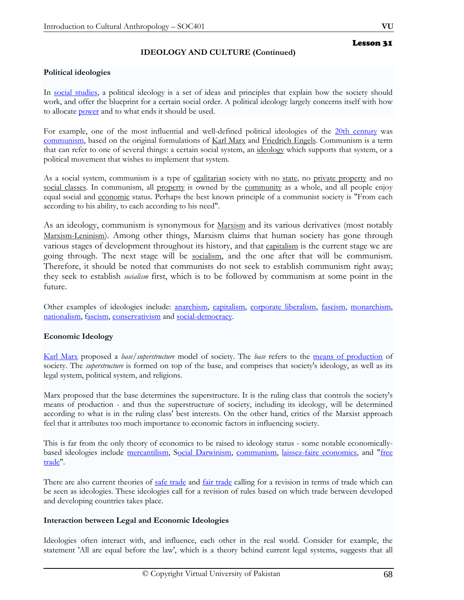# **IDEOLOGY AND CULTURE (Continued)**

## **Political ideologies**

In social studies, a political ideology is a set of ideas and principles that explain how the society should work, and offer the blueprint for a certain social order. A political ideology largely concerns itself with how to allocate **power** and to what ends it should be used.

For example, one of the most influential and well-defined political ideologies of the 20th century was communism, based on the original formulations of Karl Marx and Friedrich Engels. Communism is a term that can refer to one of several things: a certain social system, an ideology which supports that system, or a political movement that wishes to implement that system.

As a social system, communism is a type of egalitarian society with no state, no private property and no social classes. In communism, all property is owned by the community as a whole, and all people enjoy equal social and economic status. Perhaps the best known principle of a communist society is "From each according to his ability, to each according to his need".

As an ideology, communism is synonymous for Marxism and its various derivatives (most notably Marxism-Leninism). Among other things, Marxism claims that human society has gone through various stages of development throughout its history, and that capitalism is the current stage we are going through. The next stage will be socialism, and the one after that will be communism. Therefore, it should be noted that communists do not seek to establish communism right away; they seek to establish *socialism* first, which is to be followed by communism at some point in the future.

Other examples of ideologies include: anarchism, capitalism, corporate liberalism, fascism, monarchism, nationalism, fascism, conservativism and social-democracy.

# **Economic Ideology**

Karl Marx proposed a *base/superstructure* model of society. The *base* refers to the means of production of society. The *superstructure* is formed on top of the base, and comprises that society's ideology, as well as its legal system, political system, and religions.

Marx proposed that the base determines the superstructure. It is the ruling class that controls the society's means of production - and thus the superstructure of society, including its ideology, will be determined according to what is in the ruling class' best interests. On the other hand, critics of the Marxist approach feel that it attributes too much importance to economic factors in influencing society.

This is far from the only theory of economics to be raised to ideology status - some notable economicallybased ideologies include mercantilism, Social Darwinism, communism, laissez-faire economics, and "free trade".

There are also current theories of safe trade and fair trade calling for a revision in terms of trade which can be seen as ideologies. These ideologies call for a revision of rules based on which trade between developed and developing countries takes place.

## **Interaction between Legal and Economic Ideologies**

Ideologies often interact with, and influence, each other in the real world. Consider for example, the statement 'All are equal before the law', which is a theory behind current legal systems, suggests that all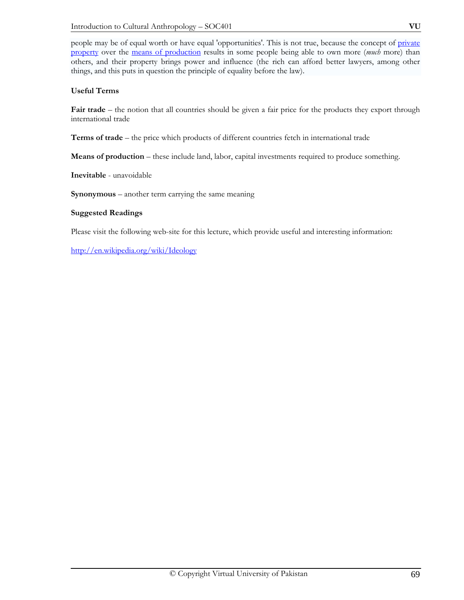people may be of equal worth or have equal 'opportunities'. This is not true, because the concept of private property over the means of production results in some people being able to own more (*much* more) than others, and their property brings power and influence (the rich can afford better lawyers, among other things, and this puts in question the principle of equality before the law).

# **Useful Terms**

**Fair trade** – the notion that all countries should be given a fair price for the products they export through international trade

**Terms of trade** – the price which products of different countries fetch in international trade

**Means of production** – these include land, labor, capital investments required to produce something.

**Inevitable** - unavoidable

**Synonymous** – another term carrying the same meaning

# **Suggested Readings**

Please visit the following web-site for this lecture, which provide useful and interesting information:

http://en.wikipedia.org/wiki/Ideology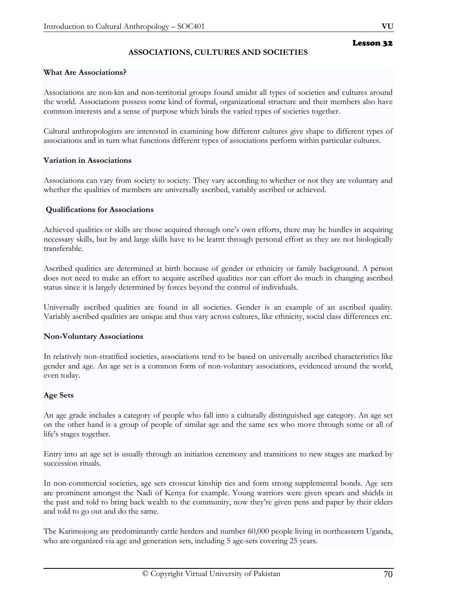# **ASSOCIATIONS, CULTURES AND SOCIETIES**

### **What Are Associations?**

Associations are non-kin and non-territorial groups found amidst all types of societies and cultures around the world. Associations possess some kind of formal, organizational structure and their members also have common interests and a sense of purpose which binds the varied types of societies together.

Cultural anthropologists are interested in examining how different cultures give shape to different types of associations and in turn what functions different types of associations perform within particular cultures.

#### **Variation in Associations**

Associations can vary from society to society. They vary according to whether or not they are voluntary and whether the qualities of members are universally ascribed, variably ascribed or achieved.

#### **Qualifications for Associations**

Achieved qualities or skills are those acquired through one's own efforts, there may be hurdles in acquiring necessary skills, but by and large skills have to be learnt through personal effort as they are not biologically transferable.

Ascribed qualities are determined at birth because of gender or ethnicity or family background. A person does not need to make an effort to acquire ascribed qualities nor can effort do much in changing ascribed status since it is largely determined by forces beyond the control of individuals.

Universally ascribed qualities are found in all societies. Gender is an example of an ascribed quality. Variably ascribed qualities are unique and thus vary across cultures, like ethnicity, social class differences etc.

#### **Non-Voluntary Associations**

In relatively non-stratified societies, associations tend to be based on universally ascribed characteristics like gender and age. An age set is a common form of non-voluntary associations, evidenced around the world, even today.

#### **Age Sets**

An age grade includes a category of people who fall into a culturally distinguished age category. An age set on the other hand is a group of people of similar age and the same sex who move through some or all of life's stages together.

Entry into an age set is usually through an initiation ceremony and transitions to new stages are marked by succession rituals.

In non-commercial societies, age sets crosscut kinship ties and form strong supplemental bonds. Age sets are prominent amongst the Nadi of Kenya for example. Young warriors were given spears and shields in the past and told to bring back wealth to the community, now they're given pens and paper by their elders and told to go out and do the same.

The Karimojong are predominantly cattle herders and number 60,000 people living in northeastern Uganda, who are organized via age and generation sets, including 5 age-sets covering 25 years.

Lesson 32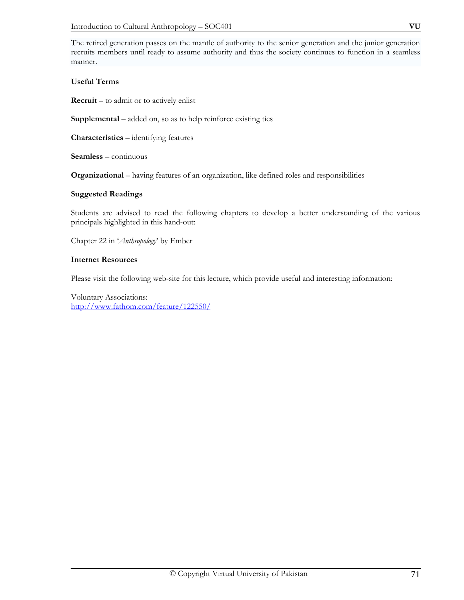The retired generation passes on the mantle of authority to the senior generation and the junior generation recruits members until ready to assume authority and thus the society continues to function in a seamless manner.

# **Useful Terms**

**Recruit** – to admit or to actively enlist

**Supplemental** – added on, so as to help reinforce existing ties

**Characteristics** – identifying features

**Seamless** – continuous

**Organizational** – having features of an organization, like defined roles and responsibilities

## **Suggested Readings**

Students are advised to read the following chapters to develop a better understanding of the various principals highlighted in this hand-out:

Chapter 22 in '*Anthropology*' by Ember

## **Internet Resources**

Please visit the following web-site for this lecture, which provide useful and interesting information:

Voluntary Associations: http://www.fathom.com/feature/122550/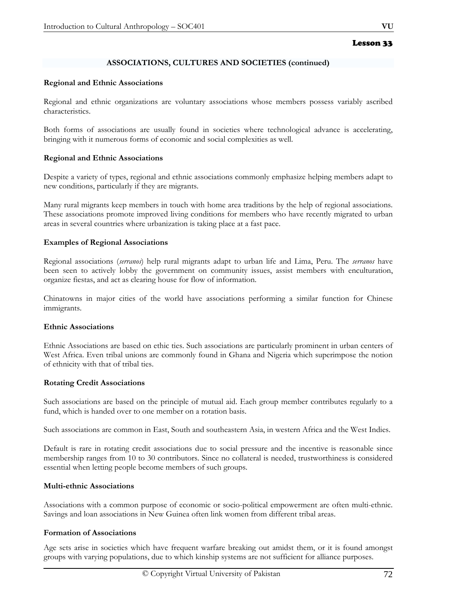# **ASSOCIATIONS, CULTURES AND SOCIETIES (continued)**

#### **Regional and Ethnic Associations**

Regional and ethnic organizations are voluntary associations whose members possess variably ascribed characteristics.

Both forms of associations are usually found in societies where technological advance is accelerating, bringing with it numerous forms of economic and social complexities as well.

#### **Regional and Ethnic Associations**

Despite a variety of types, regional and ethnic associations commonly emphasize helping members adapt to new conditions, particularly if they are migrants.

Many rural migrants keep members in touch with home area traditions by the help of regional associations. These associations promote improved living conditions for members who have recently migrated to urban areas in several countries where urbanization is taking place at a fast pace.

## **Examples of Regional Associations**

Regional associations (*serranos*) help rural migrants adapt to urban life and Lima, Peru. The *serranos* have been seen to actively lobby the government on community issues, assist members with enculturation, organize fiestas, and act as clearing house for flow of information.

Chinatowns in major cities of the world have associations performing a similar function for Chinese immigrants.

#### **Ethnic Associations**

Ethnic Associations are based on ethic ties. Such associations are particularly prominent in urban centers of West Africa. Even tribal unions are commonly found in Ghana and Nigeria which superimpose the notion of ethnicity with that of tribal ties.

#### **Rotating Credit Associations**

Such associations are based on the principle of mutual aid. Each group member contributes regularly to a fund, which is handed over to one member on a rotation basis.

Such associations are common in East, South and southeastern Asia, in western Africa and the West Indies.

Default is rare in rotating credit associations due to social pressure and the incentive is reasonable since membership ranges from 10 to 30 contributors. Since no collateral is needed, trustworthiness is considered essential when letting people become members of such groups.

# **Multi-ethnic Associations**

Associations with a common purpose of economic or socio-political empowerment are often multi-ethnic. Savings and loan associations in New Guinea often link women from different tribal areas.

#### **Formation of Associations**

Age sets arise in societies which have frequent warfare breaking out amidst them, or it is found amongst groups with varying populations, due to which kinship systems are not sufficient for alliance purposes.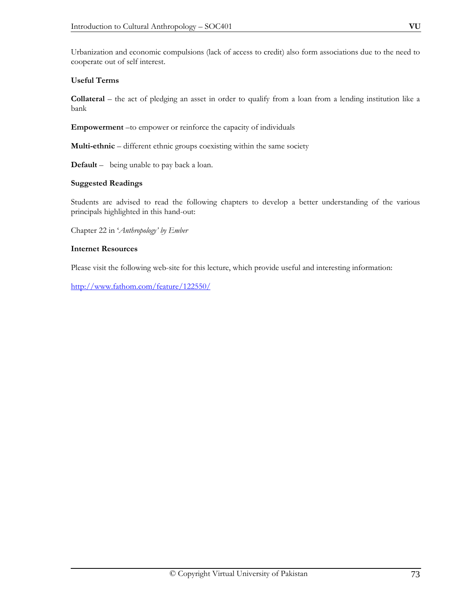Urbanization and economic compulsions (lack of access to credit) also form associations due to the need to cooperate out of self interest.

### **Useful Terms**

**Collateral** – the act of pledging an asset in order to qualify from a loan from a lending institution like a bank

**Empowerment** –to empower or reinforce the capacity of individuals

**Multi-ethnic** – different ethnic groups coexisting within the same society

**Default** –being unable to pay back a loan.

#### **Suggested Readings**

Students are advised to read the following chapters to develop a better understanding of the various principals highlighted in this hand-out:

Chapter 22 in '*Anthropology' by Ember*

#### **Internet Resources**

Please visit the following web-site for this lecture, which provide useful and interesting information:

http://www.fathom.com/feature/122550/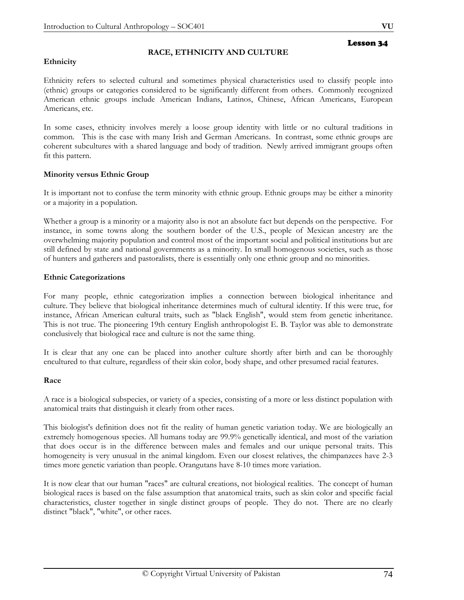### **Ethnicity**

#### **RACE, ETHNICITY AND CULTURE**

# Lesson 34

Ethnicity refers to selected cultural and sometimes physical characteristics used to classify people into (ethnic) groups or categories considered to be significantly different from others. Commonly recognized American ethnic groups include American Indians, Latinos, Chinese, African Americans, European Americans, etc.

In some cases, ethnicity involves merely a loose group identity with little or no cultural traditions in common. This is the case with many Irish and German Americans. In contrast, some ethnic groups are coherent subcultures with a shared language and body of tradition. Newly arrived immigrant groups often fit this pattern.

#### **Minority versus Ethnic Group**

It is important not to confuse the term minority with ethnic group. Ethnic groups may be either a minority or a majority in a population.

Whether a group is a minority or a majority also is not an absolute fact but depends on the perspective. For instance, in some towns along the southern border of the U.S., people of Mexican ancestry are the overwhelming majority population and control most of the important social and political institutions but are still defined by state and national governments as a minority. In small homogenous societies, such as those of hunters and gatherers and pastoralists, there is essentially only one ethnic group and no minorities.

#### **Ethnic Categorizations**

For many people, ethnic categorization implies a connection between biological inheritance and culture. They believe that biological inheritance determines much of cultural identity. If this were true, for instance, African American cultural traits, such as "black English", would stem from genetic inheritance. This is not true. The pioneering 19th century English anthropologist E. B. Taylor was able to demonstrate conclusively that biological race and culture is not the same thing.

It is clear that any one can be placed into another culture shortly after birth and can be thoroughly encultured to that culture, regardless of their skin color, body shape, and other presumed racial features.

#### **Race**

A race is a biological subspecies, or variety of a species, consisting of a more or less distinct population with anatomical traits that distinguish it clearly from other races.

This biologist's definition does not fit the reality of human genetic variation today. We are biologically an extremely homogenous species. All humans today are 99.9% genetically identical, and most of the variation that does occur is in the difference between males and females and our unique personal traits. This homogeneity is very unusual in the animal kingdom. Even our closest relatives, the chimpanzees have 2-3 times more genetic variation than people. Orangutans have 8-10 times more variation.

It is now clear that our human "races" are cultural creations, not biological realities. The concept of human biological races is based on the false assumption that anatomical traits, such as skin color and specific facial characteristics, cluster together in single distinct groups of people. They do not. There are no clearly distinct "black", "white", or other races.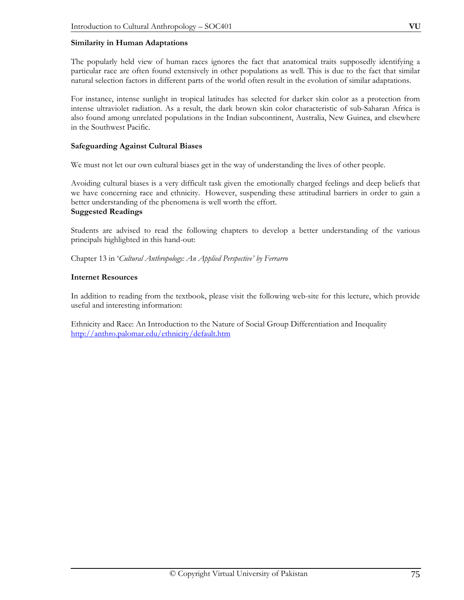#### **Similarity in Human Adaptations**

The popularly held view of human races ignores the fact that anatomical traits supposedly identifying a particular race are often found extensively in other populations as well. This is due to the fact that similar natural selection factors in different parts of the world often result in the evolution of similar adaptations.

For instance, intense sunlight in tropical latitudes has selected for darker skin color as a protection from intense ultraviolet radiation. As a result, the dark brown skin color characteristic of sub-Saharan Africa is also found among unrelated populations in the Indian subcontinent, Australia, New Guinea, and elsewhere in the Southwest Pacific.

#### **Safeguarding Against Cultural Biases**

We must not let our own cultural biases get in the way of understanding the lives of other people.

Avoiding cultural biases is a very difficult task given the emotionally charged feelings and deep beliefs that we have concerning race and ethnicity. However, suspending these attitudinal barriers in order to gain a better understanding of the phenomena is well worth the effort.

#### **Suggested Readings**

Students are advised to read the following chapters to develop a better understanding of the various principals highlighted in this hand-out:

Chapter 13 in '*Cultural Anthropology: An Applied Perspective' by Ferrarro*

#### **Internet Resources**

In addition to reading from the textbook, please visit the following web-site for this lecture, which provide useful and interesting information:

Ethnicity and Race: An Introduction to the Nature of Social Group Differentiation and Inequality http://anthro.palomar.edu/ethnicity/default.htm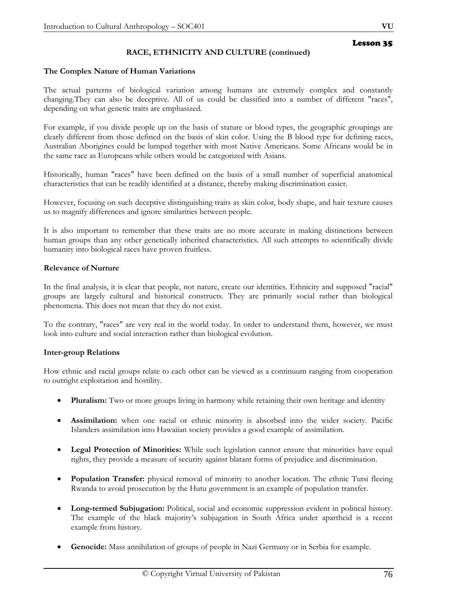# **RACE, ETHNICITY AND CULTURE (continued)**

#### **The Complex Nature of Human Variations**

The actual patterns of biological variation among humans are extremely complex and constantly changing.They can also be deceptive. All of us could be classified into a number of different "races", depending on what genetic traits are emphasized.

For example, if you divide people up on the basis of stature or blood types, the geographic groupings are clearly different from those defined on the basis of skin color. Using the B blood type for defining races, Australian Aborigines could be lumped together with most Native Americans. Some Africans would be in the same race as Europeans while others would be categorized with Asians.

Historically, human "races" have been defined on the basis of a small number of superficial anatomical characteristics that can be readily identified at a distance, thereby making discrimination easier.

However, focusing on such deceptive distinguishing traits as skin color, body shape, and hair texture causes us to magnify differences and ignore similarities between people.

It is also important to remember that these traits are no more accurate in making distinctions between human groups than any other genetically inherited characteristics. All such attempts to scientifically divide humanity into biological races have proven fruitless.

#### **Relevance of Nurture**

In the final analysis, it is clear that people, not nature, create our identities. Ethnicity and supposed "racial" groups are largely cultural and historical constructs. They are primarily social rather than biological phenomena. This does not mean that they do not exist.

To the contrary, "races" are very real in the world today. In order to understand them, however, we must look into culture and social interaction rather than biological evolution.

#### **Inter-group Relations**

How ethnic and racial groups relate to each other can be viewed as a continuum ranging from cooperation to outright exploitation and hostility.

- **Pluralism:** Two or more groups living in harmony while retaining their own heritage and identity
- **Assimilation:** when one racial or ethnic minority is absorbed into the wider society. Pacific Islanders assimilation into Hawaiian society provides a good example of assimilation.
- **Legal Protection of Minorities:** While such legislation cannot ensure that minorities have equal rights, they provide a measure of security against blatant forms of prejudice and discrimination.
- **Population Transfer:** physical removal of minority to another location. The ethnic Tutsi fleeing Rwanda to avoid prosecution by the Hutu government is an example of population transfer.
- **Long-termed Subjugation:** Political, social and economic suppression evident in political history. The example of the black majority's subjugation in South Africa under apartheid is a recent example from history.
- **Genocide:** Mass annihilation of groups of people in Nazi Germany or in Serbia for example.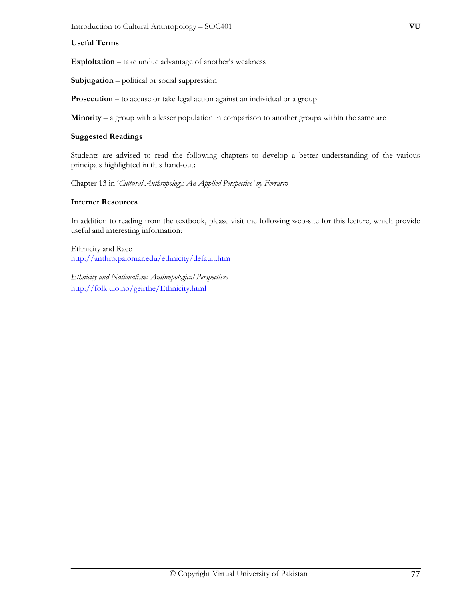### **Useful Terms**

**Exploitation** – take undue advantage of another's weakness

**Subjugation** – political or social suppression

**Prosecution** – to accuse or take legal action against an individual or a group

**Minority** – a group with a lesser population in comparison to another groups within the same are

#### **Suggested Readings**

Students are advised to read the following chapters to develop a better understanding of the various principals highlighted in this hand-out:

Chapter 13 in '*Cultural Anthropology: An Applied Perspective' by Ferrarro* 

#### **Internet Resources**

In addition to reading from the textbook, please visit the following web-site for this lecture, which provide useful and interesting information:

Ethnicity and Race http://anthro.palomar.edu/ethnicity/default.htm

*Ethnicity and Nationalism: Anthropological Perspectives*  http://folk.uio.no/geirthe/Ethnicity.html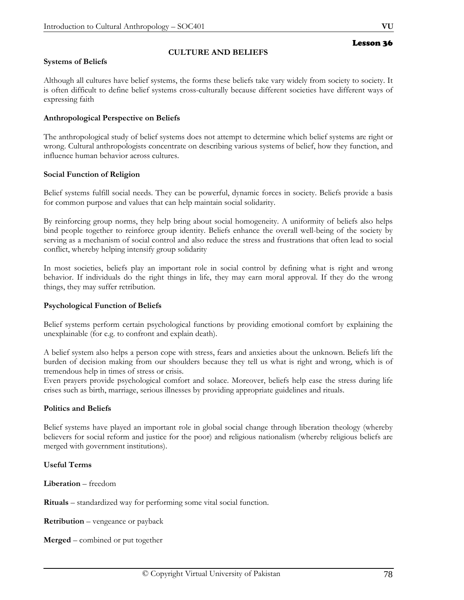# **CULTURE AND BELIEFS**

#### **Systems of Beliefs**

Although all cultures have belief systems, the forms these beliefs take vary widely from society to society. It is often difficult to define belief systems cross-culturally because different societies have different ways of expressing faith

#### **Anthropological Perspective on Beliefs**

The anthropological study of belief systems does not attempt to determine which belief systems are right or wrong. Cultural anthropologists concentrate on describing various systems of belief, how they function, and influence human behavior across cultures.

#### **Social Function of Religion**

Belief systems fulfill social needs. They can be powerful, dynamic forces in society. Beliefs provide a basis for common purpose and values that can help maintain social solidarity.

By reinforcing group norms, they help bring about social homogeneity. A uniformity of beliefs also helps bind people together to reinforce group identity. Beliefs enhance the overall well-being of the society by serving as a mechanism of social control and also reduce the stress and frustrations that often lead to social conflict, whereby helping intensify group solidarity

In most societies, beliefs play an important role in social control by defining what is right and wrong behavior. If individuals do the right things in life, they may earn moral approval. If they do the wrong things, they may suffer retribution.

#### **Psychological Function of Beliefs**

Belief systems perform certain psychological functions by providing emotional comfort by explaining the unexplainable (for e.g. to confront and explain death).

A belief system also helps a person cope with stress, fears and anxieties about the unknown. Beliefs lift the burden of decision making from our shoulders because they tell us what is right and wrong, which is of tremendous help in times of stress or crisis.

Even prayers provide psychological comfort and solace. Moreover, beliefs help ease the stress during life crises such as birth, marriage, serious illnesses by providing appropriate guidelines and rituals.

#### **Politics and Beliefs**

Belief systems have played an important role in global social change through liberation theology (whereby believers for social reform and justice for the poor) and religious nationalism (whereby religious beliefs are merged with government institutions).

#### **Useful Terms**

**Liberation** – freedom

**Rituals** – standardized way for performing some vital social function.

**Retribution** – vengeance or payback

**Merged** – combined or put together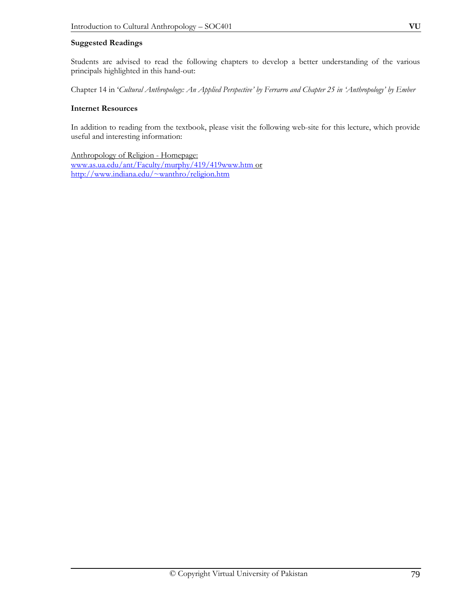#### **Suggested Readings**

Students are advised to read the following chapters to develop a better understanding of the various principals highlighted in this hand-out:

Chapter 14 in '*Cultural Anthropology: An Applied Perspective' by Ferrarro and Chapter 25 in 'Anthropology' by Ember* 

#### **Internet Resources**

In addition to reading from the textbook, please visit the following web-site for this lecture, which provide useful and interesting information:

Anthropology of Religion - Homepage: www.as.ua.edu/ant/Faculty/murphy/419/419www.htm or http://www.indiana.edu/~wanthro/religion.htm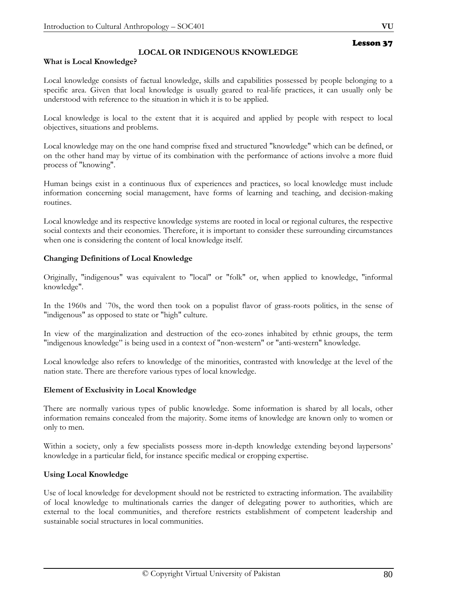**What is Local Knowledge?** 

# **LOCAL OR INDIGENOUS KNOWLEDGE**

# Local knowledge consists of factual knowledge, skills and capabilities possessed by people belonging to a specific area. Given that local knowledge is usually geared to real-life practices, it can usually only be understood with reference to the situation in which it is to be applied.

Local knowledge is local to the extent that it is acquired and applied by people with respect to local objectives, situations and problems.

Local knowledge may on the one hand comprise fixed and structured "knowledge" which can be defined, or on the other hand may by virtue of its combination with the performance of actions involve a more fluid process of "knowing".

Human beings exist in a continuous flux of experiences and practices, so local knowledge must include information concerning social management, have forms of learning and teaching, and decision-making routines.

Local knowledge and its respective knowledge systems are rooted in local or regional cultures, the respective social contexts and their economies. Therefore, it is important to consider these surrounding circumstances when one is considering the content of local knowledge itself.

#### **Changing Definitions of Local Knowledge**

Originally, "indigenous" was equivalent to "local" or "folk" or, when applied to knowledge, "informal knowledge".

In the 1960s and `70s, the word then took on a populist flavor of grass-roots politics, in the sense of "indigenous" as opposed to state or "high" culture.

In view of the marginalization and destruction of the eco-zones inhabited by ethnic groups, the term "indigenous knowledge" is being used in a context of "non-western" or "anti-western" knowledge.

Local knowledge also refers to knowledge of the minorities, contrasted with knowledge at the level of the nation state. There are therefore various types of local knowledge.

#### **Element of Exclusivity in Local Knowledge**

There are normally various types of public knowledge. Some information is shared by all locals, other information remains concealed from the majority. Some items of knowledge are known only to women or only to men.

Within a society, only a few specialists possess more in-depth knowledge extending beyond laypersons' knowledge in a particular field, for instance specific medical or cropping expertise.

#### **Using Local Knowledge**

Use of local knowledge for development should not be restricted to extracting information. The availability of local knowledge to multinationals carries the danger of delegating power to authorities, which are external to the local communities, and therefore restricts establishment of competent leadership and sustainable social structures in local communities.

### Lesson 37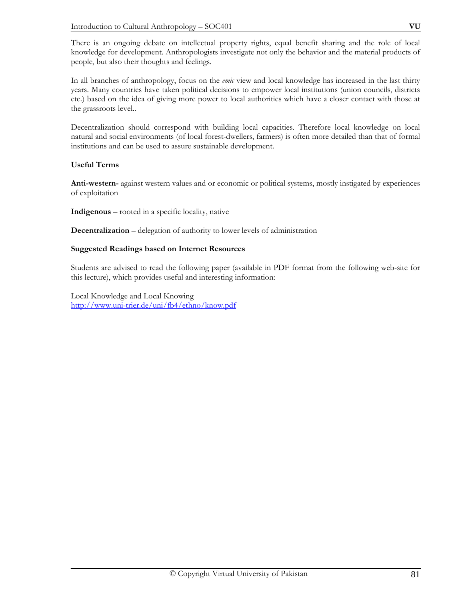There is an ongoing debate on intellectual property rights, equal benefit sharing and the role of local knowledge for development. Anthropologists investigate not only the behavior and the material products of people, but also their thoughts and feelings.

In all branches of anthropology, focus on the *emic* view and local knowledge has increased in the last thirty years. Many countries have taken political decisions to empower local institutions (union councils, districts etc.) based on the idea of giving more power to local authorities which have a closer contact with those at the grassroots level..

Decentralization should correspond with building local capacities. Therefore local knowledge on local natural and social environments (of local forest-dwellers, farmers) is often more detailed than that of formal institutions and can be used to assure sustainable development.

### **Useful Terms**

**Anti-western-** against western values and or economic or political systems, mostly instigated by experiences of exploitation

**Indigenous** – rooted in a specific locality, native

**Decentralization** – delegation of authority to lower levels of administration

#### **Suggested Readings based on Internet Resources**

Students are advised to read the following paper (available in PDF format from the following web-site for this lecture), which provides useful and interesting information:

Local Knowledge and Local Knowing http://www.uni-trier.de/uni/fb4/ethno/know.pdf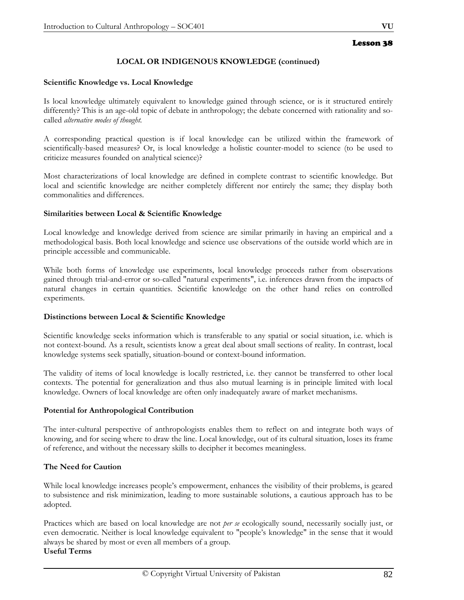#### **LOCAL OR INDIGENOUS KNOWLEDGE (continued)**

#### **Scientific Knowledge vs. Local Knowledge**

Is local knowledge ultimately equivalent to knowledge gained through science, or is it structured entirely differently? This is an age-old topic of debate in anthropology; the debate concerned with rationality and socalled *alternative modes of thought.* 

A corresponding practical question is if local knowledge can be utilized within the framework of scientifically-based measures? Or, is local knowledge a holistic counter-model to science (to be used to criticize measures founded on analytical science)?

Most characterizations of local knowledge are defined in complete contrast to scientific knowledge. But local and scientific knowledge are neither completely different nor entirely the same; they display both commonalities and differences.

#### **Similarities between Local & Scientific Knowledge**

Local knowledge and knowledge derived from science are similar primarily in having an empirical and a methodological basis. Both local knowledge and science use observations of the outside world which are in principle accessible and communicable.

While both forms of knowledge use experiments, local knowledge proceeds rather from observations gained through trial-and-error or so-called "natural experiments", i.e. inferences drawn from the impacts of natural changes in certain quantities. Scientific knowledge on the other hand relies on controlled experiments.

#### **Distinctions between Local & Scientific Knowledge**

Scientific knowledge seeks information which is transferable to any spatial or social situation, i.e. which is not context-bound. As a result, scientists know a great deal about small sections of reality. In contrast, local knowledge systems seek spatially, situation-bound or context-bound information.

The validity of items of local knowledge is locally restricted, i.e. they cannot be transferred to other local contexts. The potential for generalization and thus also mutual learning is in principle limited with local knowledge. Owners of local knowledge are often only inadequately aware of market mechanisms.

#### **Potential for Anthropological Contribution**

The inter-cultural perspective of anthropologists enables them to reflect on and integrate both ways of knowing, and for seeing where to draw the line. Local knowledge, out of its cultural situation, loses its frame of reference, and without the necessary skills to decipher it becomes meaningless.

#### **The Need for Caution**

While local knowledge increases people's empowerment, enhances the visibility of their problems, is geared to subsistence and risk minimization, leading to more sustainable solutions, a cautious approach has to be adopted.

Practices which are based on local knowledge are not *per se* ecologically sound, necessarily socially just, or even democratic. Neither is local knowledge equivalent to "people's knowledge" in the sense that it would always be shared by most or even all members of a group. **Useful Terms**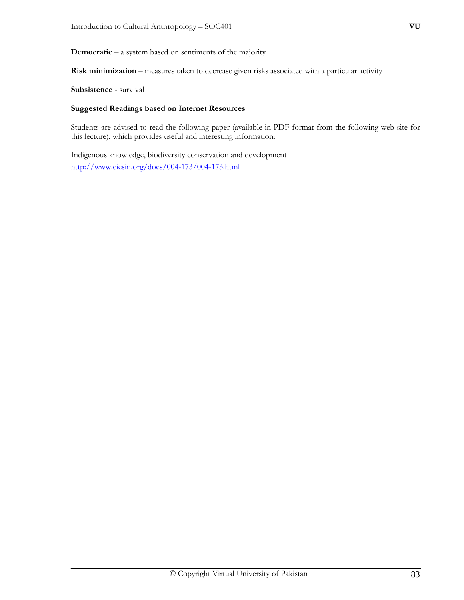**Risk minimization** – measures taken to decrease given risks associated with a particular activity

**Subsistence** - survival

#### **Suggested Readings based on Internet Resources**

Students are advised to read the following paper (available in PDF format from the following web-site for this lecture), which provides useful and interesting information:

Indigenous knowledge, biodiversity conservation and development http://www.ciesin.org/docs/004-173/004-173.html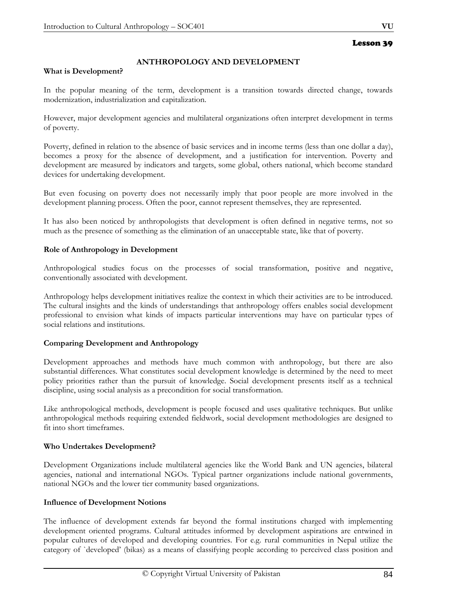# **ANTHROPOLOGY AND DEVELOPMENT**

#### **What is Development?**

In the popular meaning of the term, development is a transition towards directed change, towards modernization, industrialization and capitalization.

However, major development agencies and multilateral organizations often interpret development in terms of poverty.

Poverty, defined in relation to the absence of basic services and in income terms (less than one dollar a day), becomes a proxy for the absence of development, and a justification for intervention. Poverty and development are measured by indicators and targets, some global, others national, which become standard devices for undertaking development.

But even focusing on poverty does not necessarily imply that poor people are more involved in the development planning process. Often the poor, cannot represent themselves, they are represented.

It has also been noticed by anthropologists that development is often defined in negative terms, not so much as the presence of something as the elimination of an unacceptable state, like that of poverty.

#### **Role of Anthropology in Development**

Anthropological studies focus on the processes of social transformation, positive and negative, conventionally associated with development.

Anthropology helps development initiatives realize the context in which their activities are to be introduced. The cultural insights and the kinds of understandings that anthropology offers enables social development professional to envision what kinds of impacts particular interventions may have on particular types of social relations and institutions.

#### **Comparing Development and Anthropology**

Development approaches and methods have much common with anthropology, but there are also substantial differences. What constitutes social development knowledge is determined by the need to meet policy priorities rather than the pursuit of knowledge. Social development presents itself as a technical discipline, using social analysis as a precondition for social transformation.

Like anthropological methods, development is people focused and uses qualitative techniques. But unlike anthropological methods requiring extended fieldwork, social development methodologies are designed to fit into short timeframes.

# **Who Undertakes Development?**

Development Organizations include multilateral agencies like the World Bank and UN agencies, bilateral agencies, national and international NGOs. Typical partner organizations include national governments, national NGOs and the lower tier community based organizations.

#### **Influence of Development Notions**

The influence of development extends far beyond the formal institutions charged with implementing development oriented programs. Cultural attitudes informed by development aspirations are entwined in popular cultures of developed and developing countries. For e.g. rural communities in Nepal utilize the category of `developed' (bikas) as a means of classifying people according to perceived class position and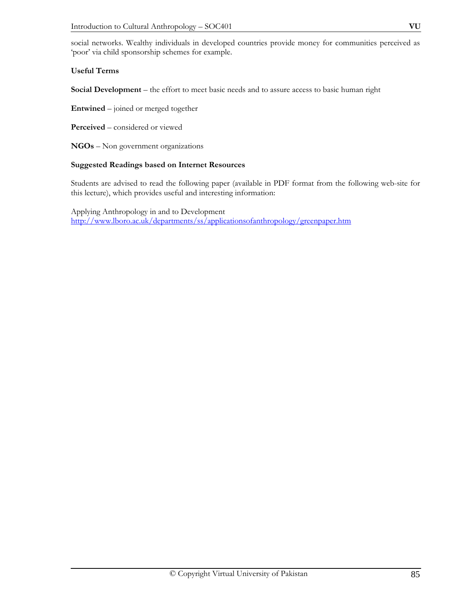social networks. Wealthy individuals in developed countries provide money for communities perceived as 'poor' via child sponsorship schemes for example.

#### **Useful Terms**

**Social Development** – the effort to meet basic needs and to assure access to basic human right

**Entwined** – joined or merged together

**Perceived** – considered or viewed

**NGOs** – Non government organizations

#### **Suggested Readings based on Internet Resources**

Students are advised to read the following paper (available in PDF format from the following web-site for this lecture), which provides useful and interesting information:

Applying Anthropology in and to Development http://www.lboro.ac.uk/departments/ss/applicationsofanthropology/greenpaper.htm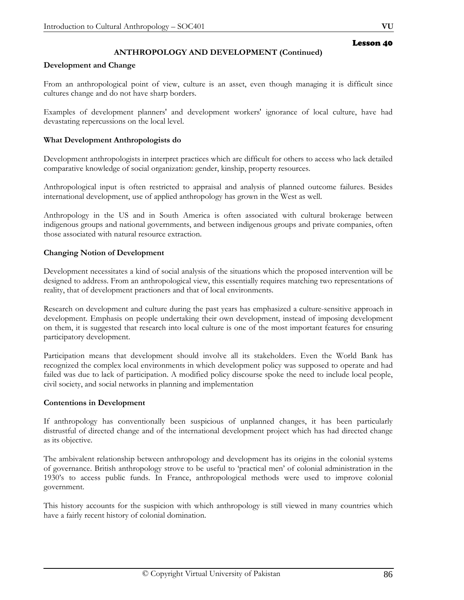# **ANTHROPOLOGY AND DEVELOPMENT (Continued)**

#### **Development and Change**

From an anthropological point of view, culture is an asset, even though managing it is difficult since cultures change and do not have sharp borders.

Examples of development planners' and development workers' ignorance of local culture, have had devastating repercussions on the local level.

#### **What Development Anthropologists do**

Development anthropologists in interpret practices which are difficult for others to access who lack detailed comparative knowledge of social organization: gender, kinship, property resources.

Anthropological input is often restricted to appraisal and analysis of planned outcome failures. Besides international development, use of applied anthropology has grown in the West as well.

Anthropology in the US and in South America is often associated with cultural brokerage between indigenous groups and national governments, and between indigenous groups and private companies, often those associated with natural resource extraction.

#### **Changing Notion of Development**

Development necessitates a kind of social analysis of the situations which the proposed intervention will be designed to address. From an anthropological view, this essentially requires matching two representations of reality, that of development practioners and that of local environments.

Research on development and culture during the past years has emphasized a culture-sensitive approach in development. Emphasis on people undertaking their own development, instead of imposing development on them, it is suggested that research into local culture is one of the most important features for ensuring participatory development.

Participation means that development should involve all its stakeholders. Even the World Bank has recognized the complex local environments in which development policy was supposed to operate and had failed was due to lack of participation. A modified policy discourse spoke the need to include local people, civil society, and social networks in planning and implementation

#### **Contentions in Development**

If anthropology has conventionally been suspicious of unplanned changes, it has been particularly distrustful of directed change and of the international development project which has had directed change as its objective.

The ambivalent relationship between anthropology and development has its origins in the colonial systems of governance. British anthropology strove to be useful to 'practical men' of colonial administration in the 1930's to access public funds. In France, anthropological methods were used to improve colonial government.

This history accounts for the suspicion with which anthropology is still viewed in many countries which have a fairly recent history of colonial domination.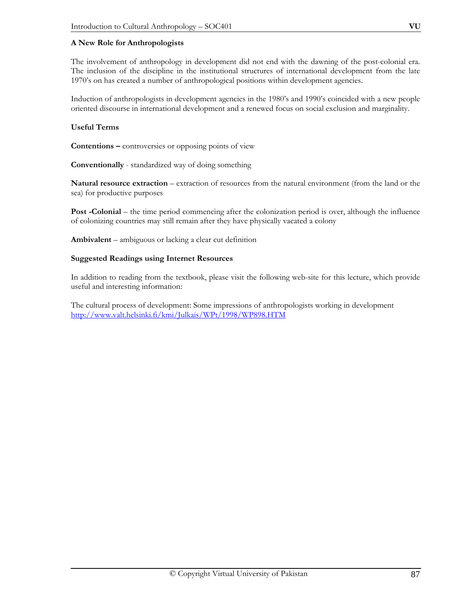#### **A New Role for Anthropologists**

The involvement of anthropology in development did not end with the dawning of the post-colonial era. The inclusion of the discipline in the institutional structures of international development from the late 1970's on has created a number of anthropological positions within development agencies.

Induction of anthropologists in development agencies in the 1980's and 1990's coincided with a new people oriented discourse in international development and a renewed focus on social exclusion and marginality.

#### **Useful Terms**

**Contentions –** controversies or opposing points of view

**Conventionally** - standardized way of doing something

**Natural resource extraction** – extraction of resources from the natural environment (from the land or the sea) for productive purposes

**Post -Colonial** – the time period commencing after the colonization period is over, although the influence of colonizing countries may still remain after they have physically vacated a colony

**Ambivalent** – ambiguous or lacking a clear cut definition

#### **Suggested Readings using Internet Resources**

In addition to reading from the textbook, please visit the following web-site for this lecture, which provide useful and interesting information:

The cultural process of development: Some impressions of anthropologists working in development http://www.valt.helsinki.fi/kmi/Julkais/WPt/1998/WP898.HTM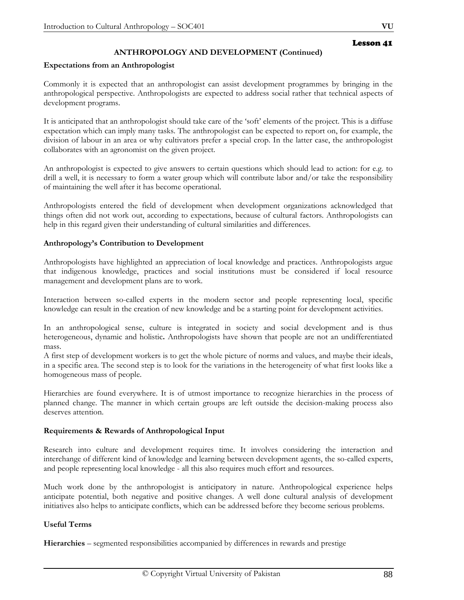# **ANTHROPOLOGY AND DEVELOPMENT (Continued)**

#### **Expectations from an Anthropologist**

Commonly it is expected that an anthropologist can assist development programmes by bringing in the anthropological perspective. Anthropologists are expected to address social rather that technical aspects of development programs.

It is anticipated that an anthropologist should take care of the 'soft' elements of the project. This is a diffuse expectation which can imply many tasks. The anthropologist can be expected to report on, for example, the division of labour in an area or why cultivators prefer a special crop. In the latter case, the anthropologist collaborates with an agronomist on the given project.

An anthropologist is expected to give answers to certain questions which should lead to action: for e.g. to drill a well, it is necessary to form a water group which will contribute labor and/or take the responsibility of maintaining the well after it has become operational.

Anthropologists entered the field of development when development organizations acknowledged that things often did not work out, according to expectations, because of cultural factors. Anthropologists can help in this regard given their understanding of cultural similarities and differences.

#### **Anthropology's Contribution to Development**

Anthropologists have highlighted an appreciation of local knowledge and practices. Anthropologists argue that indigenous knowledge, practices and social institutions must be considered if local resource management and development plans are to work.

Interaction between so-called experts in the modern sector and people representing local, specific knowledge can result in the creation of new knowledge and be a starting point for development activities.

In an anthropological sense, culture is integrated in society and social development and is thus heterogeneous, dynamic and holistic**.** Anthropologists have shown that people are not an undifferentiated mass.

A first step of development workers is to get the whole picture of norms and values, and maybe their ideals, in a specific area. The second step is to look for the variations in the heterogeneity of what first looks like a homogeneous mass of people.

Hierarchies are found everywhere. It is of utmost importance to recognize hierarchies in the process of planned change. The manner in which certain groups are left outside the decision-making process also deserves attention.

#### **Requirements & Rewards of Anthropological Input**

Research into culture and development requires time. It involves considering the interaction and interchange of different kind of knowledge and learning between development agents, the so-called experts, and people representing local knowledge - all this also requires much effort and resources.

Much work done by the anthropologist is anticipatory in nature. Anthropological experience helps anticipate potential, both negative and positive changes. A well done cultural analysis of development initiatives also helps to anticipate conflicts, which can be addressed before they become serious problems.

#### **Useful Terms**

**Hierarchies** – segmented responsibilities accompanied by differences in rewards and prestige

Lesson 41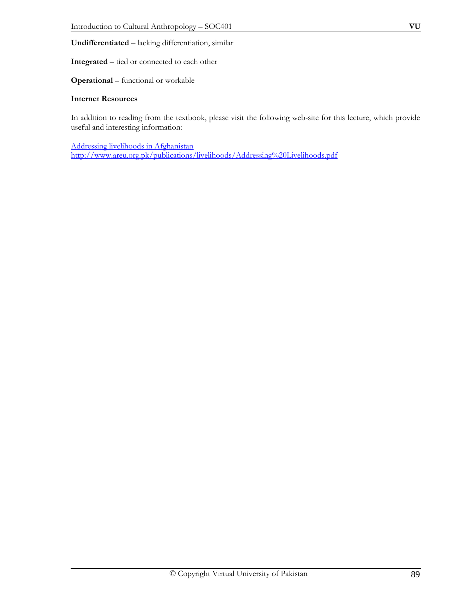**Integrated** – tied or connected to each other

**Operational** – functional or workable

#### **Internet Resources**

In addition to reading from the textbook, please visit the following web-site for this lecture, which provide useful and interesting information:

Addressing livelihoods in Afghanistan http://www.areu.org.pk/publications/livelihoods/Addressing%20Livelihoods.pdf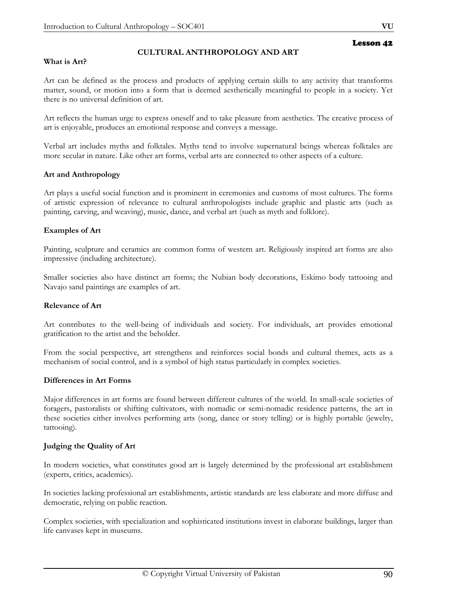### **CULTURAL ANTHROPOLOGY AND ART**

#### **What is Art?**

Art can be defined as the process and products of applying certain skills to any activity that transforms matter, sound, or motion into a form that is deemed aesthetically meaningful to people in a society. Yet there is no universal definition of art.

Art reflects the human urge to express oneself and to take pleasure from aesthetics. The creative process of art is enjoyable, produces an emotional response and conveys a message.

Verbal art includes myths and folktales. Myths tend to involve supernatural beings whereas folktales are more secular in nature. Like other art forms, verbal arts are connected to other aspects of a culture.

#### **Art and Anthropology**

Art plays a useful social function and is prominent in ceremonies and customs of most cultures. The forms of artistic expression of relevance to cultural anthropologists include graphic and plastic arts (such as painting, carving, and weaving), music, dance, and verbal art (such as myth and folklore).

#### **Examples of Art**

Painting, sculpture and ceramics are common forms of western art. Religiously inspired art forms are also impressive (including architecture).

Smaller societies also have distinct art forms; the Nubian body decorations, Eskimo body tattooing and Navajo sand paintings are examples of art.

#### **Relevance of Art**

Art contributes to the well-being of individuals and society. For individuals, art provides emotional gratification to the artist and the beholder.

From the social perspective, art strengthens and reinforces social bonds and cultural themes, acts as a mechanism of social control, and is a symbol of high status particularly in complex societies.

#### **Differences in Art Forms**

Major differences in art forms are found between different cultures of the world. In small-scale societies of foragers, pastoralists or shifting cultivators, with nomadic or semi-nomadic residence patterns, the art in these societies either involves performing arts (song, dance or story telling) or is highly portable (jewelry, tattooing).

#### **Judging the Quality of Art**

In modern societies, what constitutes good art is largely determined by the professional art establishment (experts, critics, academics).

In societies lacking professional art establishments, artistic standards are less elaborate and more diffuse and democratic, relying on public reaction.

Complex societies, with specialization and sophisticated institutions invest in elaborate buildings, larger than life canvases kept in museums.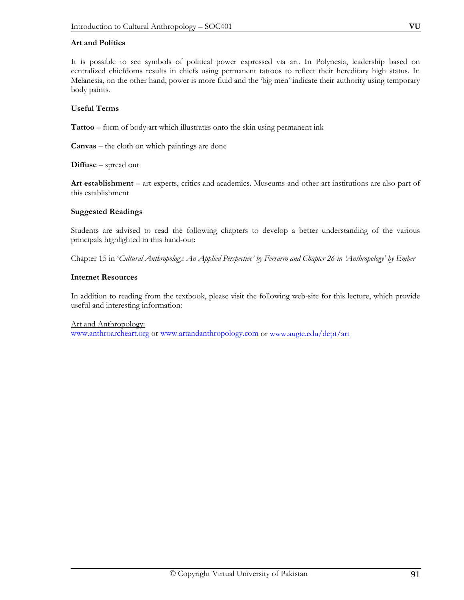#### **Art and Politics**

It is possible to see symbols of political power expressed via art. In Polynesia, leadership based on centralized chiefdoms results in chiefs using permanent tattoos to reflect their hereditary high status. In Melanesia, on the other hand, power is more fluid and the 'big men' indicate their authority using temporary body paints.

#### **Useful Terms**

**Tattoo** – form of body art which illustrates onto the skin using permanent ink

**Canvas** – the cloth on which paintings are done

**Diffuse** – spread out

**Art establishment** – art experts, critics and academics. Museums and other art institutions are also part of this establishment

#### **Suggested Readings**

Students are advised to read the following chapters to develop a better understanding of the various principals highlighted in this hand-out:

Chapter 15 in '*Cultural Anthropology: An Applied Perspective' by Ferrarro and Chapter 26 in 'Anthropology' by Ember* 

#### **Internet Resources**

In addition to reading from the textbook, please visit the following web-site for this lecture, which provide useful and interesting information:

Art and Anthropology:

www.anthroarcheart.org or www.artandanthropology.com or www.augie.edu/dept/art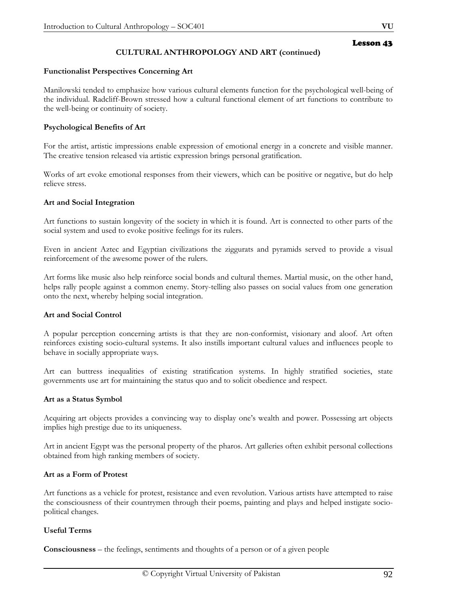# **CULTURAL ANTHROPOLOGY AND ART (continued)**

#### **Functionalist Perspectives Concerning Art**

Manilowski tended to emphasize how various cultural elements function for the psychological well-being of the individual. Radcliff-Brown stressed how a cultural functional element of art functions to contribute to the well-being or continuity of society.

#### **Psychological Benefits of Art**

For the artist, artistic impressions enable expression of emotional energy in a concrete and visible manner. The creative tension released via artistic expression brings personal gratification.

Works of art evoke emotional responses from their viewers, which can be positive or negative, but do help relieve stress.

#### **Art and Social Integration**

Art functions to sustain longevity of the society in which it is found. Art is connected to other parts of the social system and used to evoke positive feelings for its rulers.

Even in ancient Aztec and Egyptian civilizations the ziggurats and pyramids served to provide a visual reinforcement of the awesome power of the rulers.

Art forms like music also help reinforce social bonds and cultural themes. Martial music, on the other hand, helps rally people against a common enemy. Story-telling also passes on social values from one generation onto the next, whereby helping social integration.

#### **Art and Social Control**

A popular perception concerning artists is that they are non-conformist, visionary and aloof. Art often reinforces existing socio-cultural systems. It also instills important cultural values and influences people to behave in socially appropriate ways.

Art can buttress inequalities of existing stratification systems. In highly stratified societies, state governments use art for maintaining the status quo and to solicit obedience and respect.

#### **Art as a Status Symbol**

Acquiring art objects provides a convincing way to display one's wealth and power. Possessing art objects implies high prestige due to its uniqueness.

Art in ancient Egypt was the personal property of the pharos. Art galleries often exhibit personal collections obtained from high ranking members of society.

#### **Art as a Form of Protest**

Art functions as a vehicle for protest, resistance and even revolution. Various artists have attempted to raise the consciousness of their countrymen through their poems, painting and plays and helped instigate sociopolitical changes.

#### **Useful Terms**

**Consciousness** – the feelings, sentiments and thoughts of a person or of a given people

Lesson 43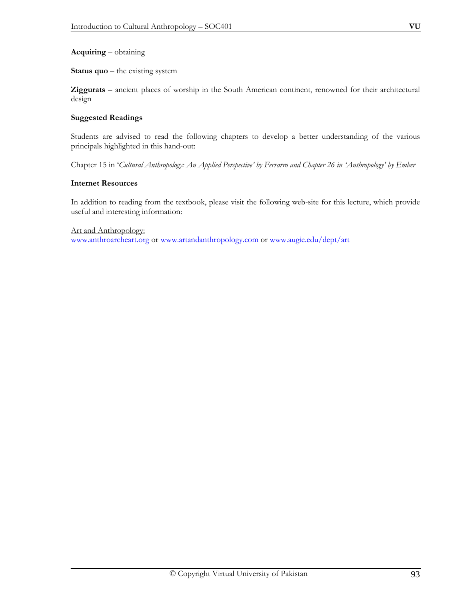#### **Acquiring** – obtaining

**Status quo** – the existing system

**Ziggurats** – ancient places of worship in the South American continent, renowned for their architectural design

#### **Suggested Readings**

Students are advised to read the following chapters to develop a better understanding of the various principals highlighted in this hand-out:

Chapter 15 in '*Cultural Anthropology: An Applied Perspective' by Ferrarro and Chapter 26 in 'Anthropology' by Ember* 

#### **Internet Resources**

In addition to reading from the textbook, please visit the following web-site for this lecture, which provide useful and interesting information:

Art and Anthropology:

www.anthroarcheart.org or www.artandanthropology.com or www.augie.edu/dept/art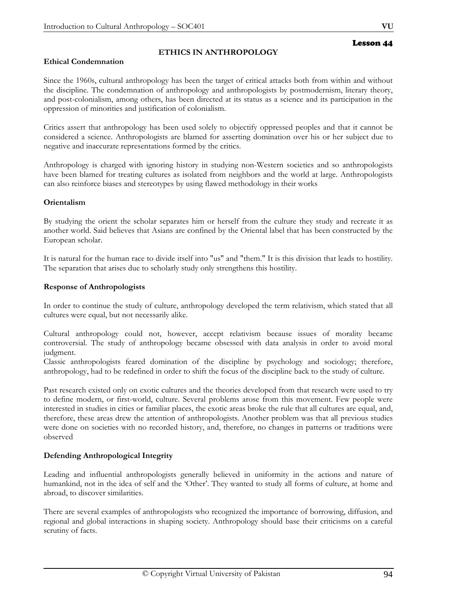### **Ethical Condemnation**

### **ETHICS IN ANTHROPOLOGY**

Since the 1960s, cultural anthropology has been the target of critical attacks both from within and without the discipline. The condemnation of anthropology and anthropologists by postmodernism, literary theory, and post-colonialism, among others, has been directed at its status as a science and its participation in the oppression of minorities and justification of colonialism.

Critics assert that anthropology has been used solely to objectify oppressed peoples and that it cannot be considered a science. Anthropologists are blamed for asserting domination over his or her subject due to negative and inaccurate representations formed by the critics.

Anthropology is charged with ignoring history in studying non-Western societies and so anthropologists have been blamed for treating cultures as isolated from neighbors and the world at large. Anthropologists can also reinforce biases and stereotypes by using flawed methodology in their works

#### **Orientalism**

By studying the orient the scholar separates him or herself from the culture they study and recreate it as another world. Said believes that Asians are confined by the Oriental label that has been constructed by the European scholar.

It is natural for the human race to divide itself into "us" and "them." It is this division that leads to hostility. The separation that arises due to scholarly study only strengthens this hostility.

#### **Response of Anthropologists**

In order to continue the study of culture, anthropology developed the term relativism, which stated that all cultures were equal, but not necessarily alike.

Cultural anthropology could not, however, accept relativism because issues of morality became controversial. The study of anthropology became obsessed with data analysis in order to avoid moral judgment.

Classic anthropologists feared domination of the discipline by psychology and sociology; therefore, anthropology, had to be redefined in order to shift the focus of the discipline back to the study of culture.

Past research existed only on exotic cultures and the theories developed from that research were used to try to define modern, or first-world, culture. Several problems arose from this movement. Few people were interested in studies in cities or familiar places, the exotic areas broke the rule that all cultures are equal, and, therefore, these areas drew the attention of anthropologists. Another problem was that all previous studies were done on societies with no recorded history, and, therefore, no changes in patterns or traditions were observed

#### **Defending Anthropological Integrity**

Leading and influential anthropologists generally believed in uniformity in the actions and nature of humankind, not in the idea of self and the 'Other'. They wanted to study all forms of culture, at home and abroad, to discover similarities.

There are several examples of anthropologists who recognized the importance of borrowing, diffusion, and regional and global interactions in shaping society. Anthropology should base their criticisms on a careful scrutiny of facts.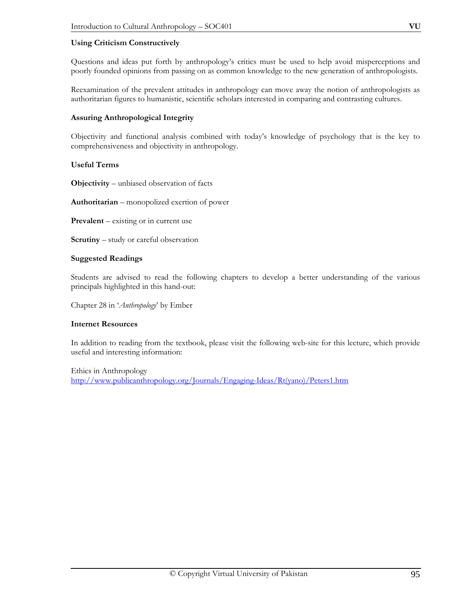### **Using Criticism Constructively**

Questions and ideas put forth by anthropology's critics must be used to help avoid misperceptions and poorly founded opinions from passing on as common knowledge to the new generation of anthropologists.

Reexamination of the prevalent attitudes in anthropology can move away the notion of anthropologists as authoritarian figures to humanistic, scientific scholars interested in comparing and contrasting cultures.

#### **Assuring Anthropological Integrity**

Objectivity and functional analysis combined with today's knowledge of psychology that is the key to comprehensiveness and objectivity in anthropology.

### **Useful Terms**

**Objectivity** – unbiased observation of facts

**Authoritarian** – monopolized exertion of power

**Prevalent** – existing or in current use

**Scrutiny** – study or careful observation

#### **Suggested Readings**

Students are advised to read the following chapters to develop a better understanding of the various principals highlighted in this hand-out:

Chapter 28 in '*Anthropology*' by Ember

#### **Internet Resources**

In addition to reading from the textbook, please visit the following web-site for this lecture, which provide useful and interesting information:

Ethics in Anthropology http://www.publicanthropology.org/Journals/Engaging-Ideas/Rt(yano)/Peters1.htm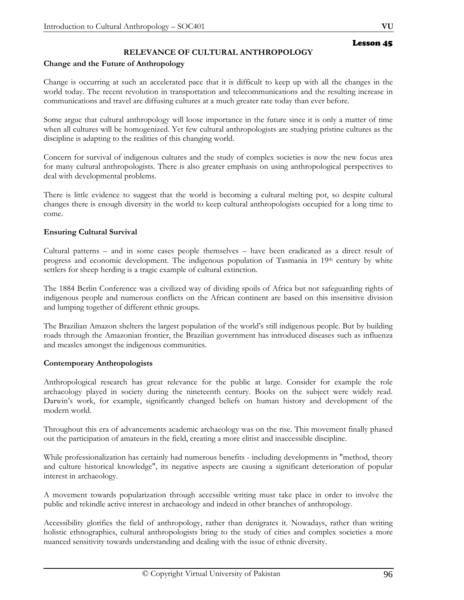# **RELEVANCE OF CULTURAL ANTHROPOLOGY**

#### **Change and the Future of Anthropology**

Change is occurring at such an accelerated pace that it is difficult to keep up with all the changes in the world today. The recent revolution in transportation and telecommunications and the resulting increase in communications and travel are diffusing cultures at a much greater rate today than ever before.

Some argue that cultural anthropology will loose importance in the future since it is only a matter of time when all cultures will be homogenized. Yet few cultural anthropologists are studying pristine cultures as the discipline is adapting to the realities of this changing world.

Concern for survival of indigenous cultures and the study of complex societies is now the new focus area for many cultural anthropologists. There is also greater emphasis on using anthropological perspectives to deal with developmental problems.

There is little evidence to suggest that the world is becoming a cultural melting pot, so despite cultural changes there is enough diversity in the world to keep cultural anthropologists occupied for a long time to come.

### **Ensuring Cultural Survival**

Cultural patterns – and in some cases people themselves – have been eradicated as a direct result of progress and economic development. The indigenous population of Tasmania in 19th century by white settlers for sheep herding is a tragic example of cultural extinction.

The 1884 Berlin Conference was a civilized way of dividing spoils of Africa but not safeguarding rights of indigenous people and numerous conflicts on the African continent are based on this insensitive division and lumping together of different ethnic groups.

The Brazilian Amazon shelters the largest population of the world's still indigenous people. But by building roads through the Amazonian frontier, the Brazilian government has introduced diseases such as influenza and measles amongst the indigenous communities.

#### **Contemporary Anthropologists**

Anthropological research has great relevance for the public at large. Consider for example the role archaeology played in society during the nineteenth century. Books on the subject were widely read. Darwin's work, for example, significantly changed beliefs on human history and development of the modern world.

Throughout this era of advancements academic archaeology was on the rise. This movement finally phased out the participation of amateurs in the field, creating a more elitist and inaccessible discipline.

While professionalization has certainly had numerous benefits - including developments in "method, theory and culture historical knowledge", its negative aspects are causing a significant deterioration of popular interest in archaeology.

A movement towards popularization through accessible writing must take place in order to involve the public and rekindle active interest in archaeology and indeed in other branches of anthropology.

Accessibility glorifies the field of anthropology, rather than denigrates it. Nowadays, rather than writing holistic ethnographies, cultural anthropologists bring to the study of cities and complex societies a more nuanced sensitivity towards understanding and dealing with the issue of ethnic diversity.

Lesson 45